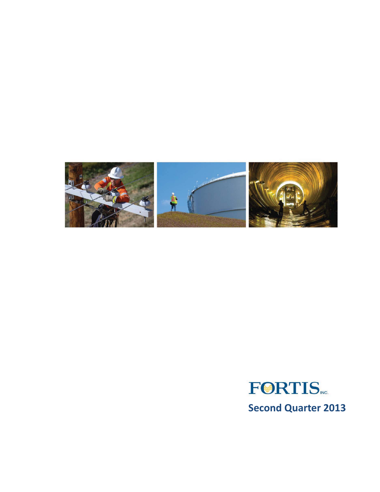

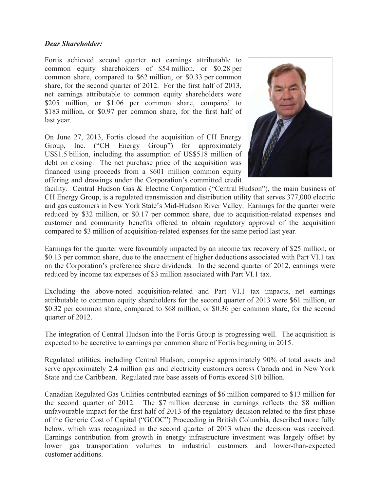## *Dear Shareholder:*

Fortis achieved second quarter net earnings attributable to common equity shareholders of \$54 million, or \$0.28 per common share, compared to \$62 million, or \$0.33 per common share, for the second quarter of 2012. For the first half of 2013, net earnings attributable to common equity shareholders were \$205 million, or \$1.06 per common share, compared to \$183 million, or \$0.97 per common share, for the first half of last year.

On June 27, 2013, Fortis closed the acquisition of CH Energy Group, Inc. ("CH Energy Group") for approximately US\$1.5 billion, including the assumption of US\$518 million of debt on closing. The net purchase price of the acquisition was financed using proceeds from a \$601 million common equity offering and drawings under the Corporation's committed credit



facility. Central Hudson Gas & Electric Corporation ("Central Hudson"), the main business of CH Energy Group, is a regulated transmission and distribution utility that serves 377,000 electric and gas customers in New York State's Mid-Hudson River Valley. Earnings for the quarter were reduced by \$32 million, or \$0.17 per common share, due to acquisition-related expenses and customer and community benefits offered to obtain regulatory approval of the acquisition compared to \$3 million of acquisition-related expenses for the same period last year.

Earnings for the quarter were favourably impacted by an income tax recovery of \$25 million, or \$0.13 per common share, due to the enactment of higher deductions associated with Part VI.1 tax on the Corporation's preference share dividends. In the second quarter of 2012, earnings were reduced by income tax expenses of \$3 million associated with Part VI.1 tax.

Excluding the above-noted acquisition-related and Part VI.1 tax impacts, net earnings attributable to common equity shareholders for the second quarter of 2013 were \$61 million, or \$0.32 per common share, compared to \$68 million, or \$0.36 per common share, for the second quarter of 2012.

The integration of Central Hudson into the Fortis Group is progressing well. The acquisition is expected to be accretive to earnings per common share of Fortis beginning in 2015.

Regulated utilities, including Central Hudson, comprise approximately 90% of total assets and serve approximately 2.4 million gas and electricity customers across Canada and in New York State and the Caribbean. Regulated rate base assets of Fortis exceed \$10 billion.

Canadian Regulated Gas Utilities contributed earnings of \$6 million compared to \$13 million for the second quarter of 2012. The \$7 million decrease in earnings reflects the \$8 million unfavourable impact for the first half of 2013 of the regulatory decision related to the first phase of the Generic Cost of Capital ("GCOC") Proceeding in British Columbia, described more fully below, which was recognized in the second quarter of 2013 when the decision was received. Earnings contribution from growth in energy infrastructure investment was largely offset by lower gas transportation volumes to industrial customers and lower-than-expected customer additions.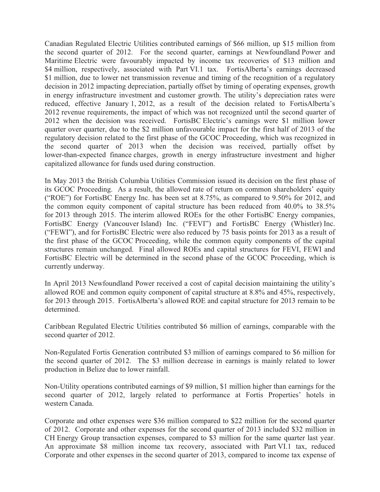Canadian Regulated Electric Utilities contributed earnings of \$66 million, up \$15 million from the second quarter of 2012. For the second quarter, earnings at Newfoundland Power and Maritime Electric were favourably impacted by income tax recoveries of \$13 million and \$4 million, respectively, associated with Part VI.1 tax. FortisAlberta's earnings decreased \$1 million, due to lower net transmission revenue and timing of the recognition of a regulatory decision in 2012 impacting depreciation, partially offset by timing of operating expenses, growth in energy infrastructure investment and customer growth. The utility's depreciation rates were reduced, effective January 1, 2012, as a result of the decision related to FortisAlberta's 2012 revenue requirements, the impact of which was not recognized until the second quarter of 2012 when the decision was received. FortisBC Electric's earnings were \$1 million lower quarter over quarter, due to the \$2 million unfavourable impact for the first half of 2013 of the regulatory decision related to the first phase of the GCOC Proceeding, which was recognized in the second quarter of 2013 when the decision was received, partially offset by lower-than-expected finance charges, growth in energy infrastructure investment and higher capitalized allowance for funds used during construction.

In May 2013 the British Columbia Utilities Commission issued its decision on the first phase of its GCOC Proceeding. As a result, the allowed rate of return on common shareholders' equity ("ROE") for FortisBC Energy Inc. has been set at 8.75%, as compared to 9.50% for 2012, and the common equity component of capital structure has been reduced from 40.0% to 38.5% for 2013 through 2015. The interim allowed ROEs for the other FortisBC Energy companies, FortisBC Energy (Vancouver Island) Inc. ("FEVI") and FortisBC Energy (Whistler) Inc. ("FEWI"), and for FortisBC Electric were also reduced by 75 basis points for 2013 as a result of the first phase of the GCOC Proceeding, while the common equity components of the capital structures remain unchanged. Final allowed ROEs and capital structures for FEVI, FEWI and FortisBC Electric will be determined in the second phase of the GCOC Proceeding, which is currently underway.

In April 2013 Newfoundland Power received a cost of capital decision maintaining the utility's allowed ROE and common equity component of capital structure at 8.8% and 45%, respectively, for 2013 through 2015. FortisAlberta's allowed ROE and capital structure for 2013 remain to be determined.

Caribbean Regulated Electric Utilities contributed \$6 million of earnings, comparable with the second quarter of 2012.

Non-Regulated Fortis Generation contributed \$3 million of earnings compared to \$6 million for the second quarter of 2012. The \$3 million decrease in earnings is mainly related to lower production in Belize due to lower rainfall.

Non-Utility operations contributed earnings of \$9 million, \$1 million higher than earnings for the second quarter of 2012, largely related to performance at Fortis Properties' hotels in western Canada.

Corporate and other expenses were \$36 million compared to \$22 million for the second quarter of 2012. Corporate and other expenses for the second quarter of 2013 included \$32 million in CH Energy Group transaction expenses, compared to \$3 million for the same quarter last year. An approximate \$8 million income tax recovery, associated with Part VI.1 tax, reduced Corporate and other expenses in the second quarter of 2013, compared to income tax expense of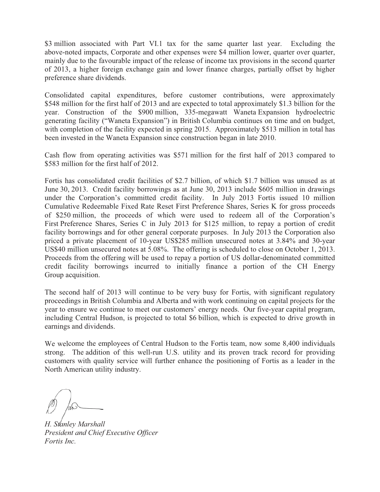\$3 million associated with Part VI.1 tax for the same quarter last year. Excluding the above-noted impacts, Corporate and other expenses were \$4 million lower, quarter over quarter, mainly due to the favourable impact of the release of income tax provisions in the second quarter of 2013, a higher foreign exchange gain and lower finance charges, partially offset by higher preference share dividends.

Consolidated capital expenditures, before customer contributions, were approximately \$548 million for the first half of 2013 and are expected to total approximately \$1.3 billion for the year. Construction of the \$900 million, 335-megawatt Waneta Expansion hydroelectric generating facility ("Waneta Expansion") in British Columbia continues on time and on budget, with completion of the facility expected in spring 2015. Approximately \$513 million in total has been invested in the Waneta Expansion since construction began in late 2010.

Cash flow from operating activities was \$571 million for the first half of 2013 compared to \$583 million for the first half of 2012.

Fortis has consolidated credit facilities of \$2.7 billion, of which \$1.7 billion was unused as at June 30, 2013. Credit facility borrowings as at June 30, 2013 include \$605 million in drawings under the Corporation's committed credit facility. In July 2013 Fortis issued 10 million Cumulative Redeemable Fixed Rate Reset First Preference Shares, Series K for gross proceeds of \$250 million, the proceeds of which were used to redeem all of the Corporation's First Preference Shares, Series C in July 2013 for \$125 million, to repay a portion of credit facility borrowings and for other general corporate purposes. In July 2013 the Corporation also priced a private placement of 10-year US\$285 million unsecured notes at 3.84% and 30-year US\$40 million unsecured notes at 5.08%. The offering is scheduled to close on October 1, 2013. Proceeds from the offering will be used to repay a portion of US dollar-denominated committed credit facility borrowings incurred to initially finance a portion of the CH Energy Group acquisition.

The second half of 2013 will continue to be very busy for Fortis, with significant regulatory proceedings in British Columbia and Alberta and with work continuing on capital projects for the year to ensure we continue to meet our customers' energy needs. Our five-year capital program, including Central Hudson, is projected to total \$6 billion, which is expected to drive growth in earnings and dividends.

We welcome the employees of Central Hudson to the Fortis team, now some 8,400 individuals strong. The addition of this well-run U.S. utility and its proven track record for providing customers with quality service will further enhance the positioning of Fortis as a leader in the North American utility industry.

*H. Stanlev Marshall Presiden t and Chief E Executive Of Officer Fortis In c.*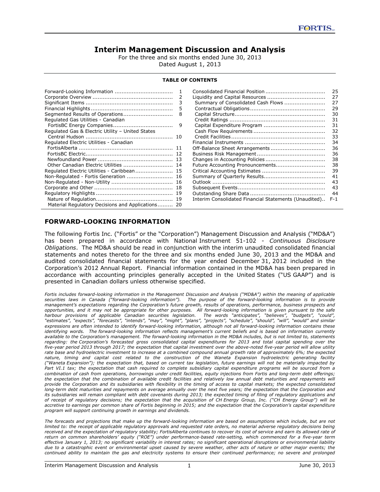## **Interim Management Discussion and Analysis**

For the three and six months ended June 30, 2013 Dated August 1, 2013

#### **TABLE OF CONTENTS**

|                                                   |    |                                                       | 25    |
|---------------------------------------------------|----|-------------------------------------------------------|-------|
|                                                   | 2  |                                                       | 27    |
|                                                   |    | Summary of Consolidated Cash Flows                    | 27    |
|                                                   |    |                                                       | 29    |
|                                                   | 8  |                                                       | 30    |
| Regulated Gas Utilities - Canadian                |    |                                                       | 31    |
|                                                   | 9  |                                                       | 31    |
| Regulated Gas & Electric Utility - United States  |    |                                                       | 32    |
|                                                   | 10 |                                                       | 33    |
| Regulated Electric Utilities - Canadian           |    |                                                       | 34    |
|                                                   |    | Off-Balance Sheet Arrangements                        | 36    |
|                                                   |    |                                                       | 36    |
|                                                   |    |                                                       | 38    |
| Other Canadian Electric Utilities  14             |    | Future Accounting Pronouncements                      | 38    |
| Regulated Electric Utilities - Caribbean 15       |    |                                                       | 39    |
| Non-Regulated - Fortis Generation  16             |    |                                                       | 41    |
|                                                   |    |                                                       | 43    |
|                                                   |    |                                                       | 43    |
|                                                   |    |                                                       | 44    |
|                                                   |    | Interim Consolidated Financial Statements (Unaudited) | $F-1$ |
| Material Regulatory Decisions and Applications 20 |    |                                                       |       |

## **FORWARD-LOOKING INFORMATION**

The following Fortis Inc. ("Fortis" or the "Corporation") Management Discussion and Analysis ("MD&A") has been prepared in accordance with National Instrument 51-102 - *Continuous Disclosure Obligations*. The MD&A should be read in conjunction with the interim unaudited consolidated financial statements and notes thereto for the three and six months ended June 30, 2013 and the MD&A and audited consolidated financial statements for the year ended December 31, 2012 included in the Corporation's 2012 Annual Report. Financial information contained in the MD&A has been prepared in accordance with accounting principles generally accepted in the United States ("US GAAP") and is presented in Canadian dollars unless otherwise specified.

*Fortis includes forward-looking information in the Management Discussion and Analysis ("MD&A") within the meaning of applicable securities laws in Canada ("forward-looking information"). The purpose of the forward-looking information is to provide management's expectations regarding the Corporation's future growth, results of operations, performance, business prospects and opportunities, and it may not be appropriate for other purposes. All forward-looking information is given pursuant to the safe harbour provisions of applicable Canadian securities legislation. The words "anticipates", "believes", "budgets", "could", "estimates", "expects", "forecasts", "intends", "may", "might", "plans", "projects", "schedule", "should", "will", "would" and similar expressions are often intended to identify forward-looking information, although not all forward-looking information contains these identifying words. The forward-looking information reflects management's current beliefs and is based on information currently available to the Corporation's management. The forward-looking information in the MD&A includes, but is not limited to, statements regarding: the Corporation's forecasted gross consolidated capital expenditures for 2013 and total capital spending over the five-year period 2013 through 2017; the expectation that capital investment over the above-noted five-year period will allow utility rate base and hydroelectric investment to increase at a combined compound annual growth rate of approximately 6%; the expected nature, timing and capital cost related to the construction of the Waneta Expansion hydroelectric generating facility ("Waneta Expansion"); the expectation that, based on current tax legislation, future earnings will not be materially impacted by* Part VI.1 tax; the expectation that cash required to complete subsidiary capital expenditure programs will be sourced from a *combination of cash from operations, borrowings under credit facilities, equity injections from Fortis and long-term debt offerings;*  the expectation that the combination of available credit facilities and relatively low annual debt maturities and repayments will *provide the Corporation and its subsidiaries with flexibility in the timing of access to capital markets; the expected consolidated long-term debt maturities and repayments on average annually over the next five years; the expectation that the Corporation and its subsidiaries will remain compliant with debt covenants during 2013; the expected timing of filing of regulatory applications and of receipt of regulatory decisions; the expectation that the acquisition of CH Energy Group, Inc. ("CH Energy Group") will be*  accretive to earnings per common share of Fortis beginning in 2015; and the expectation that the Corporation's capital expenditure *program will support continuing growth in earnings and dividends.*

*The forecasts and projections that make up the forward-looking information are based on assumptions which include, but are not limited to: the receipt of applicable regulatory approvals and requested rate orders, no material adverse regulatory decisions being received and the expectation of regulatory stability; FortisAlberta continues to recover its cost of service and earn its allowed rate of return on common shareholders' equity ("ROE") under performance-based rate-setting, which commenced for a five-year term effective January 1, 2013; no significant variability in interest rates; no significant operational disruptions or environmental liability due to a catastrophic event or environmental upset caused by severe weather, other acts of nature or other major events; the continued ability to maintain the gas and electricity systems to ensure their continued performance; no severe and prolonged*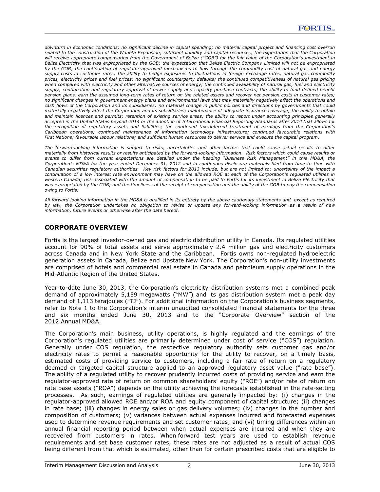*downturn in economic conditions; no significant decline in capital spending; no material capital project and financing cost overrun*  related to the construction of the Waneta Expansion; sufficient liquidity and capital resources; the expectation that the Corporation *will receive appropriate compensation from the Government of Belize ("GOB") for the fair value of the Corporation's investment in Belize Electricity that was expropriated by the GOB; the expectation that Belize Electric Company Limited will not be expropriated by the GOB; the continuation of regulator-approved mechanisms to flow through the commodity cost of natural gas and energy supply costs in customer rates; the ability to hedge exposures to fluctuations in foreign exchange rates, natural gas commodity prices, electricity prices and fuel prices; no significant counterparty defaults; the continued competitiveness of natural gas pricing when compared with electricity and other alternative sources of energy; the continued availability of natural gas, fuel and electricity supply; continuation and regulatory approval of power supply and capacity purchase contracts; the ability to fund defined benefit pension plans, earn the assumed long-term rates of return on the related assets and recover net pension costs in customer rates; no significant changes in government energy plans and environmental laws that may materially negatively affect the operations and cash flows of the Corporation and its subsidiaries; no material change in public policies and directions by governments that could materially negatively affect the Corporation and its subsidiaries; maintenance of adequate insurance coverage; the ability to obtain and maintain licences and permits; retention of existing service areas; the ability to report under accounting principles generally accepted in the United States beyond 2014 or the adoption of International Financial Reporting Standards after 2014 that allows for the recognition of regulatory assets and liabilities; the continued tax-deferred treatment of earnings from the Corporation's Caribbean operations; continued maintenance of information technology infrastructure; continued favourable relations with First Nations; favourable labour relations; and sufficient human resources to deliver service and execute the capital program.*

*The forward-looking information is subject to risks, uncertainties and other factors that could cause actual results to differ materially from historical results or results anticipated by the forward-looking information. Risk factors which could cause results or events to differ from current expectations are detailed under the heading "Business Risk Management" in this MD&A, the Corporation's MD&A for the year ended December 31, 2012 and in continuous disclosure materials filed from time to time with Canadian securities regulatory authorities. Key risk factors for 2013 include, but are not limited to: uncertainty of the impact a continuation of a low interest rate environment may have on the allowed ROE at each of the Corporation's regulated utilities in western Canada; risk associated with the amount of compensation to be paid to Fortis for its investment in Belize Electricity that was expropriated by the GOB; and the timeliness of the receipt of compensation and the ability of the GOB to pay the compensation owing to Fortis.* 

*All forward-looking information in the MD&A is qualified in its entirety by the above cautionary statements and, except as required by law, the Corporation undertakes no obligation to revise or update any forward-looking information as a result of new information, future events or otherwise after the date hereof.*

## **CORPORATE OVERVIEW**

Fortis is the largest investor-owned gas and electric distribution utility in Canada. Its regulated utilities account for 90% of total assets and serve approximately 2.4 million gas and electricity customers across Canada and in New York State and the Caribbean. Fortis owns non-regulated hydroelectric generation assets in Canada, Belize and Upstate New York. The Corporation's non-utility investments are comprised of hotels and commercial real estate in Canada and petroleum supply operations in the Mid-Atlantic Region of the United States.

Year-to-date June 30, 2013, the Corporation's electricity distribution systems met a combined peak demand of approximately 5,159 megawatts ("MW") and its gas distribution system met a peak day demand of 1,113 terajoules ("TJ"). For additional information on the Corporation's business segments, refer to Note 1 to the Corporation's interim unaudited consolidated financial statements for the three and six months ended June 30, 2013 and to the "Corporate Overview" section of the 2012 Annual MD&A.

The Corporation's main business, utility operations, is highly regulated and the earnings of the Corporation's regulated utilities are primarily determined under cost of service ("COS") regulation. Generally under COS regulation, the respective regulatory authority sets customer gas and/or electricity rates to permit a reasonable opportunity for the utility to recover, on a timely basis, estimated costs of providing service to customers, including a fair rate of return on a regulatory deemed or targeted capital structure applied to an approved regulatory asset value ("rate base"). The ability of a regulated utility to recover prudently incurred costs of providing service and earn the regulator-approved rate of return on common shareholders' equity ("ROE") and/or rate of return on rate base assets ("ROA") depends on the utility achieving the forecasts established in the rate-setting processes. As such, earnings of regulated utilities are generally impacted by: (i) changes in the regulator-approved allowed ROE and/or ROA and equity component of capital structure; (ii) changes in rate base; (iii) changes in energy sales or gas delivery volumes; (iv) changes in the number and composition of customers; (v) variances between actual expenses incurred and forecasted expenses used to determine revenue requirements and set customer rates; and (vi) timing differences within an annual financial reporting period between when actual expenses are incurred and when they are recovered from customers in rates. When forward test years are used to establish revenue requirements and set base customer rates, these rates are not adjusted as a result of actual COS being different from that which is estimated, other than for certain prescribed costs that are eligible to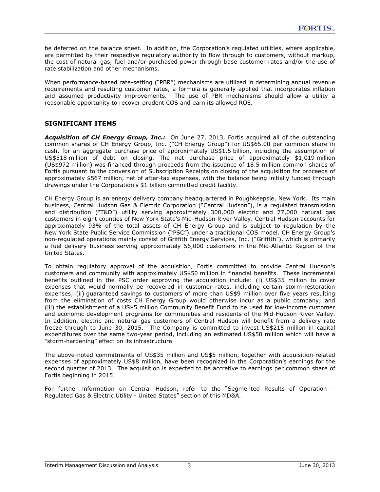be deferred on the balance sheet. In addition, the Corporation's regulated utilities, where applicable, are permitted by their respective regulatory authority to flow through to customers, without markup, the cost of natural gas, fuel and/or purchased power through base customer rates and/or the use of rate stabilization and other mechanisms.

When performance-based rate-setting ("PBR") mechanisms are utilized in determining annual revenue requirements and resulting customer rates, a formula is generally applied that incorporates inflation and assumed productivity improvements. The use of PBR mechanisms should allow a utility a reasonable opportunity to recover prudent COS and earn its allowed ROE.

## **SIGNIFICANT ITEMS**

*Acquisition of CH Energy Group, Inc.:* On June 27, 2013, Fortis acquired all of the outstanding common shares of CH Energy Group, Inc. ("CH Energy Group") for US\$65.00 per common share in cash, for an aggregate purchase price of approximately US\$1.5 billion, including the assumption of US\$518 million of debt on closing. The net purchase price of approximately \$1,019 million (US\$972 million) was financed through proceeds from the issuance of 18.5 million common shares of Fortis pursuant to the conversion of Subscription Receipts on closing of the acquisition for proceeds of approximately \$567 million, net of after-tax expenses, with the balance being initially funded through drawings under the Corporation's \$1 billion committed credit facility.

CH Energy Group is an energy delivery company headquartered in Poughkeepsie, New York. Its main business, Central Hudson Gas & Electric Corporation ("Central Hudson"), is a regulated transmission and distribution ("T&D") utility serving approximately 300,000 electric and 77,000 natural gas customers in eight counties of New York State's Mid-Hudson River Valley. Central Hudson accounts for approximately 93% of the total assets of CH Energy Group and is subject to regulation by the New York State Public Service Commission ("PSC") under a traditional COS model. CH Energy Group's non-regulated operations mainly consist of Griffith Energy Services, Inc. ("Griffith"), which is primarily a fuel delivery business serving approximately 56,000 customers in the Mid-Atlantic Region of the United States.

To obtain regulatory approval of the acquisition, Fortis committed to provide Central Hudson's customers and community with approximately US\$50 million in financial benefits. These incremental benefits outlined in the PSC order approving the acquisition include: (i) US\$35 million to cover expenses that would normally be recovered in customer rates, including certain storm-restoration expenses; (ii) guaranteed savings to customers of more than US\$9 million over five years resulting from the elimination of costs CH Energy Group would otherwise incur as a public company; and (iii) the establishment of a US\$5 million Community Benefit Fund to be used for low-income customer and economic development programs for communities and residents of the Mid-Hudson River Valley. In addition, electric and natural gas customers of Central Hudson will benefit from a delivery rate freeze through to June 30, 2015. The Company is committed to invest US\$215 million in capital expenditures over the same two-year period, including an estimated US\$50 million which will have a "storm-hardening" effect on its infrastructure.

The above-noted commitments of US\$35 million and US\$5 million, together with acquisition-related expenses of approximately US\$8 million, have been recognized in the Corporation's earnings for the second quarter of 2013. The acquisition is expected to be accretive to earnings per common share of Fortis beginning in 2015.

For further information on Central Hudson, refer to the "Segmented Results of Operation – Regulated Gas & Electric Utility - United States" section of this MD&A.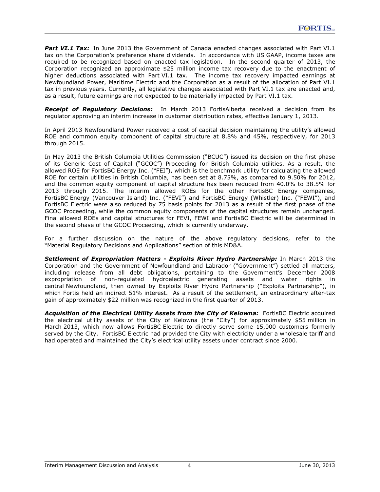**Part VI.1 Tax:** In June 2013 the Government of Canada enacted changes associated with Part VI.1 tax on the Corporation's preference share dividends. In accordance with US GAAP, income taxes are required to be recognized based on enacted tax legislation. In the second quarter of 2013, the Corporation recognized an approximate \$25 million income tax recovery due to the enactment of higher deductions associated with Part VI.1 tax. The income tax recovery impacted earnings at Newfoundland Power, Maritime Electric and the Corporation as a result of the allocation of Part VI.1 tax in previous years. Currently, all legislative changes associated with Part VI.1 tax are enacted and, as a result, future earnings are not expected to be materially impacted by Part VI.1 tax.

*Receipt of Regulatory Decisions:* In March 2013 FortisAlberta received a decision from its regulator approving an interim increase in customer distribution rates, effective January 1, 2013.

In April 2013 Newfoundland Power received a cost of capital decision maintaining the utility's allowed ROE and common equity component of capital structure at 8.8% and 45%, respectively, for 2013 through 2015.

In May 2013 the British Columbia Utilities Commission ("BCUC") issued its decision on the first phase of its Generic Cost of Capital ("GCOC") Proceeding for British Columbia utilities. As a result, the allowed ROE for FortisBC Energy Inc. ("FEI"), which is the benchmark utility for calculating the allowed ROE for certain utilities in British Columbia, has been set at 8.75%, as compared to 9.50% for 2012, and the common equity component of capital structure has been reduced from 40.0% to 38.5% for 2013 through 2015. The interim allowed ROEs for the other FortisBC Energy companies, FortisBC Energy (Vancouver Island) Inc. ("FEVI") and FortisBC Energy (Whistler) Inc. ("FEWI"), and FortisBC Electric were also reduced by 75 basis points for 2013 as a result of the first phase of the GCOC Proceeding, while the common equity components of the capital structures remain unchanged. Final allowed ROEs and capital structures for FEVI, FEWI and FortisBC Electric will be determined in the second phase of the GCOC Proceeding, which is currently underway.

For a further discussion on the nature of the above regulatory decisions, refer to the "Material Regulatory Decisions and Applications" section of this MD&A.

**Settlement of Expropriation Matters - Exploits River Hydro Partnership:** In March 2013 the Corporation and the Government of Newfoundland and Labrador ("Government") settled all matters, including release from all debt obligations, pertaining to the Government's December 2008 expropriation of non-regulated hydroelectric generating assets and water rights in central Newfoundland, then owned by Exploits River Hydro Partnership ("Exploits Partnership"), in which Fortis held an indirect 51% interest. As a result of the settlement, an extraordinary after-tax gain of approximately \$22 million was recognized in the first quarter of 2013.

Acquisition of the Electrical Utility Assets from the City of Kelowna: FortisBC Electric acquired the electrical utility assets of the City of Kelowna (the "City") for approximately \$55 million in March 2013, which now allows FortisBC Electric to directly serve some 15,000 customers formerly served by the City. FortisBC Electric had provided the City with electricity under a wholesale tariff and had operated and maintained the City's electrical utility assets under contract since 2000.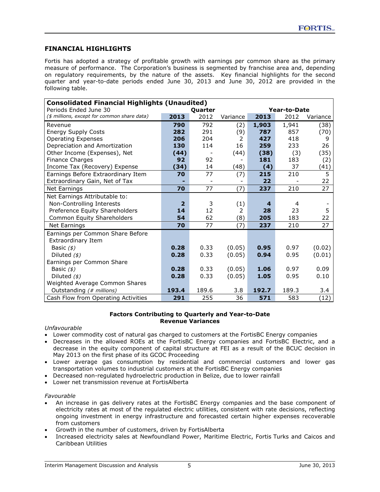## **FINANCIAL HIGHLIGHTS**

Fortis has adopted a strategy of profitable growth with earnings per common share as the primary measure of performance. The Corporation's business is segmented by franchise area and, depending on regulatory requirements, by the nature of the assets. Key financial highlights for the second quarter and year-to-date periods ended June 30, 2013 and June 30, 2012 are provided in the following table.

| <b>Consolidated Financial Highlights (Unaudited)</b> |                |                |          |       |              |          |  |  |  |
|------------------------------------------------------|----------------|----------------|----------|-------|--------------|----------|--|--|--|
| Periods Ended June 30                                |                | <b>Quarter</b> |          |       | Year-to-Date |          |  |  |  |
| (\$ millions, except for common share data)          | 2013           | 2012           | Variance | 2013  | 2012         | Variance |  |  |  |
| Revenue                                              | 790            | 792            | (2)      | 1,903 | 1,941        | (38)     |  |  |  |
| <b>Energy Supply Costs</b>                           | 282            | 291            | (9)      | 787   | 857          | (70)     |  |  |  |
| <b>Operating Expenses</b>                            | 206            | 204            | 2        | 427   | 418          | 9        |  |  |  |
| Depreciation and Amortization                        | 130            | 114            | 16       | 259   | 233          | 26       |  |  |  |
| Other Income (Expenses), Net                         | (44)           |                | (44)     | (38)  | (3)          | (35)     |  |  |  |
| Finance Charges                                      | 92             | 92             |          | 181   | 183          | (2)      |  |  |  |
| Income Tax (Recovery) Expense                        | (34)           | 14             | (48)     | (4)   | 37           | (41)     |  |  |  |
| Earnings Before Extraordinary Item                   | 70             | 77             | (7)      | 215   | 210          | 5        |  |  |  |
| Extraordinary Gain, Net of Tax                       |                |                |          | 22    |              | 22       |  |  |  |
| Net Earnings                                         | 70             | 77             | (7)      | 237   | 210          | 27       |  |  |  |
| Net Earnings Attributable to:                        |                |                |          |       |              |          |  |  |  |
| Non-Controlling Interests                            | $\overline{2}$ | 3              | (1)      | 4     | 4            |          |  |  |  |
| Preference Equity Shareholders                       | 14             | 12             | 2        | 28    | 23           | 5        |  |  |  |
| Common Equity Shareholders                           | 54             | 62             | (8)      | 205   | 183          | 22       |  |  |  |
| Net Earnings                                         | 70             | 77             | (7)      | 237   | 210          | 27       |  |  |  |
| Earnings per Common Share Before                     |                |                |          |       |              |          |  |  |  |
| <b>Extraordinary Item</b>                            |                |                |          |       |              |          |  |  |  |
| Basic $($                                            | 0.28           | 0.33           | (0.05)   | 0.95  | 0.97         | (0.02)   |  |  |  |
| Diluted $($ \$)                                      | 0.28           | 0.33           | (0.05)   | 0.94  | 0.95         | (0.01)   |  |  |  |
| Earnings per Common Share                            |                |                |          |       |              |          |  |  |  |
| Basic $($                                            | 0.28           | 0.33           | (0.05)   | 1.06  | 0.97         | 0.09     |  |  |  |
| Diluted $($ \$)                                      | 0.28           | 0.33           | (0.05)   | 1.05  | 0.95         | 0.10     |  |  |  |
| Weighted Average Common Shares                       |                |                |          |       |              |          |  |  |  |
| Outstanding (# millions)                             | 193.4          | 189.6          | 3.8      | 192.7 | 189.3        | 3.4      |  |  |  |
| Cash Flow from Operating Activities                  | 291            | 255            | 36       | 571   | 583          | (12)     |  |  |  |

### **Factors Contributing to Quarterly and Year-to-Date Revenue Variances**

#### *Unfavourable*

- Lower commodity cost of natural gas charged to customers at the FortisBC Energy companies
- Decreases in the allowed ROEs at the FortisBC Energy companies and FortisBC Electric, and a decrease in the equity component of capital structure at FEI as a result of the BCUC decision in May 2013 on the first phase of its GCOC Proceeding
- Lower average gas consumption by residential and commercial customers and lower gas transportation volumes to industrial customers at the FortisBC Energy companies
- Decreased non-regulated hydroelectric production in Belize, due to lower rainfall
- Lower net transmission revenue at FortisAlberta

## *Favourable*

- - An increase in gas delivery rates at the FortisBC Energy companies and the base component of electricity rates at most of the regulated electric utilities, consistent with rate decisions, reflecting ongoing investment in energy infrastructure and forecasted certain higher expenses recoverable from customers
- -Growth in the number of customers, driven by FortisAlberta
- - Increased electricity sales at Newfoundland Power, Maritime Electric, Fortis Turks and Caicos and Caribbean Utilities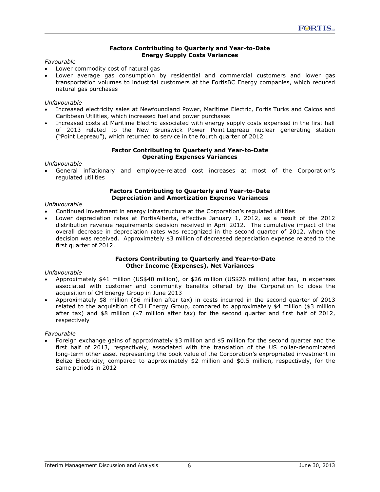## **Factors Contributing to Quarterly and Year-to-Date Energy Supply Costs Variances**

### *Favourable*

- -Lower commodity cost of natural gas
- - Lower average gas consumption by residential and commercial customers and lower gas transportation volumes to industrial customers at the FortisBC Energy companies, which reduced natural gas purchases

## *Unfavourable*

- - Increased electricity sales at Newfoundland Power, Maritime Electric, Fortis Turks and Caicos and Caribbean Utilities, which increased fuel and power purchases
- - Increased costs at Maritime Electric associated with energy supply costs expensed in the first half of 2013 related to the New Brunswick Power Point Lepreau nuclear generating station ("Point Lepreau"), which returned to service in the fourth quarter of 2012

#### **Factor Contributing to Quarterly and Year-to-Date Operating Expenses Variances**

*Unfavourable*

- General inflationary and employee-related cost increases at most of the Corporation's regulated utilities

### **Factors Contributing to Quarterly and Year-to-Date Depreciation and Amortization Expense Variances**

### *Unfavourable*

- -Continued investment in energy infrastructure at the Corporation's regulated utilities
- - Lower depreciation rates at FortisAlberta, effective January 1, 2012, as a result of the 2012 distribution revenue requirements decision received in April 2012. The cumulative impact of the overall decrease in depreciation rates was recognized in the second quarter of 2012, when the decision was received. Approximately \$3 million of decreased depreciation expense related to the first quarter of 2012.

### **Factors Contributing to Quarterly and Year-to-Date Other Income (Expenses), Net Variances**

#### *Unfavourable*

- - Approximately \$41 million (US\$40 million), or \$26 million (US\$26 million) after tax, in expenses associated with customer and community benefits offered by the Corporation to close the acquisition of CH Energy Group in June 2013
- - Approximately \$8 million (\$6 million after tax) in costs incurred in the second quarter of 2013 related to the acquisition of CH Energy Group, compared to approximately \$4 million (\$3 million after tax) and \$8 million (\$7 million after tax) for the second quarter and first half of 2012, respectively

#### *Favourable*

- Foreign exchange gains of approximately \$3 million and \$5 million for the second quarter and the first half of 2013, respectively, associated with the translation of the US dollar-denominated long-term other asset representing the book value of the Corporation's expropriated investment in Belize Electricity, compared to approximately \$2 million and \$0.5 million, respectively, for the same periods in 2012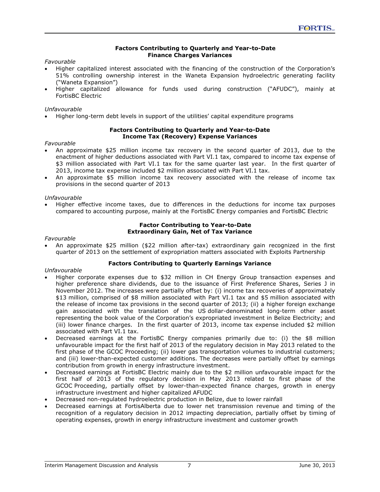### **Factors Contributing to Quarterly and Year-to-Date Finance Charges Variances**

*Favourable*

- - Higher capitalized interest associated with the financing of the construction of the Corporation's 51% controlling ownership interest in the Waneta Expansion hydroelectric generating facility ("Waneta Expansion")
- - Higher capitalized allowance for funds used during construction ("AFUDC"), mainly at FortisBC Electric

### *Unfavourable*

-Higher long-term debt levels in support of the utilities' capital expenditure programs

### **Factors Contributing to Quarterly and Year-to-Date Income Tax (Recovery) Expense Variances**

*Favourable*

- - An approximate \$25 million income tax recovery in the second quarter of 2013, due to the enactment of higher deductions associated with Part VI.1 tax, compared to income tax expense of \$3 million associated with Part VI.1 tax for the same quarter last year. In the first quarter of 2013, income tax expense included \$2 million associated with Part VI.1 tax.
- - An approximate \$5 million income tax recovery associated with the release of income tax provisions in the second quarter of 2013

### *Unfavourable*

- Higher effective income taxes, due to differences in the deductions for income tax purposes compared to accounting purpose, mainly at the FortisBC Energy companies and FortisBC Electric

### **Factor Contributing to Year-to-Date Extraordinary Gain, Net of Tax Variance**

*Favourable*

- An approximate \$25 million (\$22 million after-tax) extraordinary gain recognized in the first quarter of 2013 on the settlement of expropriation matters associated with Exploits Partnership

## **Factors Contributing to Quarterly Earnings Variance**

*Unfavourable*

- - Higher corporate expenses due to \$32 million in CH Energy Group transaction expenses and higher preference share dividends, due to the issuance of First Preference Shares, Series J in November 2012. The increases were partially offset by: (i) income tax recoveries of approximately \$13 million, comprised of \$8 million associated with Part VI.1 tax and \$5 million associated with the release of income tax provisions in the second quarter of 2013; (ii) a higher foreign exchange gain associated with the translation of the US dollar-denominated long-term other asset representing the book value of the Corporation's expropriated investment in Belize Electricity; and (iii) lower finance charges. In the first quarter of 2013, income tax expense included \$2 million associated with Part VI.1 tax.
- - Decreased earnings at the FortisBC Energy companies primarily due to: (i) the \$8 million unfavourable impact for the first half of 2013 of the regulatory decision in May 2013 related to the first phase of the GCOC Proceeding; (ii) lower gas transportation volumes to industrial customers; and (iii) lower-than-expected customer additions. The decreases were partially offset by earnings contribution from growth in energy infrastructure investment.
- - Decreased earnings at FortisBC Electric mainly due to the \$2 million unfavourable impact for the first half of 2013 of the regulatory decision in May 2013 related to first phase of the GCOC Proceeding, partially offset by lower-than-expected finance charges, growth in energy infrastructure investment and higher capitalized AFUDC
- -Decreased non-regulated hydroelectric production in Belize, due to lower rainfall
- - Decreased earnings at FortisAlberta due to lower net transmission revenue and timing of the recognition of a regulatory decision in 2012 impacting depreciation, partially offset by timing of operating expenses, growth in energy infrastructure investment and customer growth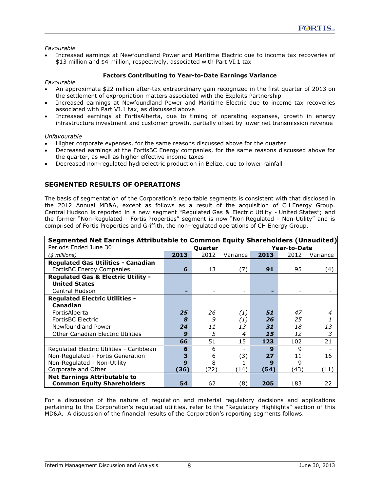## *Favourable*

- Increased earnings at Newfoundland Power and Maritime Electric due to income tax recoveries of \$13 million and \$4 million, respectively, associated with Part VI.1 tax

## **Factors Contributing to Year-to-Date Earnings Variance**

## *Favourable*

- - An approximate \$22 million after-tax extraordinary gain recognized in the first quarter of 2013 on the settlement of expropriation matters associated with the Exploits Partnership
- - Increased earnings at Newfoundland Power and Maritime Electric due to income tax recoveries associated with Part VI.1 tax, as discussed above
- - Increased earnings at FortisAlberta, due to timing of operating expenses, growth in energy infrastructure investment and customer growth, partially offset by lower net transmission revenue

### *Unfavourable*

- -Higher corporate expenses, for the same reasons discussed above for the quarter
- - Decreased earnings at the FortisBC Energy companies, for the same reasons discussed above for the quarter, as well as higher effective income taxes
- -Decreased non-regulated hydroelectric production in Belize, due to lower rainfall

## **SEGMENTED RESULTS OF OPERATIONS**

The basis of segmentation of the Corporation's reportable segments is consistent with that disclosed in the 2012 Annual MD&A, except as follows as a result of the acquisition of CH Energy Group. Central Hudson is reported in a new segment "Regulated Gas & Electric Utility - United States"; and the former "Non-Regulated - Fortis Properties" segment is now "Non Regulated - Non-Utility" and is comprised of Fortis Properties and Griffith, the non-regulated operations of CH Energy Group.

|                                               | Segmented Net Earnings Attributable to Common Equity Shareholders (Unaudited) |                |          |      |              |          |  |  |
|-----------------------------------------------|-------------------------------------------------------------------------------|----------------|----------|------|--------------|----------|--|--|
| Periods Ended June 30                         |                                                                               | <b>Quarter</b> |          |      | Year-to-Date |          |  |  |
| $($$ millions)                                | 2013                                                                          | 2012           | Variance | 2013 | 2012         | Variance |  |  |
| <b>Regulated Gas Utilities - Canadian</b>     |                                                                               |                |          |      |              |          |  |  |
| FortisBC Energy Companies                     | 6                                                                             | 13             | (7)      | 91   | 95           | (4)      |  |  |
| <b>Regulated Gas &amp; Electric Utility -</b> |                                                                               |                |          |      |              |          |  |  |
| <b>United States</b>                          |                                                                               |                |          |      |              |          |  |  |
| Central Hudson                                |                                                                               |                |          |      |              |          |  |  |
| <b>Regulated Electric Utilities -</b>         |                                                                               |                |          |      |              |          |  |  |
| Canadian                                      |                                                                               |                |          |      |              |          |  |  |
| FortisAlberta                                 | 25                                                                            | 26             | (1)      | 51   | 47           | 4        |  |  |
| FortisBC Electric                             | 8                                                                             | 9              | (1)      | 26   | 25           |          |  |  |
| Newfoundland Power                            | 24                                                                            | 11             | 13       | 31   | 18           | 13       |  |  |
| <b>Other Canadian Electric Utilities</b>      | 9                                                                             | 5              | 4        | 15   | 12           | 3        |  |  |
|                                               | 66                                                                            | 51             | 15       | 123  | 102          | 21       |  |  |
| Regulated Electric Utilities - Caribbean      | 6                                                                             | 6              |          | 9    | $\mathsf{q}$ |          |  |  |
| Non-Regulated - Fortis Generation             | 3                                                                             | 6              | (3)      | 27   | 11           | 16       |  |  |
| Non-Regulated - Non-Utility                   | 9                                                                             | 8              |          |      | 9            |          |  |  |
| Corporate and Other                           | (36)                                                                          | (22)           | (14)     | (54) | (43)         | (11)     |  |  |
| <b>Net Earnings Attributable to</b>           |                                                                               |                |          |      |              |          |  |  |
| <b>Common Equity Shareholders</b>             | 54                                                                            | 62             | (8)      | 205  | 183          | 22       |  |  |

For a discussion of the nature of regulation and material regulatory decisions and applications pertaining to the Corporation's regulated utilities, refer to the "Regulatory Highlights" section of this MD&A. A discussion of the financial results of the Corporation's reporting segments follows.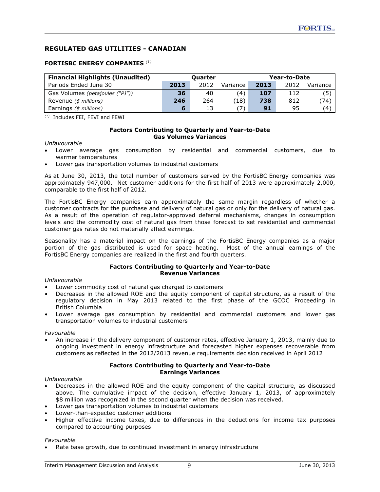## **REGULATED GAS UTILITIES - CANADIAN**

## **FORTISBC ENERGY COMPANIES** *(1)*

| <b>Financial Highlights (Unaudited)</b> |      | <b>Quarter</b> |          | Year-to-Date |      |          |  |
|-----------------------------------------|------|----------------|----------|--------------|------|----------|--|
| Periods Ended June 30                   | 2013 | 2012           | Variance | 2013         | 2012 | Variance |  |
| Gas Volumes (petajoules ("PJ"))         | 36   | 40             | (4)      | 107          | 112  | (5)      |  |
| Revenue (\$ millions)                   | 246  | 264            | (18)     | 738          | 812  | (74)     |  |
| Earnings (\$ millions)                  |      | 13             | 7)       | 91           | 95   | (4)      |  |

*(1)* Includes FEI, FEVI and FEWI

## **Factors Contributing to Quarterly and Year-to-Date Gas Volumes Variances**

*Unfavourable*

- - Lower average gas consumption by residential and commercial customers, due to warmer temperatures
- -Lower gas transportation volumes to industrial customers

As at June 30, 2013, the total number of customers served by the FortisBC Energy companies was approximately 947,000. Net customer additions for the first half of 2013 were approximately 2,000, comparable to the first half of 2012.

The FortisBC Energy companies earn approximately the same margin regardless of whether a customer contracts for the purchase and delivery of natural gas or only for the delivery of natural gas. As a result of the operation of regulator-approved deferral mechanisms, changes in consumption levels and the commodity cost of natural gas from those forecast to set residential and commercial customer gas rates do not materially affect earnings.

Seasonality has a material impact on the earnings of the FortisBC Energy companies as a major portion of the gas distributed is used for space heating. Most of the annual earnings of the FortisBC Energy companies are realized in the first and fourth quarters.

### **Factors Contributing to Quarterly and Year-to-Date Revenue Variances**

## *Unfavourable*

- Lower commodity cost of natural gas charged to customers
- Decreases in the allowed ROE and the equity component of capital structure, as a result of the regulatory decision in May 2013 related to the first phase of the GCOC Proceeding in British Columbia
- Lower average gas consumption by residential and commercial customers and lower gas transportation volumes to industrial customers

*Favourable*

• An increase in the delivery component of customer rates, effective January 1, 2013, mainly due to ongoing investment in energy infrastructure and forecasted higher expenses recoverable from customers as reflected in the 2012/2013 revenue requirements decision received in April 2012

### **Factors Contributing to Quarterly and Year-to-Date Earnings Variances**

## *Unfavourable*

- - Decreases in the allowed ROE and the equity component of the capital structure, as discussed above. The cumulative impact of the decision, effective January 1, 2013, of approximately \$8 million was recognized in the second quarter when the decision was received.
- -Lower gas transportation volumes to industrial customers
- -Lower-than-expected customer additions
- - Higher effective income taxes, due to differences in the deductions for income tax purposes compared to accounting purposes

## *Favourable*

-Rate base growth, due to continued investment in energy infrastructure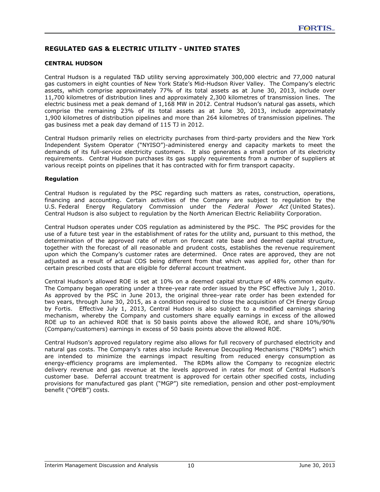## **REGULATED GAS & ELECTRIC UTILITY - UNITED STATES**

## **CENTRAL HUDSON**

Central Hudson is a regulated T&D utility serving approximately 300,000 electric and 77,000 natural gas customers in eight counties of New York State's Mid-Hudson River Valley. The Company's electric assets, which comprise approximately 77% of its total assets as at June 30, 2013, include over 11,700 kilometres of distribution lines and approximately 2,300 kilometres of transmission lines. The electric business met a peak demand of 1,168 MW in 2012. Central Hudson's natural gas assets, which comprise the remaining 23% of its total assets as at June 30, 2013, include approximately 1,900 kilometres of distribution pipelines and more than 264 kilometres of transmission pipelines. The gas business met a peak day demand of 115 TJ in 2012.

Central Hudson primarily relies on electricity purchases from third-party providers and the New York Independent System Operator ("NYISO")-administered energy and capacity markets to meet the demands of its full-service electricity customers. It also generates a small portion of its electricity requirements. Central Hudson purchases its gas supply requirements from a number of suppliers at various receipt points on pipelines that it has contracted with for firm transport capacity.

## **Regulation**

Central Hudson is regulated by the PSC regarding such matters as rates, construction, operations, financing and accounting. Certain activities of the Company are subject to regulation by the U.S. Federal Energy Regulatory Commission under the *Federal Power Act* (United States). Central Hudson is also subject to regulation by the North American Electric Reliability Corporation.

Central Hudson operates under COS regulation as administered by the PSC. The PSC provides for the use of a future test year in the establishment of rates for the utility and, pursuant to this method, the determination of the approved rate of return on forecast rate base and deemed capital structure, together with the forecast of all reasonable and prudent costs, establishes the revenue requirement upon which the Company's customer rates are determined. Once rates are approved, they are not adjusted as a result of actual COS being different from that which was applied for, other than for certain prescribed costs that are eligible for deferral account treatment.

Central Hudson's allowed ROE is set at 10% on a deemed capital structure of 48% common equity. The Company began operating under a three-year rate order issued by the PSC effective July 1, 2010. As approved by the PSC in June 2013, the original three-year rate order has been extended for two years, through June 30, 2015, as a condition required to close the acquisition of CH Energy Group by Fortis. Effective July 1, 2013, Central Hudson is also subject to a modified earnings sharing mechanism, whereby the Company and customers share equally earnings in excess of the allowed ROE up to an achieved ROE that is 50 basis points above the allowed ROE, and share 10%/90% (Company/customers) earnings in excess of 50 basis points above the allowed ROE.

Central Hudson's approved regulatory regime also allows for full recovery of purchased electricity and natural gas costs. The Company's rates also include Revenue Decoupling Mechanisms ("RDMs") which are intended to minimize the earnings impact resulting from reduced energy consumption as energy-efficiency programs are implemented. The RDMs allow the Company to recognize electric delivery revenue and gas revenue at the levels approved in rates for most of Central Hudson's customer base. Deferral account treatment is approved for certain other specified costs, including provisions for manufactured gas plant ("MGP") site remediation, pension and other post-employment benefit ("OPEB") costs.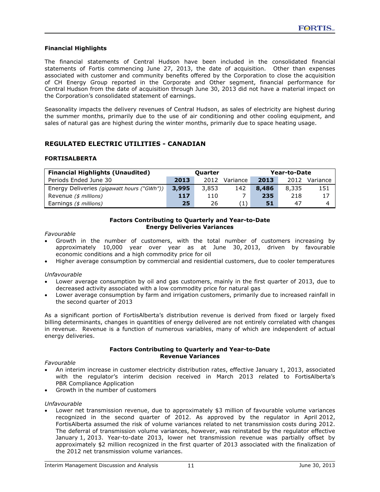## **Financial Highlights**

The financial statements of Central Hudson have been included in the consolidated financial statements of Fortis commencing June 27, 2013, the date of acquisition. Other than expenses associated with customer and community benefits offered by the Corporation to close the acquisition of CH Energy Group reported in the Corporate and Other segment, financial performance for Central Hudson from the date of acquisition through June 30, 2013 did not have a material impact on the Corporation's consolidated statement of earnings.

Seasonality impacts the delivery revenues of Central Hudson, as sales of electricity are highest during the summer months, primarily due to the use of air conditioning and other cooling equipment, and sales of natural gas are highest during the winter months, primarily due to space heating usage.

## **REGULATED ELECTRIC UTILITIES - CANADIAN**

## **FORTISALBERTA**

| <b>Financial Highlights (Unaudited)</b>    | <b>Quarter</b> |       |                                                | Year-to-Date |       |          |
|--------------------------------------------|----------------|-------|------------------------------------------------|--------------|-------|----------|
| Periods Ended June 30                      | 2013           | 2012  | Variance                                       | 2013         | 2012  | Variance |
| Energy Deliveries (gigawatt hours ("GWh")) | 3,995          | 3,853 | 142                                            | 8,486        | 8,335 | 151      |
| Revenue (\$ millions)                      | 117            | 110   |                                                | 235          | 218   | 17       |
| Earnings (\$ millions)                     | 25             | 26    | $\left( \begin{matrix} 1 \end{matrix} \right)$ | 51           | 47    | 4        |

## **Factors Contributing to Quarterly and Year-to-Date Energy Deliveries Variances**

#### *Favourable*

- - Growth in the number of customers, with the total number of customers increasing by approximately 10,000 year over year as at June 30, 2013, driven by favourable economic conditions and a high commodity price for oil
- -Higher average consumption by commercial and residential customers, due to cooler temperatures

## *Unfavourable*

- - Lower average consumption by oil and gas customers, mainly in the first quarter of 2013, due to decreased activity associated with a low commodity price for natural gas
- - Lower average consumption by farm and irrigation customers, primarily due to increased rainfall in the second quarter of 2013

As a significant portion of FortisAlberta's distribution revenue is derived from fixed or largely fixed billing determinants, changes in quantities of energy delivered are not entirely correlated with changes in revenue. Revenue is a function of numerous variables, many of which are independent of actual energy deliveries.

#### **Factors Contributing to Quarterly and Year-to-Date Revenue Variances**

#### *Favourable*

- - An interim increase in customer electricity distribution rates, effective January 1, 2013, associated with the regulator's interim decision received in March 2013 related to FortisAlberta's PBR Compliance Application
- -Growth in the number of customers

#### *Unfavourable*

-Lower net transmission revenue, due to approximately \$3 million of favourable volume variances recognized in the second quarter of 2012. As approved by the regulator in April 2012, FortisAlberta assumed the risk of volume variances related to net transmission costs during 2012. The deferral of transmission volume variances, however, was reinstated by the regulator effective January 1, 2013. Year-to-date 2013, lower net transmission revenue was partially offset by approximately \$2 million recognized in the first quarter of 2013 associated with the finalization of the 2012 net transmission volume variances.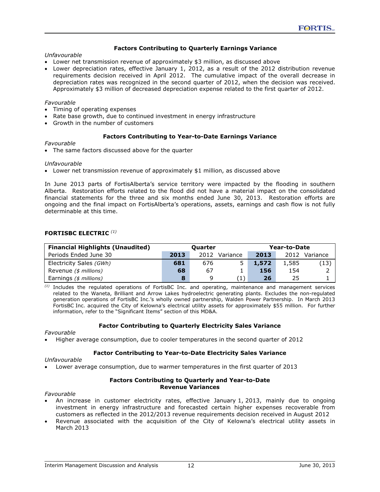## **Factors Contributing to Quarterly Earnings Variance**

*Unfavourable*

- Lower net transmission revenue of approximately \$3 million, as discussed above
- Lower depreciation rates, effective January 1, 2012, as a result of the 2012 distribution revenue requirements decision received in April 2012. The cumulative impact of the overall decrease in depreciation rates was recognized in the second quarter of 2012, when the decision was received. Approximately \$3 million of decreased depreciation expense related to the first quarter of 2012.

## *Favourable*

- Timing of operating expenses
- Rate base growth, due to continued investment in energy infrastructure
- Growth in the number of customers

### **Factors Contributing to Year-to-Date Earnings Variance**

*Favourable*

- The same factors discussed above for the quarter

*Unfavourable*

- Lower net transmission revenue of approximately \$1 million, as discussed above

In June 2013 parts of FortisAlberta's service territory were impacted by the flooding in southern Alberta. Restoration efforts related to the flood did not have a material impact on the consolidated financial statements for the three and six months ended June 30, 2013. Restoration efforts are ongoing and the final impact on FortisAlberta's operations, assets, earnings and cash flow is not fully determinable at this time.

## **FORTISBC ELECTRIC** *(1)*

| <b>Financial Highlights (Unaudited)</b> | <b>Ouarter</b> |      |          | Year-to-Date |       |          |
|-----------------------------------------|----------------|------|----------|--------------|-------|----------|
| Periods Ended June 30                   | 2013           | 2012 | Variance | 2013         | 2012  | Variance |
| Electricity Sales (GWh)                 | 681            | 676  |          | 1,572        | 1,585 | (13)     |
| Revenue (\$ millions)                   | 68             | 67   |          | 156          | 154   |          |
| Earnings (\$ millions)                  |                |      |          | 26           | 25    |          |

*(1)* Includes the regulated operations of FortisBC Inc. and operating, maintenance and management services related to the Waneta, Brilliant and Arrow Lakes hydroelectric generating plants. Excludes the non-regulated generation operations of FortisBC Inc.'s wholly owned partnership, Walden Power Partnership. In March 2013 FortisBC Inc. acquired the City of Kelowna's electrical utility assets for approximately \$55 million. For further information, refer to the "Significant Items" section of this MD&A.

## **Factor Contributing to Quarterly Electricity Sales Variance**

*Favourable*

-Higher average consumption, due to cooler temperatures in the second quarter of 2012

## **Factor Contributing to Year-to-Date Electricity Sales Variance**

*Unfavourable*

- Lower average consumption, due to warmer temperatures in the first quarter of 2013

#### **Factors Contributing to Quarterly and Year-to-Date Revenue Variances**

*Favourable*

- - An increase in customer electricity rates, effective January 1, 2013, mainly due to ongoing investment in energy infrastructure and forecasted certain higher expenses recoverable from customers as reflected in the 2012/2013 revenue requirements decision received in August 2012
- - Revenue associated with the acquisition of the City of Kelowna's electrical utility assets in March 2013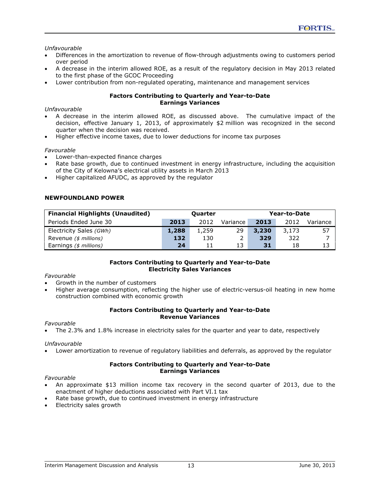## *Unfavourable*

- - Differences in the amortization to revenue of flow-through adjustments owing to customers period over period
- - A decrease in the interim allowed ROE, as a result of the regulatory decision in May 2013 related to the first phase of the GCOC Proceeding
- -Lower contribution from non-regulated operating, maintenance and management services

## **Factors Contributing to Quarterly and Year-to-Date Earnings Variances**

## *Unfavourable*

- - A decrease in the interim allowed ROE, as discussed above. The cumulative impact of the decision, effective January 1, 2013, of approximately \$2 million was recognized in the second quarter when the decision was received.
- -Higher effective income taxes, due to lower deductions for income tax purposes

## *Favourable*

- -Lower-than-expected finance charges
- - Rate base growth, due to continued investment in energy infrastructure, including the acquisition of the City of Kelowna's electrical utility assets in March 2013
- -Higher capitalized AFUDC, as approved by the regulator

## **NEWFOUNDLAND POWER**

| <b>Financial Highlights (Unaudited)</b> | <b>Quarter</b> |       |          | Year-to-Date |       |          |  |
|-----------------------------------------|----------------|-------|----------|--------------|-------|----------|--|
| Periods Ended June 30                   | 2013           | 2012  | Variance | 2013         | 2012  | Variance |  |
| Electricity Sales (GWh)                 | 1,288          | 1,259 | 29       | 3,230        | 3,173 | 57       |  |
| Revenue (\$ millions)                   | 132            | 130   |          | 329          | 322   |          |  |
| Earnings $(\frac{1}{2}$ millions)       | 24             | 11    | 13       | 31           | 18    | 13       |  |

## **Factors Contributing to Quarterly and Year-to-Date Electricity Sales Variances**

## *Favourable*

- -Growth in the number of customers
- - Higher average consumption, reflecting the higher use of electric-versus-oil heating in new home construction combined with economic growth

#### **Factors Contributing to Quarterly and Year-to-Date Revenue Variances**

#### *Favourable*

-The 2.3% and 1.8% increase in electricity sales for the quarter and year to date, respectively

#### *Unfavourable*

-Lower amortization to revenue of regulatory liabilities and deferrals, as approved by the regulator

### **Factors Contributing to Quarterly and Year-to-Date Earnings Variances**

#### *Favourable*

- - An approximate \$13 million income tax recovery in the second quarter of 2013, due to the enactment of higher deductions associated with Part VI.1 tax
- -Rate base growth, due to continued investment in energy infrastructure
- -Electricity sales growth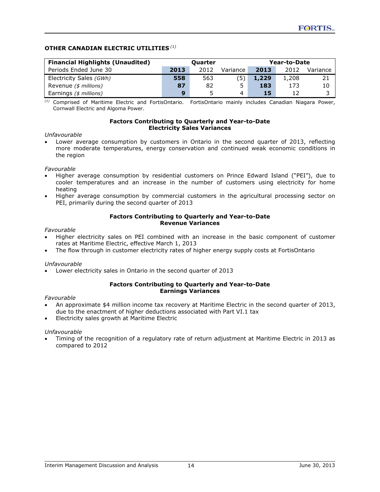## **OTHER CANADIAN ELECTRIC UTILITIES** *(1)*

| <b>Financial Highlights (Unaudited)</b> |           | <b>Quarter</b> |          | Year-to-Date |       |          |  |
|-----------------------------------------|-----------|----------------|----------|--------------|-------|----------|--|
| Periods Ended June 30                   | 2013      | 2012           | Variance | 2013         | 2012  | Variance |  |
| Electricity Sales (GWh)                 | 558       | 563            | (5)      | 1,229        | 1,208 | 21       |  |
| Revenue (\$ millions)                   | 87        | 82             |          | 183          | 173   | 10       |  |
| Earnings (\$ millions)                  | $\bullet$ |                | 4        | 15           |       |          |  |

*(1)* Comprised of Maritime Electric and FortisOntario. FortisOntario mainly includes Canadian Niagara Power, Cornwall Electric and Algoma Power.

#### **Factors Contributing to Quarterly and Year-to-Date Electricity Sales Variances**

## *Unfavourable*

- Lower average consumption by customers in Ontario in the second quarter of 2013, reflecting more moderate temperatures, energy conservation and continued weak economic conditions in the region

### *Favourable*

- - Higher average consumption by residential customers on Prince Edward Island ("PEI"), due to cooler temperatures and an increase in the number of customers using electricity for home heating
- - Higher average consumption by commercial customers in the agricultural processing sector on PEI, primarily during the second quarter of 2013

#### **Factors Contributing to Quarterly and Year-to-Date Revenue Variances**

## *Favourable*

- - Higher electricity sales on PEI combined with an increase in the basic component of customer rates at Maritime Electric, effective March 1, 2013
- -The flow through in customer electricity rates of higher energy supply costs at FortisOntario

#### *Unfavourable*

-Lower electricity sales in Ontario in the second quarter of 2013

#### **Factors Contributing to Quarterly and Year-to-Date Earnings Variances**

## *Favourable*

- - An approximate \$4 million income tax recovery at Maritime Electric in the second quarter of 2013, due to the enactment of higher deductions associated with Part VI.1 tax
- -Electricity sales growth at Maritime Electric

## *Unfavourable*

- Timing of the recognition of a regulatory rate of return adjustment at Maritime Electric in 2013 as compared to 2012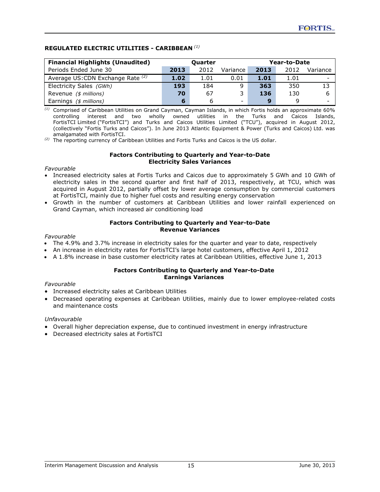## **REGULATED ELECTRIC UTILITIES - CARIBBEAN** *(1)*

| <b>Financial Highlights (Unaudited)</b> |      | <b>Quarter</b> |                          | Year-to-Date |      |          |  |
|-----------------------------------------|------|----------------|--------------------------|--------------|------|----------|--|
| Periods Ended June 30                   | 2013 | 2012           | Variance                 | 2013         | 2012 | Variance |  |
| Average US: CDN Exchange Rate (2)       | 1.02 | 1.01           | 0.01                     | 1.01         | 1.01 |          |  |
| Electricity Sales (GWh)                 | 193  | 184            | 9                        | 363          | 350  | 13       |  |
| Revenue $(s$ millions)                  | 70   | 67             | ر                        | 136          | 130  | 6        |  |
| Earnings $(\frac{1}{2}$ millions)       |      | b              | $\overline{\phantom{0}}$ | 9            | q    | -        |  |

*(1)* Comprised of Caribbean Utilities on Grand Cayman, Cayman Islands, in which Fortis holds an approximate 60% controlling interest and two wholly owned utilities in the Turks and Caicos Islands, FortisTCI Limited ("FortisTCI") and Turks and Caicos Utilities Limited ("TCU"), acquired in August 2012, (collectively "Fortis Turks and Caicos"). In June 2013 Atlantic Equipment & Power (Turks and Caicos) Ltd. was amalgamated with FortisTCI.

*(2)* The reporting currency of Caribbean Utilities and Fortis Turks and Caicos is the US dollar.

### **Factors Contributing to Quarterly and Year-to-Date Electricity Sales Variances**

#### *Favourable*

- Increased electricity sales at Fortis Turks and Caicos due to approximately 5 GWh and 10 GWh of electricity sales in the second quarter and first half of 2013, respectively, at TCU, which was acquired in August 2012, partially offset by lower average consumption by commercial customers at FortisTCI, mainly due to higher fuel costs and resulting energy conservation
- Growth in the number of customers at Caribbean Utilities and lower rainfall experienced on Grand Cayman, which increased air conditioning load

#### **Factors Contributing to Quarterly and Year-to-Date Revenue Variances**

## *Favourable*

- The 4.9% and 3.7% increase in electricity sales for the quarter and year to date, respectively
- An increase in electricity rates for FortisTCI's large hotel customers, effective April 1, 2012
- A 1.8% increase in base customer electricity rates at Caribbean Utilities, effective June 1, 2013

### **Factors Contributing to Quarterly and Year-to-Date Earnings Variances**

## *Favourable*

- Increased electricity sales at Caribbean Utilities
- Decreased operating expenses at Caribbean Utilities, mainly due to lower employee-related costs and maintenance costs

#### *Unfavourable*

- Overall higher depreciation expense, due to continued investment in energy infrastructure
- Decreased electricity sales at FortisTCI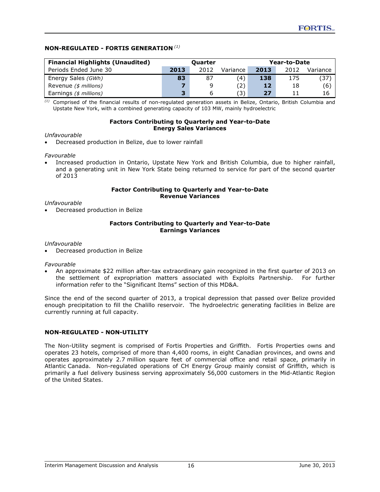## **NON-REGULATED - FORTIS GENERATION** *(1)*

| <b>Financial Highlights (Unaudited)</b> |                          | <b>Ouarter</b> |                | Year-to-Date |      |          |  |
|-----------------------------------------|--------------------------|----------------|----------------|--------------|------|----------|--|
| Periods Ended June 30                   | 2013                     | 2012           | Variance       | 2013         | 2012 | Variance |  |
| Energy Sales (GWh)                      | 83                       | 87             | '4)            | 138          | 175  | (37)     |  |
| Revenue $(*)$ millions)                 |                          | a              | $^{\prime}$ 2) | 12           | 18   | (6)      |  |
| Earnings (\$ millions)                  | $\overline{\phantom{a}}$ |                | (3)            | 27           |      | 16       |  |

*(1)* Comprised of the financial results of non-regulated generation assets in Belize, Ontario, British Columbia and Upstate New York, with a combined generating capacity of 103 MW, mainly hydroelectric

### **Factors Contributing to Quarterly and Year-to-Date Energy Sales Variances**

#### *Unfavourable*

-Decreased production in Belize, due to lower rainfall

### *Favourable*

- Increased production in Ontario, Upstate New York and British Columbia, due to higher rainfall, and a generating unit in New York State being returned to service for part of the second quarter of 2013

### **Factor Contributing to Quarterly and Year-to-Date Revenue Variances**

#### *Unfavourable*

-Decreased production in Belize

## **Factors Contributing to Quarterly and Year-to-Date Earnings Variances**

### *Unfavourable*

-Decreased production in Belize

#### *Favourable*

- An approximate \$22 million after-tax extraordinary gain recognized in the first quarter of 2013 on the settlement of expropriation matters associated with Exploits Partnership. For further information refer to the "Significant Items" section of this MD&A.

Since the end of the second quarter of 2013, a tropical depression that passed over Belize provided enough precipitation to fill the Chalillo reservoir. The hydroelectric generating facilities in Belize are currently running at full capacity.

## **NON-REGULATED - NON-UTILITY**

The Non-Utility segment is comprised of Fortis Properties and Griffith. Fortis Properties owns and operates 23 hotels, comprised of more than 4,400 rooms, in eight Canadian provinces, and owns and operates approximately 2.7 million square feet of commercial office and retail space, primarily in Atlantic Canada. Non-regulated operations of CH Energy Group mainly consist of Griffith, which is primarily a fuel delivery business serving approximately 56,000 customers in the Mid-Atlantic Region of the United States.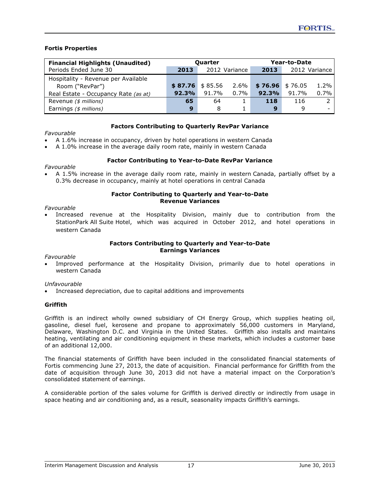## **Fortis Properties**

| <b>Financial Highlights (Unaudited)</b> | <b>Quarter</b> |               |      | Year-to-Date |         |               |  |
|-----------------------------------------|----------------|---------------|------|--------------|---------|---------------|--|
| Periods Ended June 30                   | 2013           | 2012 Variance |      | 2013         |         | 2012 Variance |  |
| Hospitality - Revenue per Available     |                |               |      |              |         |               |  |
| Room ("RevPar")                         | \$87.76        | \$85.56       | 2.6% | \$76.96      | \$76.05 | $1.2\%$       |  |
| Real Estate - Occupancy Rate (as at)    | 92.3%          | 91.7%         | 0.7% | 92.3%        | 91.7%   | 0.7%          |  |
| Revenue $(*)$ millions)                 | 65             | 64            |      | 118          | 116     |               |  |
| Earnings (\$ millions)                  | 9              | 8             |      | 9            | 9       |               |  |

## **Factors Contributing to Quarterly RevPar Variance**

*Favourable*

- -A 1.6% increase in occupancy, driven by hotel operations in western Canada
- -A 1.0% increase in the average daily room rate, mainly in western Canada

## **Factor Contributing to Year-to-Date RevPar Variance**

*Favourable*

- A 1.5% increase in the average daily room rate, mainly in western Canada, partially offset by a 0.3% decrease in occupancy, mainly at hotel operations in central Canada

#### **Factor Contributing to Quarterly and Year-to-Date Revenue Variances**

#### *Favourable*

- Increased revenue at the Hospitality Division, mainly due to contribution from the StationPark All Suite Hotel, which was acquired in October 2012, and hotel operations in western Canada

### **Factors Contributing to Quarterly and Year-to-Date Earnings Variances**

*Favourable*

- Improved performance at the Hospitality Division, primarily due to hotel operations in western Canada

## *Unfavourable*

-Increased depreciation, due to capital additions and improvements

#### **Griffith**

Griffith is an indirect wholly owned subsidiary of CH Energy Group, which supplies heating oil, gasoline, diesel fuel, kerosene and propane to approximately 56,000 customers in Maryland, Delaware, Washington D.C. and Virginia in the United States. Griffith also installs and maintains heating, ventilating and air conditioning equipment in these markets, which includes a customer base of an additional 12,000.

The financial statements of Griffith have been included in the consolidated financial statements of Fortis commencing June 27, 2013, the date of acquisition. Financial performance for Griffith from the date of acquisition through June 30, 2013 did not have a material impact on the Corporation's consolidated statement of earnings.

A considerable portion of the sales volume for Griffith is derived directly or indirectly from usage in space heating and air conditioning and, as a result, seasonality impacts Griffith's earnings.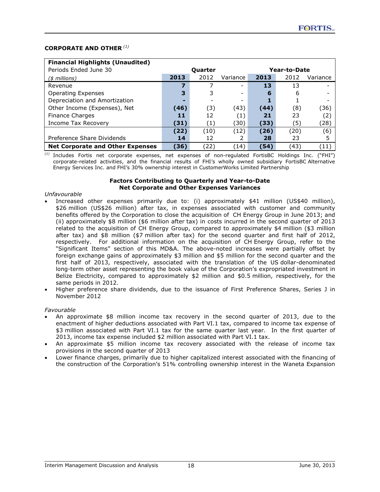## **CORPORATE AND OTHER** *(1)*

| <b>Financial Highlights (Unaudited)</b> |                |      |                   |              |      |          |
|-----------------------------------------|----------------|------|-------------------|--------------|------|----------|
| Periods Ended June 30                   | <b>Quarter</b> |      |                   | Year-to-Date |      |          |
| $($$ millions)                          | 2013           | 2012 | Variance          | 2013         | 2012 | Variance |
| Revenue                                 |                |      | ۰                 | 13           | 13   |          |
| <b>Operating Expenses</b>               |                |      | ۰                 | 6            | 6    |          |
| Depreciation and Amortization           |                |      |                   |              |      |          |
| Other Income (Expenses), Net            | (46)           | (3)  | (43)              | (44)         | (8)  | (36)     |
| Finance Charges                         | 11             | 12   | $\left( 1\right)$ | 21           | 23   | (2)      |
| Income Tax Recovery                     | (31)           | (1)  | (30)              | (33)         | (5)  | (28)     |
|                                         | (22)           | (10) | (12)              | (26)         | (20) | (6)      |
| Preference Share Dividends              | 14             | 12   |                   | 28           | 23   | 5        |
| <b>Net Corporate and Other Expenses</b> | 36)            | (22) | (14)              | 54)          | (43) | (11)     |

*(1)* Includes Fortis net corporate expenses, net expenses of non-regulated FortisBC Holdings Inc. ("FHI") corporate-related activities, and the financial results of FHI's wholly owned subsidiary FortisBC Alternative Energy Services Inc. and FHI's 30% ownership interest in CustomerWorks Limited Partnership

### **Factors Contributing to Quarterly and Year-to-Date Net Corporate and Other Expenses Variances**

### *Unfavourable*

- - Increased other expenses primarily due to: (i) approximately \$41 million (US\$40 million), \$26 million (US\$26 million) after tax, in expenses associated with customer and community benefits offered by the Corporation to close the acquisition of CH Energy Group in June 2013; and (ii) approximately \$8 million (\$6 million after tax) in costs incurred in the second quarter of 2013 related to the acquisition of CH Energy Group, compared to approximately \$4 million (\$3 million after tax) and \$8 million (\$7 million after tax) for the second quarter and first half of 2012, respectively. For additional information on the acquisition of CH Energy Group, refer to the "Significant Items" section of this MD&A. The above-noted increases were partially offset by foreign exchange gains of approximately \$3 million and \$5 million for the second quarter and the first half of 2013, respectively, associated with the translation of the US dollar-denominated long-term other asset representing the book value of the Corporation's expropriated investment in Belize Electricity, compared to approximately \$2 million and \$0.5 million, respectively, for the same periods in 2012.
- - Higher preference share dividends, due to the issuance of First Preference Shares, Series J in November 2012

#### *Favourable*

- - An approximate \$8 million income tax recovery in the second quarter of 2013, due to the enactment of higher deductions associated with Part VI.1 tax, compared to income tax expense of \$3 million associated with Part VI.1 tax for the same quarter last year. In the first quarter of 2013, income tax expense included \$2 million associated with Part VI.1 tax.
- - An approximate \$5 million income tax recovery associated with the release of income tax provisions in the second quarter of 2013
- - Lower finance charges, primarily due to higher capitalized interest associated with the financing of the construction of the Corporation's 51% controlling ownership interest in the Waneta Expansion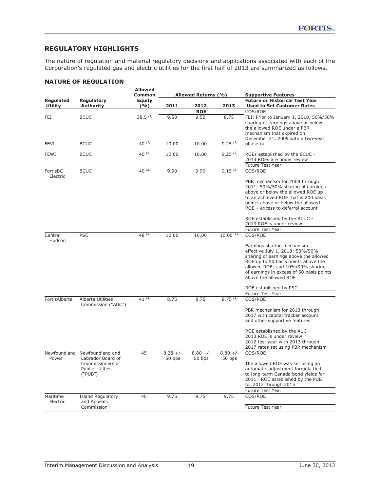## **REGULATORY HIGHLIGHTS**

The nature of regulation and material regulatory decisions and applications associated with each of the Corporation's regulated gas and electric utilities for the first half of 2013 are summarized as follows.

## **NATURE OF REGULATION**

|                             |                                                                                                 | <b>Allowed</b><br>Common |                      | Allowed Returns (%)  |                      | <b>Supportive Features</b>                                                                                                                                                                                                                                                                                      |  |  |
|-----------------------------|-------------------------------------------------------------------------------------------------|--------------------------|----------------------|----------------------|----------------------|-----------------------------------------------------------------------------------------------------------------------------------------------------------------------------------------------------------------------------------------------------------------------------------------------------------------|--|--|
| Regulated<br><b>Utility</b> | Regulatory<br><b>Authority</b>                                                                  | <b>Equity</b><br>(9/6)   | 2011                 | 2012                 | 2013                 | <b>Future or Historical Test Year</b><br><b>Used to Set Customer Rates</b>                                                                                                                                                                                                                                      |  |  |
|                             |                                                                                                 |                          |                      | <b>ROE</b>           |                      | COS/ROE                                                                                                                                                                                                                                                                                                         |  |  |
| FEI                         | <b>BCUC</b>                                                                                     | $38.5^{(1)}$             | 9.50                 | 9.50                 | 8.75                 | FEI: Prior to January 1, 2010, 50%/50%<br>sharing of earnings above or below<br>the allowed ROE under a PBR<br>mechanism that expired on<br>December 31, 2009 with a two-year                                                                                                                                   |  |  |
| <b>FEVI</b>                 | <b>BCUC</b>                                                                                     | $40^{(2)}$               | 10.00                | 10.00                | $9.25^{(2)}$         | phase-out                                                                                                                                                                                                                                                                                                       |  |  |
| <b>FEWI</b>                 | <b>BCUC</b>                                                                                     | $40^{(2)}$               | 10.00                | 10.00                | $9.25^{(2)}$         | ROEs established by the BCUC -<br>2013 ROEs are under review<br>Future Test Year                                                                                                                                                                                                                                |  |  |
| FortisBC<br>Electric        | <b>BCUC</b>                                                                                     | $40^{(2)}$               | 9.90                 | 9.90                 | $9.15^{(2)}$         | COS/ROE                                                                                                                                                                                                                                                                                                         |  |  |
|                             |                                                                                                 |                          |                      |                      |                      | PBR mechanism for 2009 through<br>2011: 50%/50% sharing of earnings<br>above or below the allowed ROE up<br>to an achieved ROE that is 200 basis<br>points above or below the allowed<br>ROE - excess to deferral account<br>ROE established by the BCUC -<br>2013 ROE is under review                          |  |  |
|                             |                                                                                                 |                          |                      |                      |                      | Future Test Year                                                                                                                                                                                                                                                                                                |  |  |
| Central<br>Hudson           | <b>PSC</b>                                                                                      | 48 $(3)$                 | 10.00                | 10.00                | $10.00^{(3)}$        | COS/ROE<br>Earnings sharing mechanism<br>effective July 1, 2013: 50%/50%<br>sharing of earnings above the allowed<br>ROE up to 50 basis points above the<br>allowed ROE; and 10%/90% sharing<br>of earnings in excess of 50 basis points<br>above the allowed ROE<br>ROE established by PSC<br>Future Test Year |  |  |
| FortisAlberta               | Alberta Utilities<br>Commission ("AUC")                                                         | 41 $(4)$                 | 8.75                 | 8.75                 | $8.75^{(4)}$         | COS/ROE<br>PBR mechanism for 2013 through<br>2017 with capital tracker account<br>and other supportive features<br>ROE established by the AUC -<br>2013 ROE is under review<br>2012 test year with 2013 through<br>2017 rates set using PBR mechanism                                                           |  |  |
| Newfoundland<br>Power       | Newfoundland and<br>Labrador Board of<br>Commissioners of<br><b>Public Utilities</b><br>("PUB") | 45                       | $8.38 +/-$<br>50 bps | $8.80 +/-$<br>50 bps | $8.80 +/-$<br>50 bps | COS/ROE<br>The allowed ROE was set using an<br>automatic adjustment formula tied<br>to long-term Canada bond yields for<br>2011. ROE established by the PUB<br>for 2012 through 2015<br>Future Test Year                                                                                                        |  |  |
| Maritime<br>Electric        | <b>Island Regulatory</b><br>and Appeals<br>Commission                                           | 40                       | 9.75                 | 9.75                 | 9.75                 | COS/ROE<br><b>Future Test Year</b>                                                                                                                                                                                                                                                                              |  |  |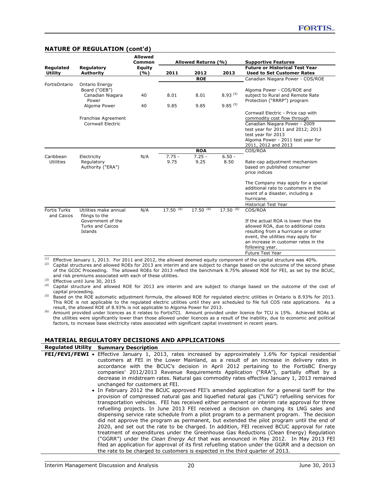#### **NATURE OF REGULATION (cont'd)**

|                                    |                                                                                                    | <b>Allowed</b><br>Common |                  | Allowed Returns (%) |                  | <b>Supportive Features</b>                                                                                                                                                                                                                                |
|------------------------------------|----------------------------------------------------------------------------------------------------|--------------------------|------------------|---------------------|------------------|-----------------------------------------------------------------------------------------------------------------------------------------------------------------------------------------------------------------------------------------------------------|
| <b>Regulated</b><br><b>Utility</b> | Regulatory<br><b>Authority</b>                                                                     | Equity<br>(%)            | 2011             | 2012                | 2013             | <b>Future or Historical Test Year</b><br><b>Used to Set Customer Rates</b>                                                                                                                                                                                |
|                                    |                                                                                                    |                          |                  | <b>ROE</b>          |                  | Canadian Niagara Power - COS/ROE                                                                                                                                                                                                                          |
| FortisOntario                      | Ontario Energy<br>Board ("OEB")<br>Canadian Niagara                                                | 40                       | 8.01             | 8.01                | $8.93^{(5)}$     | Algoma Power - COS/ROE and<br>subject to Rural and Remote Rate                                                                                                                                                                                            |
|                                    | Power<br>Algoma Power                                                                              | 40                       | 9.85             | 9.85                | $9.85^{(5)}$     | Protection ("RRRP") program                                                                                                                                                                                                                               |
|                                    | Franchise Agreement                                                                                |                          |                  |                     |                  | Cornwall Electric - Price cap with<br>commodity cost flow through                                                                                                                                                                                         |
|                                    | Cornwall Electric                                                                                  |                          |                  |                     |                  | Canadian Niagara Power - 2009<br>test year for 2011 and 2012; 2013<br>test year for 2013<br>Algoma Power - 2011 test year for<br>2011, 2012 and 2013                                                                                                      |
|                                    |                                                                                                    |                          |                  | <b>ROA</b>          |                  | COS/ROA                                                                                                                                                                                                                                                   |
| Caribbean<br><b>Utilities</b>      | Electricity<br>Regulatory<br>Authority ("ERA")                                                     | N/A                      | $7.75 -$<br>9.75 | $7.25 -$<br>9.25    | $6.50 -$<br>8.50 | Rate-cap adjustment mechanism<br>based on published consumer<br>price indices                                                                                                                                                                             |
|                                    |                                                                                                    |                          |                  |                     |                  | The Company may apply for a special<br>additional rate to customers in the<br>event of a disaster, including a<br>hurricane.                                                                                                                              |
|                                    |                                                                                                    |                          |                  |                     |                  | <b>Historical Test Year</b>                                                                                                                                                                                                                               |
| <b>Fortis Turks</b><br>and Caicos  | Utilities make annual<br>filings to the<br>Government of the<br><b>Turks and Caicos</b><br>Islands | N/A                      | $17.50^{(6)}$    | $17.50^{(6)}$       | $17.50^{(6)}$    | COS/ROA<br>If the actual ROA is lower than the<br>allowed ROA, due to additional costs<br>resulting from a hurricane or other<br>event, the utilities may apply for<br>an increase in customer rates in the<br>following year.<br><b>Future Test Year</b> |
|                                    |                                                                                                    |                          |                  |                     |                  |                                                                                                                                                                                                                                                           |

*(1)* Effective January 1, 2013. For 2011 and 2012, the allowed deemed equity component of the capital structure was 40%.

*(2)* Capital structures and allowed ROEs for 2013 are interim and are subject to change based on the outcome of the second phase of the GCOC Proceeding. The allowed ROEs for 2013 reflect the benchmark 8.75% allowed ROE for FEI, as set by the BCUC, and risk premiums associated with each of these utilities.

*(3)* Effective until June 30, 2015

*(4)* Capital structure and allowed ROE for 2013 are interim and are subject to change based on the outcome of the cost of capital proceeding.

*(5)* Based on the ROE automatic adjustment formula, the allowed ROE for regulated electric utilities in Ontario is 8.93% for 2013. This ROE is not applicable to the regulated electric utilities until they are scheduled to file full COS rate applications. As a result, the allowed ROE of 8.93% is not applicable to Algoma Power for 2013.

*(6)* Amount provided under licences as it relates to FortisTCI. Amount provided under licence for TCU is 15%. Achieved ROAs at the utilities were significantly lower than those allowed under licences as a result of the inability, due to economic and political factors, to increase base electricity rates associated with significant capital investment in recent years.

#### **MATERIAL REGULATORY DECISIONS AND APPLICATIONS**

**Regulated Utility Summary Description**

- FEI/FEVI/FEWI Effective January 1, 2013, rates increased by approximately 1.6% for typical residential customers at FEI in the Lower Mainland, as a result of an increase in delivery rates in accordance with the BCUC's decision in April 2012 pertaining to the FortisBC Energy companies' 2012/2013 Revenue Requirements Application ("RRA"), partially offset by a decrease in midstream rates. Natural gas commodity rates effective January 1, 2013 remained unchanged for customers at FEI.
	- In February 2012 the BCUC approved FEI's amended application for a general tariff for the provision of compressed natural gas and liquefied natural gas ("LNG") refuelling services for transportation vehicles. FEI has received either permanent or interim rate approval for three refuelling projects. In June 2013 FEI received a decision on changing its LNG sales and dispensing service rate schedule from a pilot program to a permanent program. The decision did not approve the program as permanent, but extended the pilot program until the end of 2020, and set out the rate to be charged. In addition, FEI received BCUC approval for rate treatment of expenditures under the Greenhouse Gas Reductions (Clean Energy) Regulation ("GGRR") under the *Clean Energy Act* that was announced in May 2012. In May 2013 FEI filed an application for approval of its first refuelling station under the GGRR and a decision on the rate to be charged to customers is expected in the third quarter of 2013.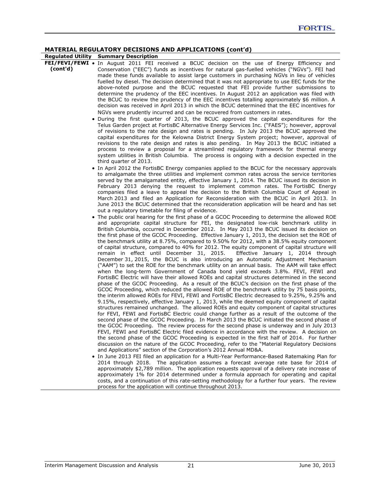**Regulated Utility Summary Description**

- FEI/FEVI/FEWI In August 2011 FEI received a BCUC decision on the use of Energy Efficiency and **(cont'd)** Conservation ("EEC") funds as incentives for natural gas-fuelled vehicles ("NGVs"). FEI had made these funds available to assist large customers in purchasing NGVs in lieu of vehicles fuelled by diesel. The decision determined that it was not appropriate to use EEC funds for the above-noted purpose and the BCUC requested that FEI provide further submissions to determine the prudency of the EEC incentives. In August 2012 an application was filed with the BCUC to review the prudency of the EEC incentives totalling approximately \$6 million. A decision was received in April 2013 in which the BCUC determined that the EEC incentives for NGVs were prudently incurred and can be recovered from customers in rates.
	- During the first quarter of 2013, the BCUC approved the capital expenditures for the Telus Garden project at FortisBC Alternative Energy Services Inc. ("FAES"); however, approval of revisions to the rate design and rates is pending. In July 2013 the BCUC approved the capital expenditures for the Kelowna District Energy System project; however, approval of revisions to the rate design and rates is also pending. In May 2013 the BCUC initiated a process to review a proposal for a streamlined regulatory framework for thermal energy system utilities in British Columbia. The process is ongoing with a decision expected in the third quarter of 2013.
	- In April 2012 the FortisBC Energy companies applied to the BCUC for the necessary approvals to amalgamate the three utilities and implement common rates across the service territories served by the amalgamated entity, effective January 1, 2014. The BCUC issued its decision in February 2013 denying the request to implement common rates. The FortisBC Energy companies filed a leave to appeal the decision to the British Columbia Court of Appeal in March 2013 and filed an Application for Reconsideration with the BCUC in April 2013. In June 2013 the BCUC determined that the reconsideration application will be heard and has set out a regulatory timetable for filing of evidence.
	- The public oral hearing for the first phase of a GCOC Proceeding to determine the allowed ROE and appropriate capital structure for FEI, the designated low-risk benchmark utility in British Columbia, occurred in December 2012. In May 2013 the BCUC issued its decision on the first phase of the GCOC Proceeding. Effective January 1, 2013, the decision set the ROE of the benchmark utility at 8.75%, compared to 9.50% for 2012, with a 38.5% equity component of capital structure, compared to 40% for 2012. The equity component of capital structure will remain in effect until December 31, 2015. Effective January 1, 2014 through December 31, 2015, the BCUC is also introducing an Automatic Adjustment Mechanism ("AAM") to set the ROE for the benchmark utility on an annual basis. The AAM will take effect when the long-term Government of Canada bond yield exceeds 3.8%. FEVI, FEWI and FortisBC Electric will have their allowed ROEs and capital structures determined in the second phase of the GCOC Proceeding. As a result of the BCUC's decision on the first phase of the GCOC Proceeding, which reduced the allowed ROE of the benchmark utility by 75 basis points, the interim allowed ROEs for FEVI, FEWI and FortisBC Electric decreased to 9.25%, 9.25% and 9.15%, respectively, effective January 1, 2013, while the deemed equity component of capital structures remained unchanged. The allowed ROEs and equity component of capital structures for FEVI, FEWI and FortisBC Electric could change further as a result of the outcome of the second phase of the GCOC Proceeding. In March 2013 the BCUC initiated the second phase of the GCOC Proceeding. The review process for the second phase is underway and in July 2013 FEVI, FEWI and FortisBC Electric filed evidence in accordance with the review. A decision on the second phase of the GCOC Proceeding is expected in the first half of 2014. For further discussion on the nature of the GCOC Proceeding, refer to the "Material Regulatory Decisions and Applications" section of the Corporation's 2012 Annual MD&A.
	- In June 2013 FEI filed an application for a Multi-Year Performance-Based Ratemaking Plan for 2014 through 2018. The application assumes a forecast average rate base for 2014 of approximately \$2,789 million. The application requests approval of a delivery rate increase of approximately 1% for 2014 determined under a formula approach for operating and capital costs, and a continuation of this rate-setting methodology for a further four years. The review process for the application will continue throughout 2013.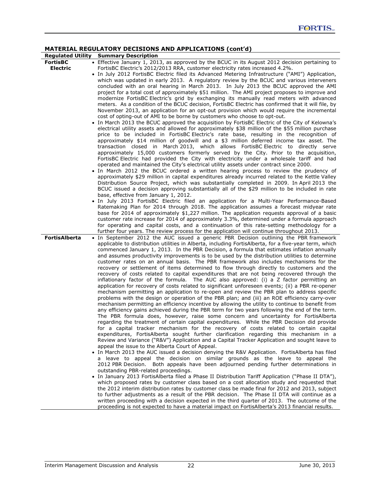|                                    | <b>Regulated Utility Summary Description</b>                                                                                                                                                                                                                                                                                                                                                                                                                                                                                                                                                                                                                                                                                                                                                                                                                                                                                                                                                                                                                                                                                                                                                                                                                                                                                                                                                                                                                                                                                                                                                                                                                                                                                                                                                                                                                                                                                                                                                                                                                                                                                                                                                                                                                                                                                                                                                                                                                                                                                                                                                                                                                                                                                                   |
|------------------------------------|------------------------------------------------------------------------------------------------------------------------------------------------------------------------------------------------------------------------------------------------------------------------------------------------------------------------------------------------------------------------------------------------------------------------------------------------------------------------------------------------------------------------------------------------------------------------------------------------------------------------------------------------------------------------------------------------------------------------------------------------------------------------------------------------------------------------------------------------------------------------------------------------------------------------------------------------------------------------------------------------------------------------------------------------------------------------------------------------------------------------------------------------------------------------------------------------------------------------------------------------------------------------------------------------------------------------------------------------------------------------------------------------------------------------------------------------------------------------------------------------------------------------------------------------------------------------------------------------------------------------------------------------------------------------------------------------------------------------------------------------------------------------------------------------------------------------------------------------------------------------------------------------------------------------------------------------------------------------------------------------------------------------------------------------------------------------------------------------------------------------------------------------------------------------------------------------------------------------------------------------------------------------------------------------------------------------------------------------------------------------------------------------------------------------------------------------------------------------------------------------------------------------------------------------------------------------------------------------------------------------------------------------------------------------------------------------------------------------------------------------|
| <b>FortisBC</b><br><b>Electric</b> | • Effective January 1, 2013, as approved by the BCUC in its August 2012 decision pertaining to<br>FortisBC Electric's 2012/2013 RRA, customer electricity rates increased 4.2%.                                                                                                                                                                                                                                                                                                                                                                                                                                                                                                                                                                                                                                                                                                                                                                                                                                                                                                                                                                                                                                                                                                                                                                                                                                                                                                                                                                                                                                                                                                                                                                                                                                                                                                                                                                                                                                                                                                                                                                                                                                                                                                                                                                                                                                                                                                                                                                                                                                                                                                                                                                |
|                                    | • In July 2012 FortisBC Electric filed its Advanced Metering Infrastructure ("AMI") Application,<br>which was updated in early 2013. A regulatory review by the BCUC and various interveners<br>concluded with an oral hearing in March 2013. In July 2013 the BCUC approved the AMI<br>project for a total cost of approximately \$51 million. The AMI project proposes to improve and<br>modernize FortisBC Electric's grid by exchanging its manually read meters with advanced<br>meters. As a condition of the BCUC decision, FortisBC Electric has confirmed that it will file, by<br>November 2013, an application for an opt-out provision which would require the incremental<br>cost of opting-out of AMI to be borne by customers who choose to opt-out.<br>• In March 2013 the BCUC approved the acquisition by FortisBC Electric of the City of Kelowna's<br>electrical utility assets and allowed for approximately \$38 million of the \$55 million purchase<br>price to be included in FortisBC Electric's rate base, resulting in the recognition of<br>approximately \$14 million of goodwill and a \$3 million deferred income tax asset. The<br>transaction closed in March 2013, which allows FortisBC Electric to directly serve<br>approximately 15,000 customers formerly served by the City. Prior to the acquisition,<br>FortisBC Electric had provided the City with electricity under a wholesale tariff and had<br>operated and maintained the City's electrical utility assets under contract since 2000.<br>• In March 2012 the BCUC ordered a written hearing process to review the prudency of<br>approximately \$29 million in capital expenditures already incurred related to the Kettle Valley<br>Distribution Source Project, which was substantially completed in 2009. In April 2013 the<br>BCUC issued a decision approving substantially all of the \$29 million to be included in rate                                                                                                                                                                                                                                                                                                                                                                                                                                                                                                                                                                                                                                                                                                                                                                                                              |
|                                    | base, effective from January 1, 2012.<br>. In July 2013 FortisBC Electric filed an application for a Multi-Year Performance-Based<br>Ratemaking Plan for 2014 through 2018. The application assumes a forecast midyear rate                                                                                                                                                                                                                                                                                                                                                                                                                                                                                                                                                                                                                                                                                                                                                                                                                                                                                                                                                                                                                                                                                                                                                                                                                                                                                                                                                                                                                                                                                                                                                                                                                                                                                                                                                                                                                                                                                                                                                                                                                                                                                                                                                                                                                                                                                                                                                                                                                                                                                                                    |
|                                    | base for 2014 of approximately $$1,227$ million. The application requests approval of a basic<br>customer rate increase for 2014 of approximately 3.3%, determined under a formula approach<br>for operating and capital costs, and a continuation of this rate-setting methodology for a<br>further four years. The review process for the application will continue throughout 2013.                                                                                                                                                                                                                                                                                                                                                                                                                                                                                                                                                                                                                                                                                                                                                                                                                                                                                                                                                                                                                                                                                                                                                                                                                                                                                                                                                                                                                                                                                                                                                                                                                                                                                                                                                                                                                                                                                                                                                                                                                                                                                                                                                                                                                                                                                                                                                         |
| <b>FortisAlberta</b>               | • In September 2012 the AUC issued a generic PBR Decision outlining the PBR framework<br>applicable to distribution utilities in Alberta, including FortisAlberta, for a five-year term, which<br>commenced January 1, 2013. In the PBR Decision, a formula that estimates inflation annually<br>and assumes productivity improvements is to be used by the distribution utilities to determine<br>customer rates on an annual basis. The PBR framework also includes mechanisms for the<br>recovery or settlement of items determined to flow through directly to customers and the<br>recovery of costs related to capital expenditures that are not being recovered through the<br>inflationary factor of the formula. The AUC also approved: (i) a Z factor permitting an<br>application for recovery of costs related to significant unforeseen events; (ii) a PBR re-opener<br>mechanism permitting an application to re-open and review the PBR plan to address specific<br>problems with the design or operation of the PBR plan; and (iii) an ROE efficiency carry-over<br>mechanism permitting an efficiency incentive by allowing the utility to continue to benefit from<br>any efficiency gains achieved during the PBR term for two years following the end of the term.<br>The PBR formula does, however, raise some concern and uncertainty for FortisAlberta<br>regarding the treatment of certain capital expenditures. While the PBR Decision did provide<br>for a capital tracker mechanism for the recovery of costs related to certain capital<br>expenditures, FortisAlberta sought further clarification regarding this mechanism in a<br>Review and Variance ("R&V") Application and a Capital Tracker Application and sought leave to<br>appeal the issue to the Alberta Court of Appeal.<br>• In March 2013 the AUC issued a decision denying the R&V Application. FortisAlberta has filed<br>a leave to appeal the decision on similar grounds as the leave to appeal the<br>2012 PBR Decision. Both appeals have been adjourned pending further determinations in<br>outstanding PBR-related proceedings.<br>• In January 2013 FortisAlberta filed a Phase II Distribution Tariff Application ("Phase II DTA"),<br>which proposed rates by customer class based on a cost allocation study and requested that<br>the 2012 interim distribution rates by customer class be made final for 2012 and 2013, subject<br>to further adjustments as a result of the PBR decision. The Phase II DTA will continue as a<br>written proceeding with a decision expected in the third quarter of 2013. The outcome of the<br>proceeding is not expected to have a material impact on FortisAlberta's 2013 financial results. |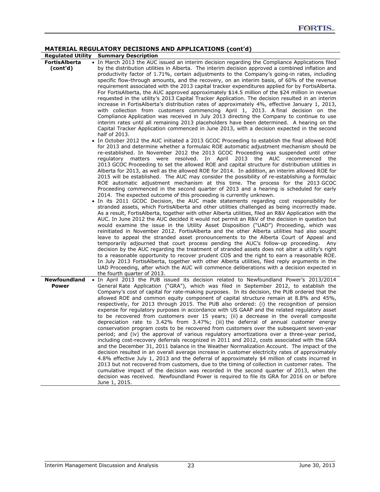| <b>Regulated Utility</b>         | <b>Summary Description</b>                                                                                                                                                                                                                                                                                                                                                                                                                                                                                                                                                                                                                                                                                                                                                                                                                                                                                                                                                                                                                                                                                                                                                                                                                                                                                                                                                                                                                                                                                                                                                                                                                                                                                                                                                                                                                                                                                                                                                                                                                                                                                                                                         |
|----------------------------------|--------------------------------------------------------------------------------------------------------------------------------------------------------------------------------------------------------------------------------------------------------------------------------------------------------------------------------------------------------------------------------------------------------------------------------------------------------------------------------------------------------------------------------------------------------------------------------------------------------------------------------------------------------------------------------------------------------------------------------------------------------------------------------------------------------------------------------------------------------------------------------------------------------------------------------------------------------------------------------------------------------------------------------------------------------------------------------------------------------------------------------------------------------------------------------------------------------------------------------------------------------------------------------------------------------------------------------------------------------------------------------------------------------------------------------------------------------------------------------------------------------------------------------------------------------------------------------------------------------------------------------------------------------------------------------------------------------------------------------------------------------------------------------------------------------------------------------------------------------------------------------------------------------------------------------------------------------------------------------------------------------------------------------------------------------------------------------------------------------------------------------------------------------------------|
| <b>FortisAlberta</b><br>(cont'd) | • In March 2013 the AUC issued an interim decision regarding the Compliance Applications filed<br>by the distribution utilities in Alberta. The interim decision approved a combined inflation and<br>productivity factor of 1.71%, certain adjustments to the Company's going-in rates, including<br>specific flow-through amounts, and the recovery, on an interim basis, of 60% of the revenue<br>requirement associated with the 2013 capital tracker expenditures applied for by FortisAlberta.<br>For FortisAlberta, the AUC approved approximately \$14.5 million of the \$24 million in revenue<br>requested in the utility's 2013 Capital Tracker Application. The decision resulted in an interim<br>increase in FortisAlberta's distribution rates of approximately 4%, effective January 1, 2013,<br>with collection from customers commencing April 1, 2013. Afinal decision on the<br>Compliance Application was received in July 2013 directing the Company to continue to use<br>interim rates until all remaining 2013 placeholders have been determined. A hearing on the<br>Capital Tracker Application commenced in June 2013, with a decision expected in the second                                                                                                                                                                                                                                                                                                                                                                                                                                                                                                                                                                                                                                                                                                                                                                                                                                                                                                                                                                          |
|                                  | half of 2013.<br>• In October 2012 the AUC initiated a 2013 GCOC Proceeding to establish the final allowed ROE<br>for 2013 and determine whether a formulaic ROE automatic adjustment mechanism should be<br>re-established. In November 2012 the 2013 GCOC Proceeding was suspended until other<br>regulatory matters were resolved. In April 2013 the AUC recommenced the<br>2013 GCOC Proceeding to set the allowed ROE and capital structure for distribution utilities in<br>Alberta for 2013, as well as the allowed ROE for 2014. In addition, an interim allowed ROE for<br>2015 will be established. The AUC may consider the possibility of re-establishing a formulaic<br>ROE automatic adjustment mechanism at this time. The process for the 2013 GCOC<br>Proceeding commenced in the second quarter of 2013 and a hearing is scheduled for early<br>2014. The expected outcome of this proceeding is currently unknown.<br>In its 2011 GCOC Decision, the AUC made statements regarding cost responsibility for<br>$\bullet$<br>stranded assets, which FortisAlberta and other utilities challenged as being incorrectly made.<br>As a result, FortisAlberta, together with other Alberta utilities, filed an R&V Application with the<br>AUC. In June 2012 the AUC decided it would not permit an R&V of the decision in question but<br>would examine the issue in the Utility Asset Disposition ("UAD") Proceeding, which was<br>reinitiated in November 2012. FortisAlberta and the other Alberta utilities had also sought<br>leave to appeal the stranded asset pronouncements to the Alberta Court of Appeal and<br>temporarily adjourned that court process pending the AUC's follow-up proceeding.<br>Any<br>decision by the AUC regarding the treatment of stranded assets does not alter a utility's right<br>to a reasonable opportunity to recover prudent COS and the right to earn a reasonable ROE.<br>In July 2013 FortisAlberta, together with other Alberta utilities, filed reply arguments in the<br>UAD Proceeding, after which the AUC will commence deliberations with a decision expected in<br>the fourth quarter of 2013. |
| Newfoundland<br><b>Power</b>     | • In April 2013 the PUB issued its decision related to Newfoundland Power's 2013/2014<br>General Rate Application ("GRA"), which was filed in September 2012, to establish the<br>Company's cost of capital for rate-making purposes. In its decision, the PUB ordered that the<br>allowed ROE and common equity component of capital structure remain at 8.8% and 45%,<br>respectively, for 2013 through 2015. The PUB also ordered: (i) the recognition of pension<br>expense for regulatory purposes in accordance with US GAAP and the related regulatory asset<br>to be recovered from customers over 15 years; (ii) a decrease in the overall composite<br>depreciation rate to 3.42% from 3.47%; (iii) the deferral of annual customer energy<br>conservation program costs to be recovered from customers over the subsequent seven-year<br>period; and (iv) the approval of various regulatory amortizations over a three-year period,<br>including cost-recovery deferrals recognized in 2011 and 2012, costs associated with the GRA<br>and the December 31, 2011 balance in the Weather Normalization Account. The impact of the<br>decision resulted in an overall average increase in customer electricity rates of approximately<br>4.8% effective July 1, 2013 and the deferral of approximately \$4 million of costs incurred in<br>2013 but not recovered from customers, due to the timing of collection in customer rates. The<br>cumulative impact of the decision was recorded in the second quarter of 2013, when the<br>decision was received. Newfoundland Power is required to file its GRA for 2016 on or before<br>June 1, 2015.                                                                                                                                                                                                                                                                                                                                                                                                                                                                                                       |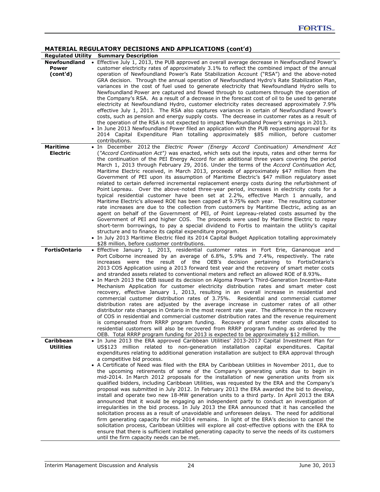|                                                 | <b>Regulated Utility Summary Description</b>                                                                                                                                                                                                                                                                                                                                                                                                                                                                                                                             |
|-------------------------------------------------|--------------------------------------------------------------------------------------------------------------------------------------------------------------------------------------------------------------------------------------------------------------------------------------------------------------------------------------------------------------------------------------------------------------------------------------------------------------------------------------------------------------------------------------------------------------------------|
| <b>Newfoundland</b><br><b>Power</b><br>(cont'd) | • Effective July 1, 2013, the PUB approved an overall average decrease in Newfoundland Power's<br>customer electricity rates of approximately 3.1% to reflect the combined impact of the annual<br>operation of Newfoundland Power's Rate Stabilization Account ("RSA") and the above-noted                                                                                                                                                                                                                                                                              |
|                                                 | GRA decision. Through the annual operation of Newfoundland Hydro's Rate Stabilization Plan,<br>variances in the cost of fuel used to generate electricity that Newfoundland Hydro sells to<br>Newfoundland Power are captured and flowed through to customers through the operation of                                                                                                                                                                                                                                                                                   |
|                                                 | the Company's RSA. As a result of a decrease in the forecast cost of oil to be used to generate<br>electricity at Newfoundland Hydro, customer electricity rates decreased approximately 7.9%<br>effective July 1, 2013. The RSA also captures variances in certain of Newfoundland Power's                                                                                                                                                                                                                                                                              |
|                                                 | costs, such as pension and energy supply costs. The decrease in customer rates as a result of<br>the operation of the RSA is not expected to impact Newfoundland Power's earnings in 2013.<br>• In June 2013 Newfoundland Power filed an application with the PUB requesting approval for its                                                                                                                                                                                                                                                                            |
|                                                 | 2014 Capital Expenditure Plan totalling approximately \$85 million, before customer<br>contributions.                                                                                                                                                                                                                                                                                                                                                                                                                                                                    |
| <b>Maritime</b><br><b>Electric</b>              | . In December 2012 the Electric Power (Energy Accord Continuation) Amendment Act<br>("Accord Continuation Act") was enacted, which sets out the inputs, rates and other terms for<br>the continuation of the PEI Energy Accord for an additional three years covering the period<br>March 1, 2013 through February 29, 2016. Under the terms of the Accord Continuation Act,<br>Maritime Electric received, in March 2013, proceeds of approximately \$47 million from the<br>Government of PEI upon its assumption of Maritime Electric's \$47 million regulatory asset |
|                                                 | related to certain deferred incremental replacement energy costs during the refurbishment of<br>Point Lepreau. Over the above-noted three-year period, increases in electricity costs for a<br>typical residential customer have been set at 2.2%, effective March 1 annually, and<br>Maritime Electric's allowed ROE has been capped at 9.75% each year. The resulting customer                                                                                                                                                                                         |
|                                                 | rate increases are due to the collection from customers by Maritime Electric, acting as an<br>agent on behalf of the Government of PEI, of Point Lepreau-related costs assumed by the<br>Government of PEI and higher COS. The proceeds were used by Maritime Electric to repay                                                                                                                                                                                                                                                                                          |
|                                                 | short-term borrowings, to pay a special dividend to Fortis to maintain the utility's capital<br>structure and to finance its capital expenditure program.<br>• In July 2013 Maritime Electric filed its 2014 Capital Budget Application totalling approximately                                                                                                                                                                                                                                                                                                          |
| <b>FortisOntario</b>                            | \$28 million, before customer contributions.<br>• Effective January 1, 2013, residential customer rates in Fort Erie, Gananoque and<br>Port Colborne increased by an average of 6.8%, 5.9% and 7.4%, respectively. The rate                                                                                                                                                                                                                                                                                                                                              |
|                                                 | increases were the result of the OEB's decision pertaining to FortisOntario's<br>2013 COS Application using a 2013 forward test year and the recovery of smart meter costs<br>and stranded assets related to conventional meters and reflect an allowed ROE of 8.93%.                                                                                                                                                                                                                                                                                                    |
|                                                 | • In March 2013 the OEB issued its decision on Algoma Power's Third-Generation Incentive-Rate<br>Mechanism Application for customer electricity distribution rates and smart meter cost<br>recovery, effective January 1, 2013, resulting in an overall increase in residential and                                                                                                                                                                                                                                                                                      |
|                                                 | commercial customer distribution rates of 3.75%. Residential and commercial customer<br>distribution rates are adjusted by the average increase in customer rates of all other<br>distributor rate changes in Ontario in the most recent rate year. The difference in the recovery                                                                                                                                                                                                                                                                                       |
|                                                 | of COS in residential and commercial customer distribution rates and the revenue requirement<br>is compensated from RRRP program funding. Recovery of smart meter costs allocated to<br>residential customers will also be recovered from RRRP program funding as ordered by the<br>OEB. Total RRRP program funding for 2013 is expected to be approximately \$12 million.                                                                                                                                                                                               |
| Caribbean                                       | • In June 2013 the ERA approved Caribbean Utilities' 2013-2017 Capital Investment Plan for                                                                                                                                                                                                                                                                                                                                                                                                                                                                               |
| <b>Utilities</b>                                | US\$123 million related to non-generation installation capital expenditures. Capital<br>expenditures relating to additional generation installation are subject to ERA approval through                                                                                                                                                                                                                                                                                                                                                                                  |
|                                                 | a competitive bid process.<br>• A Certificate of Need was filed with the ERA by Caribbean Utilities in November 2011, due to                                                                                                                                                                                                                                                                                                                                                                                                                                             |
|                                                 | the upcoming retirements of some of the Company's generating units due to begin in<br>mid-2014. In March 2012 proposals for the installation of new generation units from six                                                                                                                                                                                                                                                                                                                                                                                            |
|                                                 | qualified bidders, including Caribbean Utilities, was requested by the ERA and the Company's<br>proposal was submitted in July 2012. In February 2013 the ERA awarded the bid to develop,<br>install and operate two new 18-MW generation units to a third party. In April 2013 the ERA                                                                                                                                                                                                                                                                                  |
|                                                 | announced that it would be engaging an independent party to conduct an investigation of<br>irregularities in the bid process. In July 2013 the ERA announced that it has cancelled the<br>solicitation process as a result of unavoidable and unforeseen delays. The need for additional                                                                                                                                                                                                                                                                                 |
|                                                 | firm generating capacity for mid-2014 remains. In light of the ERA's decision to cancel the<br>solicitation process, Caribbean Utilities will explore all cost-effective options with the ERA to                                                                                                                                                                                                                                                                                                                                                                         |
|                                                 | ensure that there is sufficient installed generating capacity to serve the needs of its customers<br>until the firm capacity needs can be met.                                                                                                                                                                                                                                                                                                                                                                                                                           |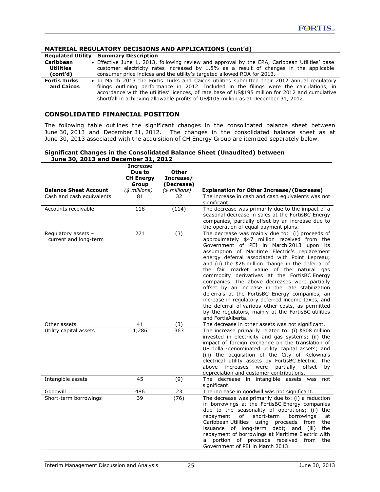|                                   | <b>Requlated Utility Summary Description</b>                                                                                                                                                                                                                                                                                                                                         |
|-----------------------------------|--------------------------------------------------------------------------------------------------------------------------------------------------------------------------------------------------------------------------------------------------------------------------------------------------------------------------------------------------------------------------------------|
| Caribbean                         | • Effective June 1, 2013, following review and approval by the ERA, Caribbean Utilities' base                                                                                                                                                                                                                                                                                        |
| <b>Utilities</b>                  | customer electricity rates increased by 1.8% as a result of changes in the applicable                                                                                                                                                                                                                                                                                                |
| (cont'd)                          | consumer price indices and the utility's targeted allowed ROA for 2013.                                                                                                                                                                                                                                                                                                              |
| <b>Fortis Turks</b><br>and Caicos | • In March 2013 the Fortis Turks and Caicos utilities submitted their 2012 annual regulatory<br>filings outlining performance in 2012. Included in the filings were the calculations, in<br>accordance with the utilities' licences, of rate base of US\$195 million for 2012 and cumulative<br>shortfall in achieving allowable profits of US\$105 million as at December 31, 2012. |

## **CONSOLIDATED FINANCIAL POSITION**

The following table outlines the significant changes in the consolidated balance sheet between June 30, 2013 and December 31, 2012. The changes in the consolidated balance sheet as at June 30, 2013 associated with the acquisition of CH Energy Group are itemized separately below.

#### **Significant Changes in the Consolidated Balance Sheet (Unaudited) between June 30, 2013 and December 31, 2012**

|                                              | , peechnoch 91,<br><b>Increase</b>  | <u>__ _</u>                             |                                                                                                                                                                                                                                                                                                                                                                                                                                                                                                                                                                                                                                                                                                                                                |
|----------------------------------------------|-------------------------------------|-----------------------------------------|------------------------------------------------------------------------------------------------------------------------------------------------------------------------------------------------------------------------------------------------------------------------------------------------------------------------------------------------------------------------------------------------------------------------------------------------------------------------------------------------------------------------------------------------------------------------------------------------------------------------------------------------------------------------------------------------------------------------------------------------|
|                                              | Due to<br><b>CH Energy</b><br>Group | <b>Other</b><br>Increase/<br>(Decrease) |                                                                                                                                                                                                                                                                                                                                                                                                                                                                                                                                                                                                                                                                                                                                                |
| <b>Balance Sheet Account</b>                 | $(*)$ millions)                     | $(*)$ millions)                         | <b>Explanation for Other Increase/(Decrease)</b>                                                                                                                                                                                                                                                                                                                                                                                                                                                                                                                                                                                                                                                                                               |
| Cash and cash equivalents                    | 81                                  | 32                                      | The increase in cash and cash equivalents was not<br>significant.                                                                                                                                                                                                                                                                                                                                                                                                                                                                                                                                                                                                                                                                              |
| Accounts receivable                          | 118                                 | (114)                                   | The decrease was primarily due to the impact of a<br>seasonal decrease in sales at the FortisBC Energy<br>companies, partially offset by an increase due to<br>the operation of equal payment plans.                                                                                                                                                                                                                                                                                                                                                                                                                                                                                                                                           |
| Regulatory assets -<br>current and long-term | 271                                 | (3)                                     | The decrease was mainly due to: (i) proceeds of<br>approximately \$47 million received from the<br>Government of PEI in March 2013 upon its<br>assumption of Maritime Electric's replacement<br>energy deferral associated with Point Lepreau;<br>and (ii) the \$26 million change in the deferral of<br>the fair market value of the natural gas<br>commodity derivatives at the FortisBC Energy<br>companies. The above decreases were partially<br>offset by an increase in the rate stabilization<br>deferrals at the FortisBC Energy companies, an<br>increase in regulatory deferred income taxes, and<br>the deferral of various other costs, as permitted<br>by the regulators, mainly at the FortisBC utilities<br>and FortisAlberta. |
| Other assets                                 | 41                                  | (3)                                     | The decrease in other assets was not significant.                                                                                                                                                                                                                                                                                                                                                                                                                                                                                                                                                                                                                                                                                              |
| Utility capital assets                       | 1,286                               | 363                                     | The increase primarily related to: (i) \$508 million<br>invested in electricity and gas systems; (ii) the<br>impact of foreign exchange on the translation of<br>US dollar-denominated utility capital assets; and<br>(iii) the acquisition of the City of Kelowna's<br>electrical utility assets by FortisBC Electric. The<br>increases<br>were<br>partially<br>offset<br>above<br>by<br>depreciation and customer contributions.                                                                                                                                                                                                                                                                                                             |
| Intangible assets                            | 45                                  | (9)                                     | The decrease in intangible assets was<br>not<br>significant.                                                                                                                                                                                                                                                                                                                                                                                                                                                                                                                                                                                                                                                                                   |
| Goodwill                                     | 486                                 | 23                                      | The increase in goodwill was not significant.                                                                                                                                                                                                                                                                                                                                                                                                                                                                                                                                                                                                                                                                                                  |
| Short-term borrowings                        | 39                                  | (76)                                    | The decrease was primarily due to: (i) a reduction<br>in borrowings at the FortisBC Energy companies<br>due to the seasonality of operations; (ii) the<br>short-term<br>repayment<br>of<br>borrowings<br>at<br>Caribbean Utilities using<br>proceeds<br>from<br>the<br>issuance of long-term debt; and<br>(iii)<br>the<br>repayment of borrowings at Maritime Electric with<br>portion of proceeds received<br>the<br>from<br>a<br>Government of PEI in March 2013.                                                                                                                                                                                                                                                                            |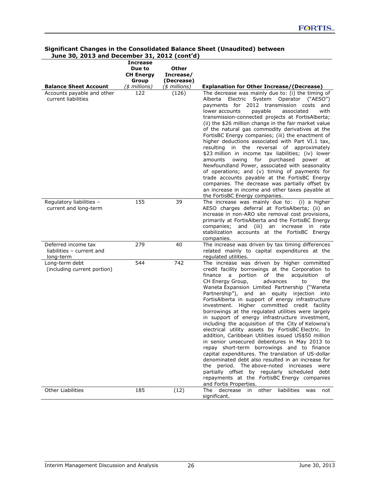| <b>Balance Sheet Account</b>                                  | <b>Increase</b><br>Due to<br><b>CH Energy</b><br><b>Group</b><br>(\$ millions) | <b>Other</b><br>Increase/<br>(Decrease)<br>$(*)$ millions) | <b>Explanation for Other Increase/(Decrease)</b>                                                                                                                                                                                                                                                                                                                                                                                                                                                                                                                                                                                                                                                                                                                                                                                                                                                                                                                                                                                                                               |
|---------------------------------------------------------------|--------------------------------------------------------------------------------|------------------------------------------------------------|--------------------------------------------------------------------------------------------------------------------------------------------------------------------------------------------------------------------------------------------------------------------------------------------------------------------------------------------------------------------------------------------------------------------------------------------------------------------------------------------------------------------------------------------------------------------------------------------------------------------------------------------------------------------------------------------------------------------------------------------------------------------------------------------------------------------------------------------------------------------------------------------------------------------------------------------------------------------------------------------------------------------------------------------------------------------------------|
| Accounts payable and other<br>current liabilities             | 122                                                                            | (126)                                                      | The decrease was mainly due to: (i) the timing of<br>Electric System Operator ("AESO")<br>Alberta<br>payments for 2012 transmission costs and<br>with<br>lower accounts<br>payable<br>associated<br>transmission-connected projects at FortisAlberta;<br>(ii) the \$26 million change in the fair market value<br>of the natural gas commodity derivatives at the<br>FortisBC Energy companies; (iii) the enactment of<br>higher deductions associated with Part VI.1 tax,<br>resulting in the reversal of approximately<br>\$23 million in income tax liabilities; (iv) lower<br>owing<br>for<br>purchased<br>amounts<br>power at<br>Newfoundland Power, associated with seasonality<br>of operations; and (v) timing of payments for<br>trade accounts payable at the FortisBC Energy<br>companies. The decrease was partially offset by<br>an increase in income and other taxes payable at<br>the FortisBC Energy companies.                                                                                                                                               |
| Regulatory liabilities -<br>current and long-term             | 155                                                                            | 39                                                         | The increase was mainly due to:<br>(i) a higher<br>AESO charges deferral at FortisAlberta; (ii) an<br>increase in non-ARO site removal cost provisions,<br>primarily at FortisAlberta and the FortisBC Energy<br>and (iii) an increase in rate<br>companies;<br>stabilization accounts at the FortisBC Energy<br>companies.                                                                                                                                                                                                                                                                                                                                                                                                                                                                                                                                                                                                                                                                                                                                                    |
| Deferred income tax<br>liabilities - current and<br>long-term | 279                                                                            | 40                                                         | The increase was driven by tax timing differences<br>related mainly to capital expenditures at the<br>regulated utilities.                                                                                                                                                                                                                                                                                                                                                                                                                                                                                                                                                                                                                                                                                                                                                                                                                                                                                                                                                     |
| Long-term debt<br>(including current portion)                 | 544                                                                            | 742                                                        | The increase was driven by higher committed<br>credit facility borrowings at the Corporation to<br>finance<br>portion<br>of the<br>acquisition<br>a<br>οf<br>CH Energy Group,<br>advances<br>the<br>to<br>Waneta Expansion Limited Partnership ("Waneta<br>Partnership"), and an equity injection into<br>FortisAlberta in support of energy infrastructure<br>investment. Higher committed credit facility<br>borrowings at the regulated utilities were largely<br>in support of energy infrastructure investment,<br>including the acquisition of the City of Kelowna's<br>electrical utility assets by FortisBC Electric. In<br>addition, Caribbean Utilities issued US\$50 million<br>in senior unsecured debentures in May 2013 to<br>repay short-term borrowings and to finance<br>capital expenditures. The translation of US-dollar<br>denominated debt also resulted in an increase for<br>the period. The above-noted increases<br>were<br>partially offset by regularly scheduled<br>debt<br>repayments at the FortisBC Energy companies<br>and Fortis Properties. |
| <b>Other Liabilities</b>                                      | 185                                                                            | (12)                                                       | The decrease<br>in other<br>liabilities<br>was<br>not<br>significant.                                                                                                                                                                                                                                                                                                                                                                                                                                                                                                                                                                                                                                                                                                                                                                                                                                                                                                                                                                                                          |

## **Significant Changes in the Consolidated Balance Sheet (Unaudited) between June 30, 2013 and December 31, 2012 (cont'd)**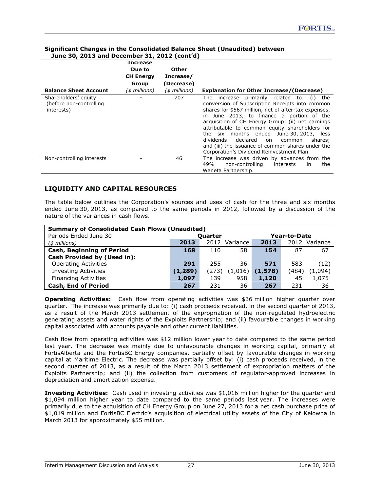|                                                               | <b>Increase</b>                                      |                                                    |                                                                                                                                                                                                                                                                                                                                                                                                                                                                                                                         |
|---------------------------------------------------------------|------------------------------------------------------|----------------------------------------------------|-------------------------------------------------------------------------------------------------------------------------------------------------------------------------------------------------------------------------------------------------------------------------------------------------------------------------------------------------------------------------------------------------------------------------------------------------------------------------------------------------------------------------|
| <b>Balance Sheet Account</b>                                  | Due to<br><b>CH Energy</b><br>Group<br>(\$ millions) | Other<br>Increase/<br>(Decrease)<br>$($$ millions) | <b>Explanation for Other Increase/(Decrease)</b>                                                                                                                                                                                                                                                                                                                                                                                                                                                                        |
| Shareholders' equity<br>(before non-controlling<br>interests) |                                                      | 707                                                | increase primarily related<br>the<br>to:<br>(i)<br>The<br>conversion of Subscription Receipts into common<br>shares for \$567 million, net of after-tax expenses,<br>in June 2013, to finance a portion of the<br>acquisition of CH Energy Group; (ii) net earnings<br>attributable to common equity shareholders for<br>the six months ended June 30, 2013, less<br>dividends<br>declared<br>shares:<br>on<br>common<br>and (iii) the issuance of common shares under the<br>Corporation's Dividend Reinvestment Plan. |
| Non-controlling interests                                     |                                                      | 46                                                 | The increase was driven by advances from the<br>49%<br>non-controlling<br>the<br>interests<br><i>in</i><br>Waneta Partnership.                                                                                                                                                                                                                                                                                                                                                                                          |

### **Significant Changes in the Consolidated Balance Sheet (Unaudited) between June 30, 2013 and December 31, 2012 (cont'd)**

## **LIQUIDITY AND CAPITAL RESOURCES**

The table below outlines the Corporation's sources and uses of cash for the three and six months ended June 30, 2013, as compared to the same periods in 2012, followed by a discussion of the nature of the variances in cash flows.

| <b>Summary of Consolidated Cash Flows (Unaudited)</b> |          |                |          |         |              |               |  |  |  |
|-------------------------------------------------------|----------|----------------|----------|---------|--------------|---------------|--|--|--|
| Periods Ended June 30                                 |          | <b>Quarter</b> |          |         | Year-to-Date |               |  |  |  |
| $(*)$ millions)                                       | 2013     | 2012           | Variance | 2013    |              | 2012 Variance |  |  |  |
| <b>Cash, Beginning of Period</b>                      | 168      | 110            | 58       | 154     | 87           | 67            |  |  |  |
| Cash Provided by (Used in):                           |          |                |          |         |              |               |  |  |  |
| <b>Operating Activities</b>                           | 291      | 255            | 36       | 571     | 583          | (12)          |  |  |  |
| <b>Investing Activities</b>                           | (1, 289) | (273)          | (1,016)  | (1,578) | (484)        | (1,094)       |  |  |  |
| <b>Financing Activities</b>                           | 1,097    | 139            | 958      | 1,120   | 45           | 1,075         |  |  |  |
| Cash, End of Period                                   | 267      | 231            | 36       | 267     | 231          | 36            |  |  |  |

**Operating Activities:** Cash flow from operating activities was \$36 million higher quarter over quarter. The increase was primarily due to: (i) cash proceeds received, in the second quarter of 2013, as a result of the March 2013 settlement of the expropriation of the non-regulated hydroelectric generating assets and water rights of the Exploits Partnership; and (ii) favourable changes in working capital associated with accounts payable and other current liabilities.

Cash flow from operating activities was \$12 million lower year to date compared to the same period last year. The decrease was mainly due to unfavourable changes in working capital, primarily at FortisAlberta and the FortisBC Energy companies, partially offset by favourable changes in working capital at Maritime Electric. The decrease was partially offset by: (i) cash proceeds received, in the second quarter of 2013, as a result of the March 2013 settlement of expropriation matters of the Exploits Partnership; and (ii) the collection from customers of regulator-approved increases in depreciation and amortization expense.

**Investing Activities:** Cash used in investing activities was \$1,016 million higher for the quarter and \$1,094 million higher year to date compared to the same periods last year. The increases were primarily due to the acquisition of CH Energy Group on June 27, 2013 for a net cash purchase price of \$1,019 million and FortisBC Electric's acquisition of electrical utility assets of the City of Kelowna in March 2013 for approximately \$55 million.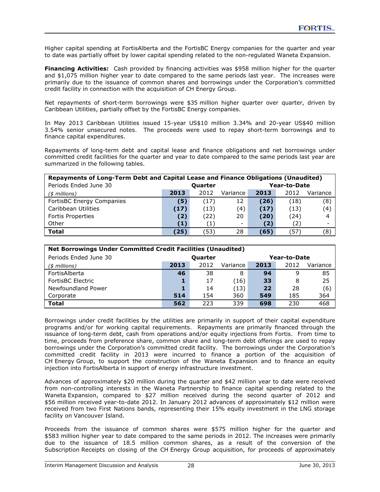Higher capital spending at FortisAlberta and the FortisBC Energy companies for the quarter and year to date was partially offset by lower capital spending related to the non-regulated Waneta Expansion.

**Financing Activities:**Cash provided by financing activities was \$958 million higher for the quarter and \$1,075 million higher year to date compared to the same periods last year. The increases were primarily due to the issuance of common shares and borrowings under the Corporation's committed credit facility in connection with the acquisition of CH Energy Group.

Net repayments of short-term borrowings were \$35 million higher quarter over quarter, driven by Caribbean Utilities, partially offset by the FortisBC Energy companies.

In May 2013 Caribbean Utilities issued 15-year US\$10 million 3.34% and 20-year US\$40 million 3.54% senior unsecured notes. The proceeds were used to repay short-term borrowings and to finance capital expenditures.

Repayments of long-term debt and capital lease and finance obligations and net borrowings under committed credit facilities for the quarter and year to date compared to the same periods last year are summarized in the following tables.

| Repayments of Long-Term Debt and Capital Lease and Finance Obligations (Unaudited) |        |                |                          |      |                     |          |  |  |
|------------------------------------------------------------------------------------|--------|----------------|--------------------------|------|---------------------|----------|--|--|
| Periods Ended June 30                                                              |        | <b>Ouarter</b> |                          |      | <b>Year-to-Date</b> |          |  |  |
| $($$ millions)                                                                     | 2013   | 2012           | Variance                 | 2013 | 2012                | Variance |  |  |
| FortisBC Energy Companies                                                          | (5)    | (17)           | 12                       | (26) | (18)                | (8)      |  |  |
| Caribbean Utilities                                                                | (17)   | (13)           | (4)                      | (17) | (13)                | (4)      |  |  |
| <b>Fortis Properties</b>                                                           | (2)    | (22)           | 20                       | (20) | (24)                | 4        |  |  |
| Other                                                                              | (1)    | (1)            | $\overline{\phantom{0}}$ | (2)  | (2)                 |          |  |  |
| <b>Total</b>                                                                       | ้ 25 ) | (53)           | 28                       | (65) | (57)                | '8)      |  |  |

| <b>Net Borrowings Under Committed Credit Facilities (Unaudited)</b> |                                |      |          |      |      |          |  |  |  |
|---------------------------------------------------------------------|--------------------------------|------|----------|------|------|----------|--|--|--|
| Periods Ended June 30                                               | <b>Quarter</b><br>Year-to-Date |      |          |      |      |          |  |  |  |
| $($$ millions)                                                      | 2013                           | 2012 | Variance | 2013 | 2012 | Variance |  |  |  |
| FortisAlberta                                                       | 46                             | 38   | 8        | 94   | 9    | 85       |  |  |  |
| <b>FortisBC Electric</b>                                            |                                | 17   | (16)     | 33   | 8    | 25       |  |  |  |
| Newfoundland Power                                                  |                                | 14   | (13)     | 22   | 28   | (6)      |  |  |  |
| Corporate                                                           | 514                            | 154  | 360      | 549  | 185  | 364      |  |  |  |
| <b>Total</b>                                                        | 562                            | 223  | 339      | 698  | 230  | 468      |  |  |  |

Borrowings under credit facilities by the utilities are primarily in support of their capital expenditure programs and/or for working capital requirements. Repayments are primarily financed through the issuance of long-term debt, cash from operations and/or equity injections from Fortis. From time to time, proceeds from preference share, common share and long-term debt offerings are used to repay borrowings under the Corporation's committed credit facility. The borrowings under the Corporation's committed credit facility in 2013 were incurred to finance a portion of the acquisition of CH Energy Group, to support the construction of the Waneta Expansion and to finance an equity injection into FortisAlberta in support of energy infrastructure investment.

Advances of approximately \$20 million during the quarter and \$42 million year to date were received from non-controlling interests in the Waneta Partnership to finance capital spending related to the Waneta Expansion, compared to \$27 million received during the second quarter of 2012 and \$56 million received year-to-date 2012. In January 2012 advances of approximately \$12 million were received from two First Nations bands, representing their 15% equity investment in the LNG storage facility on Vancouver Island.

Proceeds from the issuance of common shares were \$575 million higher for the quarter and \$583 million higher year to date compared to the same periods in 2012. The increases were primarily due to the issuance of 18.5 million common shares, as a result of the conversion of the Subscription Receipts on closing of the CH Energy Group acquisition, for proceeds of approximately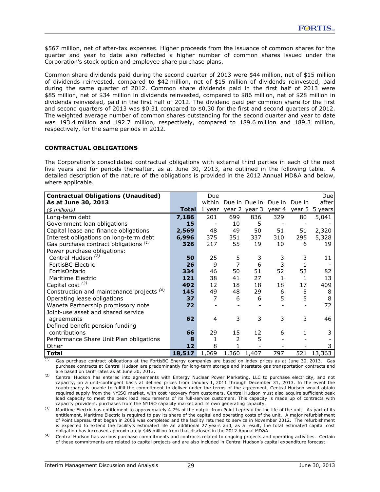\$567 million, net of after-tax expenses. Higher proceeds from the issuance of common shares for the quarter and year to date also reflected a higher number of common shares issued under the Corporation's stock option and employee share purchase plans.

Common share dividends paid during the second quarter of 2013 were \$44 million, net of \$15 million of dividends reinvested, compared to \$42 million, net of \$15 million of dividends reinvested, paid during the same quarter of 2012. Common share dividends paid in the first half of 2013 were \$85 million, net of \$34 million in dividends reinvested, compared to \$86 million, net of \$28 million in dividends reinvested, paid in the first half of 2012. The dividend paid per common share for the first and second quarters of 2013 was \$0.31 compared to \$0.30 for the first and second quarters of 2012. The weighted average number of common shares outstanding for the second quarter and year to date was 193.4 million and 192.7 million, respectively, compared to 189.6 million and 189.3 million, respectively, for the same periods in 2012.

### **CONTRACTUAL OBLIGATIONS**

The Corporation's consolidated contractual obligations with external third parties in each of the next five years and for periods thereafter, as at June 30, 2013, are outlined in the following table. A detailed description of the nature of the obligations is provided in the 2012 Annual MD&A and below, where applicable.

| <b>Contractual Obligations (Unaudited)</b> |        | Due    |       |                      |                             |        | Due     |
|--------------------------------------------|--------|--------|-------|----------------------|-----------------------------|--------|---------|
| As at June 30, 2013                        |        | within |       |                      | Due in Due in Due in Due in |        | after   |
| $($$ millions)                             | Total  | 1 year |       | year 2 year 3 year 4 |                             | year 5 | 5 years |
| Long-term debt                             | 7,186  | 201    | 699   | 836                  | 329                         | 80     | 5,041   |
| Government loan obligations                | 15     |        | 10    | 5                    |                             |        |         |
| Capital lease and finance obligations      | 2,569  | 48     | 49    | 50                   | 51                          | 51     | 2,320   |
| Interest obligations on long-term debt     | 6,996  | 375    | 351   | 337                  | 310                         | 295    | 5,328   |
| Gas purchase contract obligations (1)      | 326    | 217    | 55    | 19                   | 10                          | 6      | 19      |
| Power purchase obligations:                |        |        |       |                      |                             |        |         |
| Central Hudson <sup>(2)</sup>              | 50     | 25     | 5     | 3                    | 3                           | 3      | 11      |
| <b>FortisBC Electric</b>                   | 26     | 9      |       | 6                    | 3                           |        |         |
| FortisOntario                              | 334    | 46     | 50    | 51                   | 52                          | 53     | 82      |
| Maritime Electric                          | 121    | 38     | 41    | 27                   | $\mathbf{1}$                |        | 13      |
| Capital cost $(3)$                         | 492    | 12     | 18    | 18                   | 18                          | 17     | 409     |
| Construction and maintenance projects (4)  | 145    | 49     | 48    | 29                   | 6                           | 5      | 8       |
| Operating lease obligations                | 37     | 7      | 6     | 6                    | 5                           | 5      | 8       |
| Waneta Partnership promissory note         | 72     |        |       |                      |                             |        | 72      |
| Joint-use asset and shared service         |        |        |       |                      |                             |        |         |
| agreements                                 | 62     | 4      | 3     | 3                    | 3                           | 3      | 46      |
| Defined benefit pension funding            |        |        |       |                      |                             |        |         |
| contributions                              | 66     | 29     | 15    | 12                   | 6                           |        | 3       |
| Performance Share Unit Plan obligations    | 8      |        | 2     | 5                    |                             |        |         |
| Other                                      | 12     | 8      |       |                      |                             |        |         |
| <b>Total</b>                               | 18,517 | 1,069  | 1,360 | 1,407                | 797                         | 521    | 13,363  |

*(1)* Gas purchase contract obligations at the FortisBC Energy companies are based on index prices as at June 30, 2013. Gas purchase contracts at Central Hudson are predominantly for long-term storage and interstate gas transportation contracts and are based on tariff rates as at June 30, 2013.

*(2)* Central Hudson has entered into agreements with Entergy Nuclear Power Marketing, LLC to purchase electricity, and not capacity, on a unit-contingent basis at defined prices from January 1, 2011 through December 31, 2013. In the event the counterparty is unable to fulfill the commitment to deliver under the terms of the agreement, Central Hudson would obtain required supply from the NYISO market, with cost recovery from customers. Central Hudson must also acquire sufficient peak load capacity to meet the peak load requirements of its full-service customers. This capacity is made up of contracts with capacity providers, purchases from the NYISO capacity market and its own generating capacity.

*(3)* Maritime Electric has entitlement to approximately 4.7% of the output from Point Lepreau for the life of the unit. As part of its entitlement, Maritime Electric is required to pay its share of the capital and operating costs of the unit. A major refurbishment of Point Lepreau that began in 2008 was completed and the facility returned to service in November 2012. The refurbishment is expected to extend the facility's estimated life an additional 27 years and, as a result, the total estimated capital cost obligation has increased approximately \$46 million from that disclosed in the 2012 Annual MD&A.

*(4)* Central Hudson has various purchase commitments and contracts related to ongoing projects and operating activities. Certain of these commitments are related to capital projects and are also included in Central Hudson's capital expenditure forecast.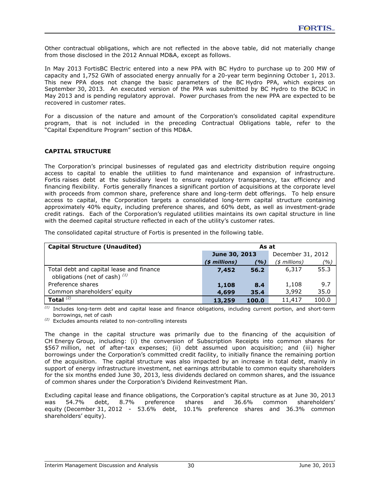Other contractual obligations, which are not reflected in the above table, did not materially change from those disclosed in the 2012 Annual MD&A, except as follows.

In May 2013 FortisBC Electric entered into a new PPA with BC Hydro to purchase up to 200 MW of capacity and 1,752 GWh of associated energy annually for a 20-year term beginning October 1, 2013. This new PPA does not change the basic parameters of the BC Hydro PPA, which expires on September 30, 2013. An executed version of the PPA was submitted by BC Hydro to the BCUC in May 2013 and is pending regulatory approval. Power purchases from the new PPA are expected to be recovered in customer rates.

For a discussion of the nature and amount of the Corporation's consolidated capital expenditure program, that is not included in the preceding Contractual Obligations table, refer to the "Capital Expenditure Program" section of this MD&A.

## **CAPITAL STRUCTURE**

The Corporation's principal businesses of regulated gas and electricity distribution require ongoing access to capital to enable the utilities to fund maintenance and expansion of infrastructure. Fortis raises debt at the subsidiary level to ensure regulatory transparency, tax efficiency and financing flexibility. Fortis generally finances a significant portion of acquisitions at the corporate level with proceeds from common share, preference share and long-term debt offerings. To help ensure access to capital, the Corporation targets a consolidated long-term capital structure containing approximately 40% equity, including preference shares, and 60% debt, as well as investment-grade credit ratings. Each of the Corporation's regulated utilities maintains its own capital structure in line with the deemed capital structure reflected in each of the utility's customer rates.

**Capital Structure (Unaudited) As at June 30, 2013** December 31, 2012 *(\$ millions) (%) (\$ millions) (%)* Total debt and capital lease and finance **7,452 56.2** 6,317 55.3 obligations (net of cash) *(1)* Preference shares **1,108 8.4** 1,108 9.7 Common shareholders' equity **4,699 35.4** 3,992 35.0 **Total** *(2)* **13,259 100.0** 11,417 100.0

The consolidated capital structure of Fortis is presented in the following table.

*(1)* Includes long-term debt and capital lease and finance obligations, including current portion, and short-term borrowings, net of cash

*(2)* Excludes amounts related to non-controlling interests

The change in the capital structure was primarily due to the financing of the acquisition of CH Energy Group, including: (i) the conversion of Subscription Receipts into common shares for \$567 million, net of after-tax expenses; (ii) debt assumed upon acquisition; and (iii) higher borrowings under the Corporation's committed credit facility, to initially finance the remaining portion of the acquisition. The capital structure was also impacted by an increase in total debt, mainly in support of energy infrastructure investment, net earnings attributable to common equity shareholders for the six months ended June 30, 2013, less dividends declared on common shares, and the issuance of common shares under the Corporation's Dividend Reinvestment Plan.

Excluding capital lease and finance obligations, the Corporation's capital structure as at June 30, 2013 was 54.7% debt, 8.7% preference shares and 36.6% common shareholders' equity (December 31, 2012 - 53.6% debt, 10.1% preference shares and 36.3% common shareholders' equity).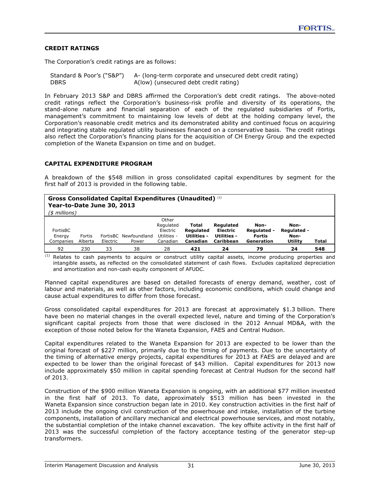## **CREDIT RATINGS**

The Corporation's credit ratings are as follows:

Standard & Poor's ("S&P") A- (long-term corporate and unsecured debt credit rating)<br>DBRS (Allow) (unsecured debt credit rating) A(low) (unsecured debt credit rating)

In February 2013 S&P and DBRS affirmed the Corporation's debt credit ratings. The above-noted credit ratings reflect the Corporation's business-risk profile and diversity of its operations, the stand-alone nature and financial separation of each of the regulated subsidiaries of Fortis, management's commitment to maintaining low levels of debt at the holding company level, the Corporation's reasonable credit metrics and its demonstrated ability and continued focus on acquiring and integrating stable regulated utility businesses financed on a conservative basis. The credit ratings also reflect the Corporation's financing plans for the acquisition of CH Energy Group and the expected completion of the Waneta Expansion on time and on budget.

## **CAPITAL EXPENDITURE PROGRAM**

A breakdown of the \$548 million in gross consolidated capital expenditures by segment for the first half of 2013 is provided in the following table.

| Gross Consolidated Capital Expenditures (Unaudited) (1)<br>Year-to-Date June 30, 2013<br>$($$ millions) |                   |          |                                |                                                           |                                                      |                                                                 |                                                    |                                        |       |  |
|---------------------------------------------------------------------------------------------------------|-------------------|----------|--------------------------------|-----------------------------------------------------------|------------------------------------------------------|-----------------------------------------------------------------|----------------------------------------------------|----------------------------------------|-------|--|
| FortisBC<br>Enerav<br>Companies                                                                         | Fortis<br>Alberta | Electric | FortisBC Newfoundland<br>Power | Other<br>Regulated<br>Electric<br>Utilities -<br>Canadian | Total<br>Regulated<br><b>Utilities -</b><br>Canadian | Regulated<br><b>Electric</b><br><b>Utilities -</b><br>Caribbean | Non-<br>Regulated -<br><b>Fortis</b><br>Generation | Non-<br>Regulated -<br>Non-<br>Utility | Total |  |
| 92                                                                                                      | 230               | 33       | 38                             | 28                                                        | 421                                                  | 24                                                              | 79                                                 | 24                                     | 548   |  |

*(1)* Relates to cash payments to acquire or construct utility capital assets, income producing properties and intangible assets, as reflected on the consolidated statement of cash flows. Excludes capitalized depreciation and amortization and non-cash equity component of AFUDC.

Planned capital expenditures are based on detailed forecasts of energy demand, weather, cost of labour and materials, as well as other factors, including economic conditions, which could change and cause actual expenditures to differ from those forecast.

Gross consolidated capital expenditures for 2013 are forecast at approximately \$1.3 billion. There have been no material changes in the overall expected level, nature and timing of the Corporation's significant capital projects from those that were disclosed in the 2012 Annual MD&A, with the exception of those noted below for the Waneta Expansion, FAES and Central Hudson.

Capital expenditures related to the Waneta Expansion for 2013 are expected to be lower than the original forecast of \$227 million, primarily due to the timing of payments. Due to the uncertainty of the timing of alternative energy projects, capital expenditures for 2013 at FAES are delayed and are expected to be lower than the original forecast of \$43 million. Capital expenditures for 2013 now include approximately \$50 million in capital spending forecast at Central Hudson for the second half of 2013.

Construction of the \$900 million Waneta Expansion is ongoing, with an additional \$77 million invested in the first half of 2013. To date, approximately \$513 million has been invested in the Waneta Expansion since construction began late in 2010. Key construction activities in the first half of 2013 include the ongoing civil construction of the powerhouse and intake, installation of the turbine components, installation of ancillary mechanical and electrical powerhouse services, and most notably, the substantial completion of the intake channel excavation. The key offsite activity in the first half of 2013 was the successful completion of the factory acceptance testing of the generator step-up transformers.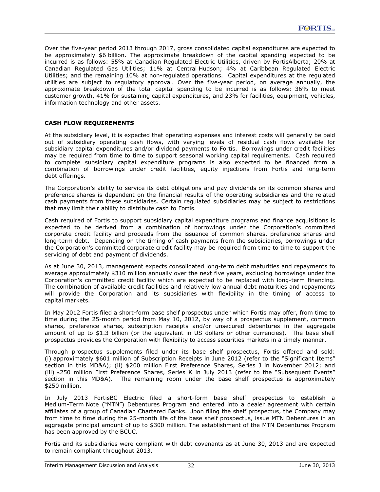Over the five-year period 2013 through 2017, gross consolidated capital expenditures are expected to be approximately \$6 billion. The approximate breakdown of the capital spending expected to be incurred is as follows: 55% at Canadian Regulated Electric Utilities, driven by FortisAlberta; 20% at Canadian Regulated Gas Utilities; 11% at Central Hudson; 4% at Caribbean Regulated Electric Utilities; and the remaining 10% at non-regulated operations. Capital expenditures at the regulated utilities are subject to regulatory approval. Over the five-year period, on average annually, the approximate breakdown of the total capital spending to be incurred is as follows: 36% to meet customer growth, 41% for sustaining capital expenditures, and 23% for facilities, equipment, vehicles, information technology and other assets.

## **CASH FLOW REQUIREMENTS**

At the subsidiary level, it is expected that operating expenses and interest costs will generally be paid out of subsidiary operating cash flows, with varying levels of residual cash flows available for subsidiary capital expenditures and/or dividend payments to Fortis. Borrowings under credit facilities may be required from time to time to support seasonal working capital requirements. Cash required to complete subsidiary capital expenditure programs is also expected to be financed from a combination of borrowings under credit facilities, equity injections from Fortis and long-term debt offerings.

The Corporation's ability to service its debt obligations and pay dividends on its common shares and preference shares is dependent on the financial results of the operating subsidiaries and the related cash payments from these subsidiaries. Certain regulated subsidiaries may be subject to restrictions that may limit their ability to distribute cash to Fortis.

Cash required of Fortis to support subsidiary capital expenditure programs and finance acquisitions is expected to be derived from a combination of borrowings under the Corporation's committed corporate credit facility and proceeds from the issuance of common shares, preference shares and long-term debt. Depending on the timing of cash payments from the subsidiaries, borrowings under the Corporation's committed corporate credit facility may be required from time to time to support the servicing of debt and payment of dividends.

As at June 30, 2013, management expects consolidated long-term debt maturities and repayments to average approximately \$310 million annually over the next five years, excluding borrowings under the Corporation's committed credit facility which are expected to be replaced with long-term financing. The combination of available credit facilities and relatively low annual debt maturities and repayments will provide the Corporation and its subsidiaries with flexibility in the timing of access to capital markets.

In May 2012 Fortis filed a short-form base shelf prospectus under which Fortis may offer, from time to time during the 25-month period from May 10, 2012, by way of a prospectus supplement, common shares, preference shares, subscription receipts and/or unsecured debentures in the aggregate amount of up to \$1.3 billion (or the equivalent in US dollars or other currencies). The base shelf prospectus provides the Corporation with flexibility to access securities markets in a timely manner.

Through prospectus supplements filed under its base shelf prospectus, Fortis offered and sold: (i) approximately \$601 million of Subscription Receipts in June 2012 (refer to the "Significant Items" section in this MD&A); (ii) \$200 million First Preference Shares, Series J in November 2012; and (iii) \$250 million First Preference Shares, Series K in July 2013 (refer to the "Subsequent Events" section in this MD&A). The remaining room under the base shelf prospectus is approximately \$250 million.

In July 2013 FortisBC Electric filed a short-form base shelf prospectus to establish a Medium-Term Note ("MTN") Debentures Program and entered into a dealer agreement with certain affiliates of a group of Canadian Chartered Banks. Upon filing the shelf prospectus, the Company may from time to time during the 25-month life of the base shelf prospectus, issue MTN Debentures in an aggregate principal amount of up to \$300 million. The establishment of the MTN Debentures Program has been approved by the BCUC.

Fortis and its subsidiaries were compliant with debt covenants as at June 30, 2013 and are expected to remain compliant throughout 2013.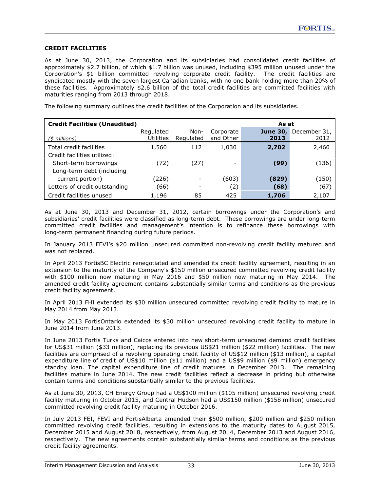### **CREDIT FACILITIES**

As at June 30, 2013, the Corporation and its subsidiaries had consolidated credit facilities of approximately \$2.7 billion, of which \$1.7 billion was unused, including \$395 million unused under the Corporation's \$1 billion committed revolving corporate credit facility. The credit facilities are syndicated mostly with the seven largest Canadian banks, with no one bank holding more than 20% of these facilities. Approximately \$2.6 billion of the total credit facilities are committed facilities with maturities ranging from 2013 through 2018.

The following summary outlines the credit facilities of the Corporation and its subsidiaries.

| <b>Credit Facilities (Unaudited)</b> |           |           |           | As at           |              |
|--------------------------------------|-----------|-----------|-----------|-----------------|--------------|
|                                      | Regulated | Non-      | Corporate | <b>June 30,</b> | December 31, |
| $($$ millions)                       | Utilities | Regulated | and Other | 2013            | 2012         |
| Total credit facilities              | 1,560     | 112       | 1,030     | 2,702           | 2,460        |
| Credit facilities utilized:          |           |           |           |                 |              |
| Short-term borrowings                | (72)      | (27)      |           | (99)            | (136)        |
| Long-term debt (including            |           |           |           |                 |              |
| current portion)                     | (226)     |           | (603)     | (829)           | (150)        |
| Letters of credit outstanding        | (66)      |           | (2)       | 〔68〕            | (67)         |
| Credit facilities unused             | 1,196     | 85        | 425       | 1,706           | 2,107        |

As at June 30, 2013 and December 31, 2012, certain borrowings under the Corporation's and subsidiaries' credit facilities were classified as long-term debt. These borrowings are under long-term committed credit facilities and management's intention is to refinance these borrowings with long-term permanent financing during future periods.

In January 2013 FEVI's \$20 million unsecured committed non-revolving credit facility matured and was not replaced.

In April 2013 FortisBC Electric renegotiated and amended its credit facility agreement, resulting in an extension to the maturity of the Company's \$150 million unsecured committed revolving credit facility with \$100 million now maturing in May 2016 and \$50 million now maturing in May 2014. The amended credit facility agreement contains substantially similar terms and conditions as the previous credit facility agreement.

In April 2013 FHI extended its \$30 million unsecured committed revolving credit facility to mature in May 2014 from May 2013.

In May 2013 FortisOntario extended its \$30 million unsecured revolving credit facility to mature in June 2014 from June 2013.

In June 2013 Fortis Turks and Caicos entered into new short-term unsecured demand credit facilities for US\$31 million (\$33 million), replacing its previous US\$21 million (\$22 million) facilities. The new facilities are comprised of a revolving operating credit facility of US\$12 million (\$13 million), a capital expenditure line of credit of US\$10 million (\$11 million) and a US\$9 million (\$9 million) emergency standby loan. The capital expenditure line of credit matures in December 2013. The remaining facilities mature in June 2014. The new credit facilities reflect a decrease in pricing but otherwise contain terms and conditions substantially similar to the previous facilities.

As at June 30, 2013, CH Energy Group had a US\$100 million (\$105 million) unsecured revolving credit facility maturing in October 2015, and Central Hudson had a US\$150 million (\$158 million) unsecured committed revolving credit facility maturing in October 2016.

In July 2013 FEI, FEVI and FortisAlberta amended their \$500 million, \$200 million and \$250 million committed revolving credit facilities, resulting in extensions to the maturity dates to August 2015, December 2015 and August 2018, respectively, from August 2014, December 2013 and August 2016, respectively. The new agreements contain substantially similar terms and conditions as the previous credit facility agreements.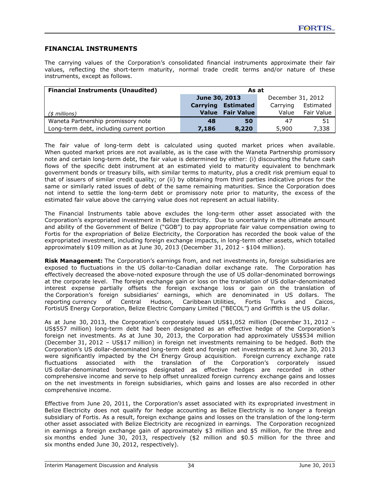### **FINANCIAL INSTRUMENTS**

The carrying values of the Corporation's consolidated financial instruments approximate their fair values, reflecting the short-term maturity, normal trade credit terms and/or nature of these instruments, except as follows.

| <b>Financial Instruments (Unaudited)</b>  |               | As at                     |                   |            |
|-------------------------------------------|---------------|---------------------------|-------------------|------------|
|                                           | June 30, 2013 |                           | December 31, 2012 |            |
|                                           |               | <b>Carrying Estimated</b> | Carrying          | Estimated  |
| (\$ millions)                             |               | <b>Value</b> Fair Value   | Value             | Fair Value |
| Waneta Partnership promissory note        | 48            | 50                        | 47                | 51         |
| Long-term debt, including current portion | 7,186         | 8,220                     | 5,900             | 7,338      |

The fair value of long-term debt is calculated using quoted market prices when available. When quoted market prices are not available, as is the case with the Waneta Partnership promissory note and certain long-term debt, the fair value is determined by either: (i) discounting the future cash flows of the specific debt instrument at an estimated yield to maturity equivalent to benchmark government bonds or treasury bills, with similar terms to maturity, plus a credit risk premium equal to that of issuers of similar credit quality; or (ii) by obtaining from third parties indicative prices for the same or similarly rated issues of debt of the same remaining maturities. Since the Corporation does not intend to settle the long-term debt or promissory note prior to maturity, the excess of the estimated fair value above the carrying value does not represent an actual liability.

The Financial Instruments table above excludes the long-term other asset associated with the Corporation's expropriated investment in Belize Electricity. Due to uncertainty in the ultimate amount and ability of the Government of Belize ("GOB") to pay appropriate fair value compensation owing to Fortis for the expropriation of Belize Electricity, the Corporation has recorded the book value of the expropriated investment, including foreign exchange impacts, in long-term other assets, which totalled approximately \$109 million as at June 30, 2013 (December 31, 2012 - \$104 million).

**Risk Management:** The Corporation's earnings from, and net investments in, foreign subsidiaries are exposed to fluctuations in the US dollar-to-Canadian dollar exchange rate. The Corporation has effectively decreased the above-noted exposure through the use of US dollar-denominated borrowings at the corporate level. The foreign exchange gain or loss on the translation of US dollar-denominated interest expense partially offsets the foreign exchange loss or gain on the translation of the Corporation's foreign subsidiaries' earnings, which are denominated in US dollars. The reporting currency of Central Hudson, Caribbean Utilities, Fortis Turks and Caicos, FortisUS Energy Corporation, Belize Electric Company Limited ("BECOL") and Griffith is the US dollar.

As at June 30, 2013, the Corporation's corporately issued US\$1,052 million (December 31, 2012 – US\$557 million) long-term debt had been designated as an effective hedge of the Corporation's foreign net investments. As at June 30, 2013, the Corporation had approximately US\$534 million (December 31, 2012 – US\$17 million) in foreign net investments remaining to be hedged. Both the Corporation's US dollar-denominated long-term debt and foreign net investments as at June 30, 2013 were significantly impacted by the CH Energy Group acquisition. Foreign currency exchange rate fluctuations associated with the translation of the Corporation's corporately issued US dollar-denominated borrowings designated as effective hedges are recorded in other comprehensive income and serve to help offset unrealized foreign currency exchange gains and losses on the net investments in foreign subsidiaries, which gains and losses are also recorded in other comprehensive income.

Effective from June 20, 2011, the Corporation's asset associated with its expropriated investment in Belize Electricity does not qualify for hedge accounting as Belize Electricity is no longer a foreign subsidiary of Fortis. As a result, foreign exchange gains and losses on the translation of the long-term other asset associated with Belize Electricity are recognized in earnings. The Corporation recognized in earnings a foreign exchange gain of approximately \$3 million and \$5 million, for the three and six months ended June 30, 2013, respectively (\$2 million and \$0.5 million for the three and six months ended June 30, 2012, respectively).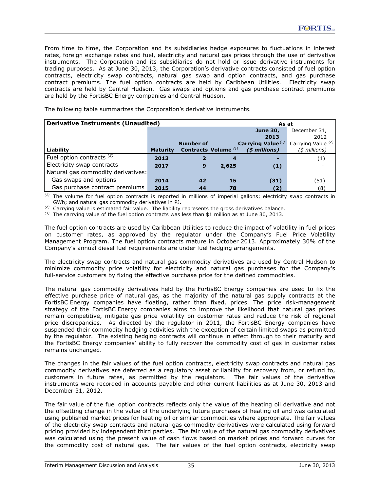From time to time, the Corporation and its subsidiaries hedge exposures to fluctuations in interest rates, foreign exchange rates and fuel, electricity and natural gas prices through the use of derivative instruments. The Corporation and its subsidiaries do not hold or issue derivative instruments for trading purposes. As at June 30, 2013, the Corporation's derivative contracts consisted of fuel option contracts, electricity swap contracts, natural gas swap and option contracts, and gas purchase contract premiums. The fuel option contracts are held by Caribbean Utilities. Electricity swap contracts are held by Central Hudson. Gas swaps and options and gas purchase contract premiums are held by the FortisBC Energy companies and Central Hudson.

**Derivative Instruments (Unaudited) As at As at As at June 30,** December 31, **2013** 2012<br>**Value**<sup>(2)</sup> Carrying Value<sup>(2)</sup> **Number of Carrying Value**<sup>(2)</sup><br>**Contracts Volume**<sup>(1)</sup> (*\$ millions*) **Liability Maturity Contracts Volume** *(1) (\$ millions) (\$ millions)* Fuel option contracts *(3)* **<sup>2013</sup> <sup>2</sup> <sup>4</sup> -** (1) Electricity swap contracts **2017 9 2,625 (1)** - Natural gas commodity derivatives: Gas swaps and options **2014 42 15 (31)** (51) Gas purchase contract premiums **2015 44 78 (2)** (8)

The following table summarizes the Corporation's derivative instruments.

*(1)* The volume for fuel option contracts is reported in millions of imperial gallons; electricity swap contracts in GWh; and natural gas commodity derivatives in PJ.

*(2)* Carrying value is estimated fair value. The liability represents the gross derivatives balance.

*(3)* The carrying value of the fuel option contracts was less than \$1 million as at June 30, 2013.

The fuel option contracts are used by Caribbean Utilities to reduce the impact of volatility in fuel prices on customer rates, as approved by the regulator under the Company's Fuel Price Volatility Management Program. The fuel option contracts mature in October 2013. Approximately 30% of the Company's annual diesel fuel requirements are under fuel hedging arrangements.

The electricity swap contracts and natural gas commodity derivatives are used by Central Hudson to minimize commodity price volatility for electricity and natural gas purchases for the Company's full-service customers by fixing the effective purchase price for the defined commodities.

The natural gas commodity derivatives held by the FortisBC Energy companies are used to fix the effective purchase price of natural gas, as the majority of the natural gas supply contracts at the FortisBC Energy companies have floating, rather than fixed, prices. The price risk-management strategy of the FortisBC Energy companies aims to improve the likelihood that natural gas prices remain competitive, mitigate gas price volatility on customer rates and reduce the risk of regional price discrepancies. As directed by the regulator in 2011, the FortisBC Energy companies have suspended their commodity hedging activities with the exception of certain limited swaps as permitted by the regulator. The existing hedging contracts will continue in effect through to their maturity and the FortisBC Energy companies' ability to fully recover the commodity cost of gas in customer rates remains unchanged.

The changes in the fair values of the fuel option contracts, electricity swap contracts and natural gas commodity derivatives are deferred as a regulatory asset or liability for recovery from, or refund to, customers in future rates, as permitted by the regulators. The fair values of the derivative instruments were recorded in accounts payable and other current liabilities as at June 30, 2013 and December 31, 2012.

The fair value of the fuel option contracts reflects only the value of the heating oil derivative and not the offsetting change in the value of the underlying future purchases of heating oil and was calculated using published market prices for heating oil or similar commodities where appropriate. The fair values of the electricity swap contracts and natural gas commodity derivatives were calculated using forward pricing provided by independent third parties. The fair value of the natural gas commodity derivatives was calculated using the present value of cash flows based on market prices and forward curves for the commodity cost of natural gas. The fair values of the fuel option contracts, electricity swap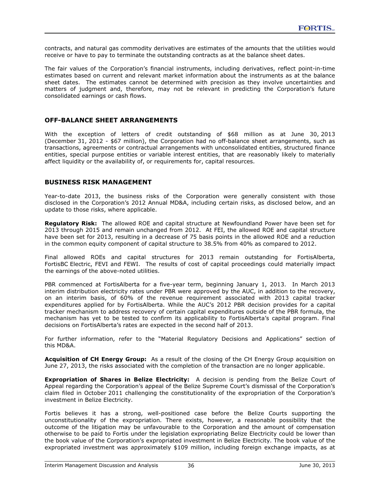contracts, and natural gas commodity derivatives are estimates of the amounts that the utilities would receive or have to pay to terminate the outstanding contracts as at the balance sheet dates.

The fair values of the Corporation's financial instruments, including derivatives, reflect point-in-time estimates based on current and relevant market information about the instruments as at the balance sheet dates. The estimates cannot be determined with precision as they involve uncertainties and matters of judgment and, therefore, may not be relevant in predicting the Corporation's future consolidated earnings or cash flows.

### **OFF-BALANCE SHEET ARRANGEMENTS**

With the exception of letters of credit outstanding of \$68 million as at June 30, 2013 (December 31, 2012 - \$67 million), the Corporation had no off-balance sheet arrangements, such as transactions, agreements or contractual arrangements with unconsolidated entities, structured finance entities, special purpose entities or variable interest entities, that are reasonably likely to materially affect liquidity or the availability of, or requirements for, capital resources.

### **BUSINESS RISK MANAGEMENT**

Year-to-date 2013, the business risks of the Corporation were generally consistent with those disclosed in the Corporation's 2012 Annual MD&A, including certain risks, as disclosed below, and an update to those risks, where applicable.

**Regulatory Risk:** The allowed ROE and capital structure at Newfoundland Power have been set for 2013 through 2015 and remain unchanged from 2012. At FEI, the allowed ROE and capital structure have been set for 2013, resulting in a decrease of 75 basis points in the allowed ROE and a reduction in the common equity component of capital structure to 38.5% from 40% as compared to 2012.

Final allowed ROEs and capital structures for 2013 remain outstanding for FortisAlberta, FortisBC Electric, FEVI and FEWI. The results of cost of capital proceedings could materially impact the earnings of the above-noted utilities.

PBR commenced at FortisAlberta for a five-year term, beginning January 1, 2013. In March 2013 interim distribution electricity rates under PBR were approved by the AUC, in addition to the recovery, on an interim basis, of 60% of the revenue requirement associated with 2013 capital tracker expenditures applied for by FortisAlberta. While the AUC's 2012 PBR decision provides for a capital tracker mechanism to address recovery of certain capital expenditures outside of the PBR formula, the mechanism has yet to be tested to confirm its applicability to FortisAlberta's capital program. Final decisions on FortisAlberta's rates are expected in the second half of 2013.

For further information, refer to the "Material Regulatory Decisions and Applications" section of this MD&A.

**Acquisition of CH Energy Group:** As a result of the closing of the CH Energy Group acquisition on June 27, 2013, the risks associated with the completion of the transaction are no longer applicable.

**Expropriation of Shares in Belize Electricity:** A decision is pending from the Belize Court of Appeal regarding the Corporation's appeal of the Belize Supreme Court's dismissal of the Corporation's claim filed in October 2011 challenging the constitutionality of the expropriation of the Corporation's investment in Belize Electricity.

Fortis believes it has a strong, well-positioned case before the Belize Courts supporting the unconstitutionality of the expropriation. There exists, however, a reasonable possibility that the outcome of the litigation may be unfavourable to the Corporation and the amount of compensation otherwise to be paid to Fortis under the legislation expropriating Belize Electricity could be lower than the book value of the Corporation's expropriated investment in Belize Electricity. The book value of the expropriated investment was approximately \$109 million, including foreign exchange impacts, as at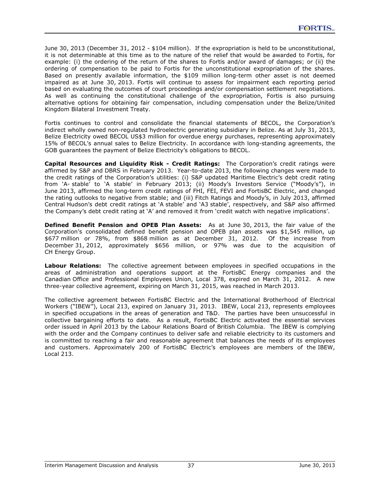June 30, 2013 (December 31, 2012 - \$104 million). If the expropriation is held to be unconstitutional, it is not determinable at this time as to the nature of the relief that would be awarded to Fortis, for example: (i) the ordering of the return of the shares to Fortis and/or award of damages; or (ii) the ordering of compensation to be paid to Fortis for the unconstitutional expropriation of the shares. Based on presently available information, the \$109 million long-term other asset is not deemed impaired as at June 30, 2013. Fortis will continue to assess for impairment each reporting period based on evaluating the outcomes of court proceedings and/or compensation settlement negotiations. As well as continuing the constitutional challenge of the expropriation, Fortis is also pursuing alternative options for obtaining fair compensation, including compensation under the Belize/United Kingdom Bilateral Investment Treaty.

Fortis continues to control and consolidate the financial statements of BECOL, the Corporation's indirect wholly owned non-regulated hydroelectric generating subsidiary in Belize. As at July 31, 2013, Belize Electricity owed BECOL US\$3 million for overdue energy purchases, representing approximately 15% of BECOL's annual sales to Belize Electricity. In accordance with long-standing agreements, the GOB guarantees the payment of Belize Electricity's obligations to BECOL.

**Capital Resources and Liquidity Risk - Credit Ratings:** The Corporation's credit ratings were affirmed by S&P and DBRS in February 2013. Year-to-date 2013, the following changes were made to the credit ratings of the Corporation's utilities: (i) S&P updated Maritime Electric's debt credit rating from 'A- stable' to 'A stable' in February 2013; (ii) Moody's Investors Service ("Moody's"), in June 2013, affirmed the long-term credit ratings of FHI, FEI, FEVI and FortisBC Electric, and changed the rating outlooks to negative from stable; and (iii) Fitch Ratings and Moody's, in July 2013, affirmed Central Hudson's debt credit ratings at 'A stable' and 'A3 stable', respectively, and S&P also affirmed the Company's debt credit rating at 'A' and removed it from 'credit watch with negative implications'.

**Defined Benefit Pension and OPEB Plan Assets:** As at June 30, 2013, the fair value of the Corporation's consolidated defined benefit pension and OPEB plan assets was \$1,545 million, up \$677 million or 78%, from \$868 million as at December 31, 2012. Of the increase from December 31, 2012, approximately \$656 million, or 97% was due to the acquisition of CH Energy Group.

**Labour Relations:** The collective agreement between employees in specified occupations in the areas of administration and operations support at the FortisBC Energy companies and the Canadian Office and Professional Employees Union, Local 378, expired on March 31, 2012. A new three-year collective agreement, expiring on March 31, 2015, was reached in March 2013.

The collective agreement between FortisBC Electric and the International Brotherhood of Electrical Workers ("IBEW"), Local 213, expired on January 31, 2013. IBEW, Local 213, represents employees in specified occupations in the areas of generation and T&D. The parties have been unsuccessful in collective bargaining efforts to date. As a result, FortisBC Electric activated the essential services order issued in April 2013 by the Labour Relations Board of British Columbia. The IBEW is complying with the order and the Company continues to deliver safe and reliable electricity to its customers and is committed to reaching a fair and reasonable agreement that balances the needs of its employees and customers. Approximately 200 of FortisBC Electric's employees are members of the IBEW, Local 213.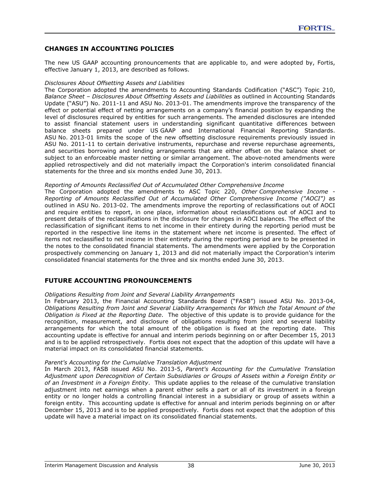### **CHANGES IN ACCOUNTING POLICIES**

The new US GAAP accounting pronouncements that are applicable to, and were adopted by, Fortis, effective January 1, 2013, are described as follows.

### *Disclosures About Offsetting Assets and Liabilities*

The Corporation adopted the amendments to Accounting Standards Codification ("ASC") Topic 210, *Balance Sheet – Disclosures About Offsetting Assets and Liabilities* as outlined in Accounting Standards Update ("ASU") No. 2011-11 and ASU No. 2013-01. The amendments improve the transparency of the effect or potential effect of netting arrangements on a company's financial position by expanding the level of disclosures required by entities for such arrangements. The amended disclosures are intended to assist financial statement users in understanding significant quantitative differences between balance sheets prepared under US GAAP and International Financial Reporting Standards. ASU No. 2013-01 limits the scope of the new offsetting disclosure requirements previously issued in ASU No. 2011-11 to certain derivative instruments, repurchase and reverse repurchase agreements, and securities borrowing and lending arrangements that are either offset on the balance sheet or subject to an enforceable master netting or similar arrangement. The above-noted amendments were applied retrospectively and did not materially impact the Corporation's interim consolidated financial statements for the three and six months ended June 30, 2013.

### *Reporting of Amounts Reclassified Out of Accumulated Other Comprehensive Income*

The Corporation adopted the amendments to ASC Topic 220, *Other Comprehensive Income - Reporting of Amounts Reclassified Out of Accumulated Other Comprehensive Income ("AOCI")* as outlined in ASU No. 2013-02. The amendments improve the reporting of reclassifications out of AOCI and require entities to report, in one place, information about reclassifications out of AOCI and to present details of the reclassifications in the disclosure for changes in AOCI balances. The effect of the reclassification of significant items to net income in their entirety during the reporting period must be reported in the respective line items in the statement where net income is presented. The effect of items not reclassified to net income in their entirety during the reporting period are to be presented in the notes to the consolidated financial statements. The amendments were applied by the Corporation prospectively commencing on January 1, 2013 and did not materially impact the Corporation's interim consolidated financial statements for the three and six months ended June 30, 2013.

### **FUTURE ACCOUNTING PRONOUNCEMENTS**

### *Obligations Resulting from Joint and Several Liability Arrangements*

In February 2013, the Financial Accounting Standards Board ("FASB") issued ASU No. 2013-04, *Obligations Resulting from Joint and Several Liability Arrangements for Which the Total Amount of the Obligation is Fixed at the Reporting Date*. The objective of this update is to provide guidance for the recognition, measurement, and disclosure of obligations resulting from joint and several liability arrangements for which the total amount of the obligation is fixed at the reporting date. This accounting update is effective for annual and interim periods beginning on or after December 15, 2013 and is to be applied retrospectively. Fortis does not expect that the adoption of this update will have a material impact on its consolidated financial statements.

### *Parent's Accounting for the Cumulative Translation Adjustment*

In March 2013, FASB issued ASU No. 2013-5, *Parent's Accounting for the Cumulative Translation Adjustment upon Derecognition of Certain Subsidiaries or Groups of Assets within a Foreign Entity or of an Investment in a Foreign Entity*. This update applies to the release of the cumulative translation adjustment into net earnings when a parent either sells a part or all of its investment in a foreign entity or no longer holds a controlling financial interest in a subsidiary or group of assets within a foreign entity. This accounting update is effective for annual and interim periods beginning on or after December 15, 2013 and is to be applied prospectively. Fortis does not expect that the adoption of this update will have a material impact on its consolidated financial statements.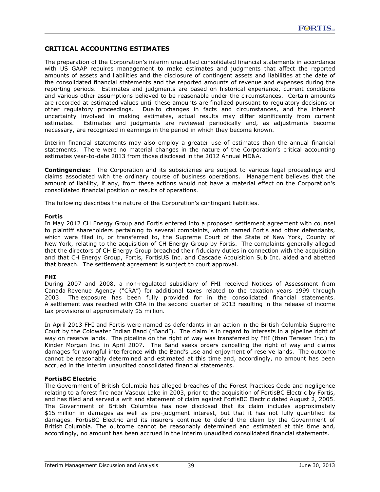### **CRITICAL ACCOUNTING ESTIMATES**

The preparation of the Corporation's interim unaudited consolidated financial statements in accordance with US GAAP requires management to make estimates and judgments that affect the reported amounts of assets and liabilities and the disclosure of contingent assets and liabilities at the date of the consolidated financial statements and the reported amounts of revenue and expenses during the reporting periods. Estimates and judgments are based on historical experience, current conditions and various other assumptions believed to be reasonable under the circumstances. Certain amounts are recorded at estimated values until these amounts are finalized pursuant to regulatory decisions or other regulatory proceedings. Due to changes in facts and circumstances, and the inherent uncertainty involved in making estimates, actual results may differ significantly from current estimates. Estimates and judgments are reviewed periodically and, as adjustments become necessary, are recognized in earnings in the period in which they become known.

Interim financial statements may also employ a greater use of estimates than the annual financial statements. There were no material changes in the nature of the Corporation's critical accounting estimates year-to-date 2013 from those disclosed in the 2012 Annual MD&A.

**Contingencies:** The Corporation and its subsidiaries are subject to various legal proceedings and claims associated with the ordinary course of business operations. Management believes that the amount of liability, if any, from these actions would not have a material effect on the Corporation's consolidated financial position or results of operations.

The following describes the nature of the Corporation's contingent liabilities.

### **Fortis**

In May 2012 CH Energy Group and Fortis entered into a proposed settlement agreement with counsel to plaintiff shareholders pertaining to several complaints, which named Fortis and other defendants, which were filed in, or transferred to, the Supreme Court of the State of New York, County of New York, relating to the acquisition of CH Energy Group by Fortis. The complaints generally alleged that the directors of CH Energy Group breached their fiduciary duties in connection with the acquisition and that CH Energy Group, Fortis, FortisUS Inc. and Cascade Acquisition Sub Inc. aided and abetted that breach. The settlement agreement is subject to court approval.

### **FHI**

During 2007 and 2008, a non-regulated subsidiary of FHI received Notices of Assessment from Canada Revenue Agency ("CRA") for additional taxes related to the taxation years 1999 through 2003. The exposure has been fully provided for in the consolidated financial statements. A settlement was reached with CRA in the second quarter of 2013 resulting in the release of income tax provisions of approximately \$5 million.

In April 2013 FHI and Fortis were named as defendants in an action in the British Columbia Supreme Court by the Coldwater Indian Band ("Band"). The claim is in regard to interests in a pipeline right of way on reserve lands. The pipeline on the right of way was transferred by FHI (then Terasen Inc.) to Kinder Morgan Inc. in April 2007. The Band seeks orders cancelling the right of way and claims damages for wrongful interference with the Band's use and enjoyment of reserve lands. The outcome cannot be reasonably determined and estimated at this time and, accordingly, no amount has been accrued in the interim unaudited consolidated financial statements.

### **FortisBC Electric**

The Government of British Columbia has alleged breaches of the Forest Practices Code and negligence relating to a forest fire near Vaseux Lake in 2003, prior to the acquisition of FortisBC Electric by Fortis, and has filed and served a writ and statement of claim against FortisBC Electric dated August 2, 2005. The Government of British Columbia has now disclosed that its claim includes approximately \$15 million in damages as well as pre-judgment interest, but that it has not fully quantified its damages. FortisBC Electric and its insurers continue to defend the claim by the Government of British Columbia. The outcome cannot be reasonably determined and estimated at this time and, accordingly, no amount has been accrued in the interim unaudited consolidated financial statements.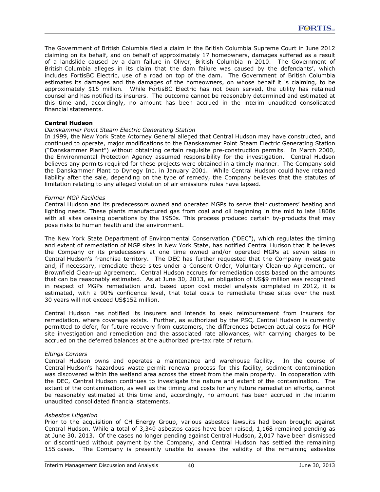The Government of British Columbia filed a claim in the British Columbia Supreme Court in June 2012 claiming on its behalf, and on behalf of approximately 17 homeowners, damages suffered as a result of a landslide caused by a dam failure in Oliver, British Columbia in 2010. The Government of British Columbia alleges in its claim that the dam failure was caused by the defendants', which includes FortisBC Electric, use of a road on top of the dam. The Government of British Columbia estimates its damages and the damages of the homeowners, on whose behalf it is claiming, to be approximately \$15 million. While FortisBC Electric has not been served, the utility has retained counsel and has notified its insurers. The outcome cannot be reasonably determined and estimated at this time and, accordingly, no amount has been accrued in the interim unaudited consolidated financial statements.

### **Central Hudson**

### *Danskammer Point Steam Electric Generating Station*

In 1999, the New York State Attorney General alleged that Central Hudson may have constructed, and continued to operate, major modifications to the Danskammer Point Steam Electric Generating Station ("Danskammer Plant") without obtaining certain requisite pre-construction permits. In March 2000, the Environmental Protection Agency assumed responsibility for the investigation. Central Hudson believes any permits required for these projects were obtained in a timely manner. The Company sold the Danskammer Plant to Dynegy Inc. in January 2001. While Central Hudson could have retained liability after the sale, depending on the type of remedy, the Company believes that the statutes of limitation relating to any alleged violation of air emissions rules have lapsed.

### *Former MGP Facilities*

Central Hudson and its predecessors owned and operated MGPs to serve their customers' heating and lighting needs. These plants manufactured gas from coal and oil beginning in the mid to late 1800s with all sites ceasing operations by the 1950s. This process produced certain by-products that may pose risks to human health and the environment.

The New York State Department of Environmental Conservation ("DEC"), which regulates the timing and extent of remediation of MGP sites in New York State, has notified Central Hudson that it believes the Company or its predecessors at one time owned and/or operated MGPs at seven sites in Central Hudson's franchise territory. The DEC has further requested that the Company investigate and, if necessary, remediate these sites under a Consent Order, Voluntary Clean-up Agreement, or Brownfield Clean-up Agreement. Central Hudson accrues for remediation costs based on the amounts that can be reasonably estimated. As at June 30, 2013, an obligation of US\$9 million was recognized in respect of MGPs remediation and, based upon cost model analysis completed in 2012, it is estimated, with a 90% confidence level, that total costs to remediate these sites over the next 30 years will not exceed US\$152 million.

Central Hudson has notified its insurers and intends to seek reimbursement from insurers for remediation, where coverage exists. Further, as authorized by the PSC, Central Hudson is currently permitted to defer, for future recovery from customers, the differences between actual costs for MGP site investigation and remediation and the associated rate allowances, with carrying charges to be accrued on the deferred balances at the authorized pre-tax rate of return.

### *Eltings Corners*

Central Hudson owns and operates a maintenance and warehouse facility. In the course of Central Hudson's hazardous waste permit renewal process for this facility, sediment contamination was discovered within the wetland area across the street from the main property. In cooperation with the DEC, Central Hudson continues to investigate the nature and extent of the contamination. The extent of the contamination, as well as the timing and costs for any future remediation efforts, cannot be reasonably estimated at this time and, accordingly, no amount has been accrued in the interim unaudited consolidated financial statements.

### *Asbestos Litigation*

Prior to the acquisition of CH Energy Group, various asbestos lawsuits had been brought against Central Hudson. While a total of 3,340 asbestos cases have been raised, 1,168 remained pending as at June 30, 2013. Of the cases no longer pending against Central Hudson, 2,017 have been dismissed or discontinued without payment by the Company, and Central Hudson has settled the remaining 155 cases. The Company is presently unable to assess the validity of the remaining asbestos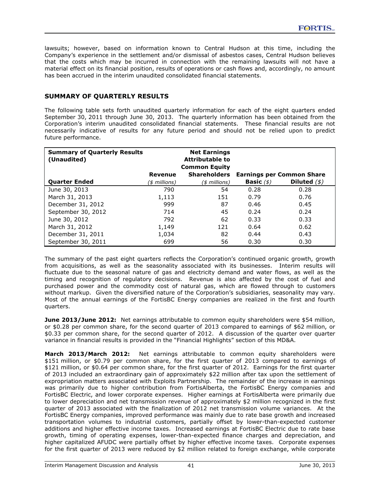lawsuits; however, based on information known to Central Hudson at this time, including the Company's experience in the settlement and/or dismissal of asbestos cases, Central Hudson believes that the costs which may be incurred in connection with the remaining lawsuits will not have a material effect on its financial position, results of operations or cash flows and, accordingly, no amount has been accrued in the interim unaudited consolidated financial statements.

### **SUMMARY OF QUARTERLY RESULTS**

The following table sets forth unaudited quarterly information for each of the eight quarters ended September 30, 2011 through June 30, 2013. The quarterly information has been obtained from the Corporation's interim unaudited consolidated financial statements. These financial results are not necessarily indicative of results for any future period and should not be relied upon to predict future performance.

| <b>Summary of Quarterly Results</b><br>(Unaudited) | <b>Net Earnings</b><br><b>Attributable to</b><br><b>Common Equity</b><br><b>Shareholders</b><br>Revenue |               |                         | <b>Earnings per Common Share</b> |
|----------------------------------------------------|---------------------------------------------------------------------------------------------------------|---------------|-------------------------|----------------------------------|
| <b>Quarter Ended</b>                               | (\$ millions)                                                                                           | (\$ millions) | <b>Basic</b> $($ \$ $)$ | Diluted $($ \$)                  |
| June 30, 2013                                      | 790                                                                                                     | 54            | 0.28                    | 0.28                             |
| March 31, 2013                                     | 1,113                                                                                                   | 151           | 0.79                    | 0.76                             |
| December 31, 2012                                  | 999                                                                                                     | 87            | 0.46                    | 0.45                             |
| September 30, 2012                                 | 714                                                                                                     | 45            | 0.24                    | 0.24                             |
| June 30, 2012                                      | 792                                                                                                     | 62            | 0.33                    | 0.33                             |
| March 31, 2012                                     | 1,149                                                                                                   | 121           | 0.64                    | 0.62                             |
| December 31, 2011                                  | 1,034                                                                                                   | 82            | 0.44                    | 0.43                             |
| September 30, 2011                                 | 699                                                                                                     | 56            | 0.30                    | 0.30                             |

The summary of the past eight quarters reflects the Corporation's continued organic growth, growth from acquisitions, as well as the seasonality associated with its businesses. Interim results will fluctuate due to the seasonal nature of gas and electricity demand and water flows, as well as the timing and recognition of regulatory decisions. Revenue is also affected by the cost of fuel and purchased power and the commodity cost of natural gas, which are flowed through to customers without markup. Given the diversified nature of the Corporation's subsidiaries, seasonality may vary. Most of the annual earnings of the FortisBC Energy companies are realized in the first and fourth quarters.

**June 2013/June 2012:** Net earnings attributable to common equity shareholders were \$54 million, or \$0.28 per common share, for the second quarter of 2013 compared to earnings of \$62 million, or \$0.33 per common share, for the second quarter of 2012. A discussion of the quarter over quarter variance in financial results is provided in the "Financial Highlights" section of this MD&A.

**March 2013/March 2012:** Net earnings attributable to common equity shareholders were \$151 million, or \$0.79 per common share, for the first quarter of 2013 compared to earnings of \$121 million, or \$0.64 per common share, for the first quarter of 2012. Earnings for the first quarter of 2013 included an extraordinary gain of approximately \$22 million after tax upon the settlement of expropriation matters associated with Exploits Partnership. The remainder of the increase in earnings was primarily due to higher contribution from FortisAlberta, the FortisBC Energy companies and FortisBC Electric, and lower corporate expenses. Higher earnings at FortisAlberta were primarily due to lower depreciation and net transmission revenue of approximately \$2 million recognized in the first quarter of 2013 associated with the finalization of 2012 net transmission volume variances. At the FortisBC Energy companies, improved performance was mainly due to rate base growth and increased transportation volumes to industrial customers, partially offset by lower-than-expected customer additions and higher effective income taxes. Increased earnings at FortisBC Electric due to rate base growth, timing of operating expenses, lower-than-expected finance charges and depreciation, and higher capitalized AFUDC were partially offset by higher effective income taxes. Corporate expenses for the first quarter of 2013 were reduced by \$2 million related to foreign exchange, while corporate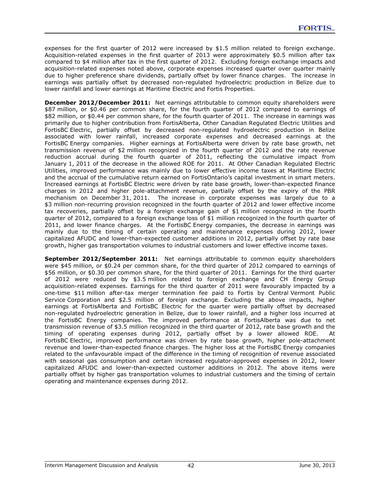expenses for the first quarter of 2012 were increased by \$1.5 million related to foreign exchange. Acquisition-related expenses in the first quarter of 2013 were approximately \$0.5 million after tax compared to \$4 million after tax in the first quarter of 2012. Excluding foreign exchange impacts and acquisition-related expenses noted above, corporate expenses increased quarter over quarter mainly due to higher preference share dividends, partially offset by lower finance charges. The increase in earnings was partially offset by decreased non-regulated hydroelectric production in Belize due to lower rainfall and lower earnings at Maritime Electric and Fortis Properties.

**December 2012/December 2011:** Net earnings attributable to common equity shareholders were \$87 million, or \$0.46 per common share, for the fourth quarter of 2012 compared to earnings of \$82 million, or \$0.44 per common share, for the fourth quarter of 2011. The increase in earnings was primarily due to higher contribution from FortisAlberta, Other Canadian Regulated Electric Utilities and FortisBC Electric, partially offset by decreased non-regulated hydroelectric production in Belize associated with lower rainfall, increased corporate expenses and decreased earnings at the FortisBC Energy companies. Higher earnings at FortisAlberta were driven by rate base growth, net transmission revenue of \$2 million recognized in the fourth quarter of 2012 and the rate revenue reduction accrual during the fourth quarter of 2011, reflecting the cumulative impact from January 1, 2011 of the decrease in the allowed ROE for 2011. At Other Canadian Regulated Electric Utilities, improved performance was mainly due to lower effective income taxes at Maritime Electric and the accrual of the cumulative return earned on FortisOntario's capital investment in smart meters. Increased earnings at FortisBC Electric were driven by rate base growth, lower-than-expected finance charges in 2012 and higher pole-attachment revenue, partially offset by the expiry of the PBR mechanism on December 31, 2011. The increase in corporate expenses was largely due to a \$3 million non-recurring provision recognized in the fourth quarter of 2012 and lower effective income tax recoveries, partially offset by a foreign exchange gain of \$1 million recognized in the fourth quarter of 2012, compared to a foreign exchange loss of \$1 million recognized in the fourth quarter of 2011, and lower finance charges. At the FortisBC Energy companies, the decrease in earnings was mainly due to the timing of certain operating and maintenance expenses during 2012, lower capitalized AFUDC and lower-than-expected customer additions in 2012, partially offset by rate base growth, higher gas transportation volumes to industrial customers and lower effective income taxes.

**September 2012/September 2011:** Net earnings attributable to common equity shareholders were \$45 million, or \$0.24 per common share, for the third quarter of 2012 compared to earnings of \$56 million, or \$0.30 per common share, for the third quarter of 2011. Earnings for the third quarter of 2012 were reduced by \$3.5 million related to foreign exchange and CH Energy Group acquisition-related expenses. Earnings for the third quarter of 2011 were favourably impacted by a one-time \$11 million after-tax merger termination fee paid to Fortis by Central Vermont Public Service Corporation and \$2.5 million of foreign exchange. Excluding the above impacts, higher earnings at FortisAlberta and FortisBC Electric for the quarter were partially offset by decreased non-regulated hydroelectric generation in Belize, due to lower rainfall, and a higher loss incurred at the FortisBC Energy companies. The improved performance at FortisAlberta was due to net transmission revenue of \$3.5 million recognized in the third quarter of 2012, rate base growth and the timing of operating expenses during 2012, partially offset by a lower allowed ROE. At FortisBC Electric, improved performance was driven by rate base growth, higher pole-attachment revenue and lower-than-expected finance charges. The higher loss at the FortisBC Energy companies related to the unfavourable impact of the difference in the timing of recognition of revenue associated with seasonal gas consumption and certain increased regulator-approved expenses in 2012, lower capitalized AFUDC and lower-than-expected customer additions in 2012. The above items were partially offset by higher gas transportation volumes to industrial customers and the timing of certain operating and maintenance expenses during 2012.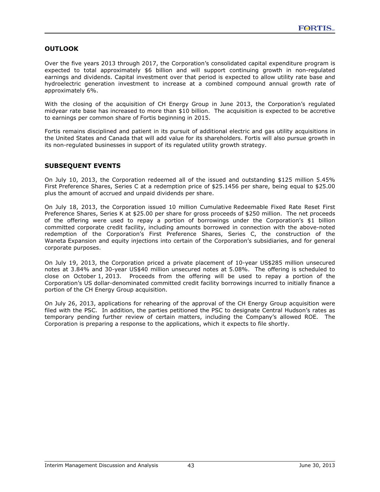### **OUTLOOK**

Over the five years 2013 through 2017, the Corporation's consolidated capital expenditure program is expected to total approximately \$6 billion and will support continuing growth in non-regulated earnings and dividends. Capital investment over that period is expected to allow utility rate base and hydroelectric generation investment to increase at a combined compound annual growth rate of approximately 6%.

With the closing of the acquisition of CH Energy Group in June 2013, the Corporation's regulated midyear rate base has increased to more than \$10 billion. The acquisition is expected to be accretive to earnings per common share of Fortis beginning in 2015.

Fortis remains disciplined and patient in its pursuit of additional electric and gas utility acquisitions in the United States and Canada that will add value for its shareholders. Fortis will also pursue growth in its non-regulated businesses in support of its regulated utility growth strategy.

### **SUBSEQUENT EVENTS**

On July 10, 2013, the Corporation redeemed all of the issued and outstanding \$125 million 5.45% First Preference Shares, Series C at a redemption price of \$25.1456 per share, being equal to \$25.00 plus the amount of accrued and unpaid dividends per share.

On July 18, 2013, the Corporation issued 10 million Cumulative Redeemable Fixed Rate Reset First Preference Shares, Series K at \$25.00 per share for gross proceeds of \$250 million. The net proceeds of the offering were used to repay a portion of borrowings under the Corporation's \$1 billion committed corporate credit facility, including amounts borrowed in connection with the above-noted redemption of the Corporation's First Preference Shares, Series C, the construction of the Waneta Expansion and equity injections into certain of the Corporation's subsidiaries, and for general corporate purposes.

On July 19, 2013, the Corporation priced a private placement of 10-year US\$285 million unsecured notes at 3.84% and 30-year US\$40 million unsecured notes at 5.08%. The offering is scheduled to close on October 1, 2013. Proceeds from the offering will be used to repay a portion of the Corporation's US dollar-denominated committed credit facility borrowings incurred to initially finance a portion of the CH Energy Group acquisition.

On July 26, 2013, applications for rehearing of the approval of the CH Energy Group acquisition were filed with the PSC. In addition, the parties petitioned the PSC to designate Central Hudson's rates as temporary pending further review of certain matters, including the Company's allowed ROE. The Corporation is preparing a response to the applications, which it expects to file shortly.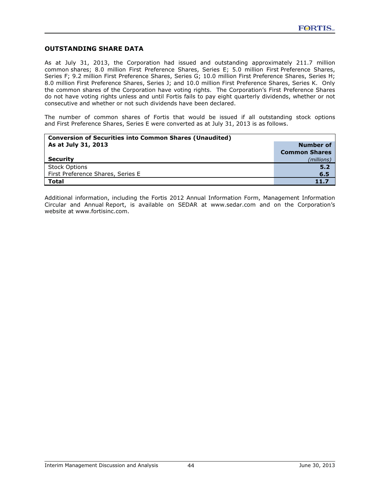### **OUTSTANDING SHARE DATA**

As at July 31, 2013, the Corporation had issued and outstanding approximately 211.7 million common shares; 8.0 million First Preference Shares, Series E; 5.0 million First Preference Shares, Series F; 9.2 million First Preference Shares, Series G; 10.0 million First Preference Shares, Series H; 8.0 million First Preference Shares, Series J; and 10.0 million First Preference Shares, Series K. Only the common shares of the Corporation have voting rights. The Corporation's First Preference Shares do not have voting rights unless and until Fortis fails to pay eight quarterly dividends, whether or not consecutive and whether or not such dividends have been declared.

The number of common shares of Fortis that would be issued if all outstanding stock options and First Preference Shares, Series E were converted as at July 31, 2013 is as follows.

| <b>Conversion of Securities into Common Shares (Unaudited)</b> |                      |
|----------------------------------------------------------------|----------------------|
| As at July 31, 2013                                            | Number of            |
|                                                                | <b>Common Shares</b> |
| <b>Security</b>                                                | (millions)           |
| <b>Stock Options</b>                                           | 5.2                  |
| First Preference Shares, Series E                              | 6.5                  |
| <b>Total</b>                                                   | 11.7                 |

Additional information, including the Fortis 2012 Annual Information Form, Management Information Circular and Annual Report, is available on SEDAR at www.sedar.com and on the Corporation's website at www.fortisinc.com.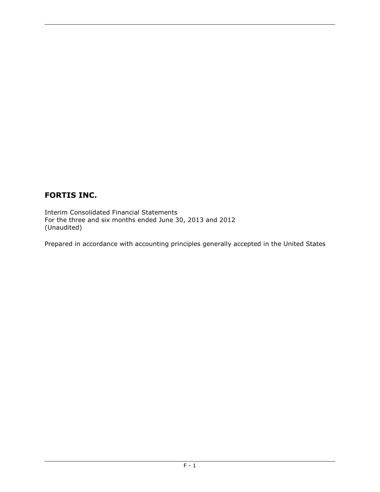Interim Consolidated Financial Statements For the three and six months ended June 30, 2013 and 2012 (Unaudited)

Prepared in accordance with accounting principles generally accepted in the United States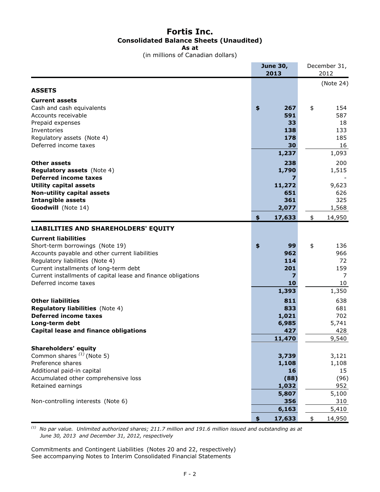### **Fortis Inc. Consolidated Balance Sheets (Unaudited) As at**

(in millions of Canadian dollars)

|                                                               | <b>June 30,</b><br>2013 | December 31,<br>2012 |
|---------------------------------------------------------------|-------------------------|----------------------|
|                                                               |                         | (Note 24)            |
| <b>ASSETS</b>                                                 |                         |                      |
| <b>Current assets</b>                                         |                         |                      |
| Cash and cash equivalents                                     | \$<br>267               | \$<br>154            |
| Accounts receivable                                           | 591                     | 587                  |
| Prepaid expenses                                              | 33                      | 18                   |
| Inventories                                                   | 138                     | 133                  |
| Regulatory assets (Note 4)                                    | 178                     | 185                  |
| Deferred income taxes                                         | 30                      | 16                   |
|                                                               | 1,237                   | 1,093                |
| <b>Other assets</b>                                           | 238                     | 200                  |
| <b>Regulatory assets (Note 4)</b>                             | 1,790                   | 1,515                |
| <b>Deferred income taxes</b>                                  |                         |                      |
| <b>Utility capital assets</b>                                 | 11,272                  | 9,623                |
| <b>Non-utility capital assets</b>                             | 651                     | 626                  |
| <b>Intangible assets</b>                                      | 361                     | 325                  |
| Goodwill (Note 14)                                            | 2,077                   | 1,568                |
|                                                               | \$<br>17,633            | \$<br>14,950         |
| LIABILITIES AND SHAREHOLDERS' EQUITY                          |                         |                      |
| <b>Current liabilities</b>                                    |                         |                      |
| Short-term borrowings (Note 19)                               | \$<br>99                | \$<br>136            |
| Accounts payable and other current liabilities                | 962                     | 966                  |
| Regulatory liabilities (Note 4)                               | 114                     | 72                   |
| Current installments of long-term debt                        | 201                     | 159                  |
| Current installments of capital lease and finance obligations | 7                       | 7                    |
| Deferred income taxes                                         | 10                      | 10                   |
|                                                               | 1,393                   | 1,350                |
| <b>Other liabilities</b>                                      | 811                     | 638                  |
| <b>Regulatory liabilities (Note 4)</b>                        | 833                     | 681                  |
| <b>Deferred income taxes</b>                                  | 1,021                   | 702                  |
| Long-term debt                                                | 6,985                   | 5,741                |
| <b>Capital lease and finance obligations</b>                  | 427                     | 428                  |
|                                                               | 11,470                  | 9,540                |
| <b>Shareholders' equity</b>                                   |                         |                      |
| Common shares $(1)$ (Note 5)                                  | 3,739                   | 3,121                |
| Preference shares                                             | 1,108                   | 1,108                |
| Additional paid-in capital                                    | 16                      | 15                   |
| Accumulated other comprehensive loss                          | (88)                    | (96)                 |
| Retained earnings                                             | 1,032                   | 952                  |
|                                                               | 5,807                   | 5,100                |
| Non-controlling interests (Note 6)                            | 356                     | 310                  |
|                                                               | 6,163                   | 5,410                |
|                                                               | \$<br>17,633            | \$<br>14,950         |

*(1) No par value. Unlimited authorized shares; 211.7 million and 191.6 million issued and outstanding as at June 30, 2013 and December 31, 2012, respectively*

Commitments and Contingent Liabilities (Notes 20 and 22, respectively) See accompanying Notes to Interim Consolidated Financial Statements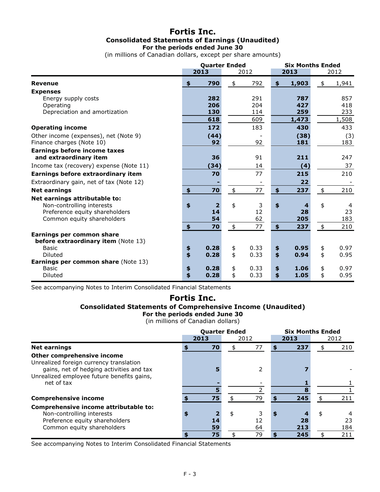### **Fortis Inc. Consolidated Statements of Earnings (Unaudited) For the periods ended June 30**

(in millions of Canadian dollars, except per share amounts)

|                                            |                                                                | <b>Quarter Ended</b> |               |      |               | <b>Six Months Ended</b> |               |       |
|--------------------------------------------|----------------------------------------------------------------|----------------------|---------------|------|---------------|-------------------------|---------------|-------|
|                                            |                                                                | 2013                 |               | 2012 |               | 2013                    |               | 2012  |
| <b>Revenue</b>                             | \$                                                             | 790                  | \$            | 792  | \$            | 1,903                   | \$            | 1,941 |
| <b>Expenses</b>                            |                                                                |                      |               |      |               |                         |               |       |
| Energy supply costs                        |                                                                | 282                  |               | 291  |               | 787                     |               | 857   |
| Operating                                  |                                                                | 206                  |               | 204  |               | 427                     |               | 418   |
| Depreciation and amortization              |                                                                | 130                  |               | 114  |               | 259                     |               | 233   |
|                                            |                                                                | 618                  |               | 609  |               | 1,473                   |               | 1,508 |
| <b>Operating income</b>                    |                                                                | 172                  |               | 183  |               | 430                     |               | 433   |
| Other income (expenses), net (Note 9)      |                                                                | (44)                 |               |      |               | (38)                    |               | (3)   |
| Finance charges (Note 10)                  |                                                                | 92                   |               | 92   |               | 181                     |               | 183   |
| Earnings before income taxes               |                                                                |                      |               |      |               |                         |               |       |
| and extraordinary item                     |                                                                | 36                   |               | 91   |               | 211                     |               | 247   |
| Income tax (recovery) expense (Note 11)    |                                                                | (34)                 |               | 14   |               | (4)                     |               | 37    |
| Earnings before extraordinary item         |                                                                | 70                   |               | 77   |               | 215                     |               | 210   |
| Extraordinary gain, net of tax (Note 12)   |                                                                |                      |               |      |               | 22                      |               |       |
| <b>Net earnings</b>                        | \$                                                             | 70                   | $\frac{1}{2}$ | 77   | \$            | 237                     | $\frac{1}{2}$ | 210   |
| Net earnings attributable to:              |                                                                |                      |               |      |               |                         |               |       |
| Non-controlling interests                  | $\frac{1}{2}$                                                  | $\overline{2}$       | \$            | 3    | \$            |                         | \$            | 4     |
| Preference equity shareholders             |                                                                | 14                   |               | 12   |               | 28                      |               | 23    |
| Common equity shareholders                 |                                                                | 54                   |               | 62   |               | 205                     |               | 183   |
|                                            | $\boldsymbol{s}$                                               | 70                   | $\frac{1}{2}$ | 77   | \$            | 237                     | $\frac{1}{2}$ | 210   |
| Earnings per common share                  |                                                                |                      |               |      |               |                         |               |       |
| <b>before extraordinary item (Note 13)</b> |                                                                |                      |               |      |               |                         |               |       |
| <b>Basic</b>                               | $\begin{array}{c}\n\bullet \\ \bullet \\ \bullet\n\end{array}$ | 0.28                 | \$<br>\$      | 0.33 | \$            | 0.95                    | \$            | 0.97  |
| <b>Diluted</b>                             |                                                                | 0.28                 |               | 0.33 | $\frac{1}{2}$ | 0.94                    | \$            | 0.95  |
| <b>Earnings per common share (Note 13)</b> |                                                                |                      |               |      |               |                         |               |       |
| <b>Basic</b>                               | \$\$                                                           | 0.28                 | \$            | 0.33 | \$            | 1.06                    | \$            | 0.97  |
| Diluted                                    |                                                                | 0.28                 | \$            | 0.33 | \$            | 1.05                    | \$            | 0.95  |

See accompanying Notes to Interim Consolidated Financial Statements

### **Fortis Inc. Consolidated Statements of Comprehensive Income (Unaudited) For the periods ended June 30**

(in millions of Canadian dollars)

|                                                                                        | <b>Quarter Ended</b> |               |    | <b>Six Months Ended</b> |      |
|----------------------------------------------------------------------------------------|----------------------|---------------|----|-------------------------|------|
|                                                                                        | 2013                 | 2012          |    | 2013                    | 2012 |
| <b>Net earnings</b>                                                                    | 70                   | 77            | S  | 237                     | 210  |
| Other comprehensive income<br>Unrealized foreign currency translation                  |                      |               |    |                         |      |
| gains, net of hedging activities and tax<br>Unrealized employee future benefits gains, |                      | $\mathcal{P}$ |    |                         |      |
| net of tax                                                                             |                      |               |    |                         |      |
| <b>Comprehensive income</b>                                                            | 75                   | 79            | S  | 245                     | 211  |
| Comprehensive income attributable to:                                                  |                      |               |    |                         |      |
| Non-controlling interests                                                              | \$                   | \$            | \$ |                         | \$   |
| Preference equity shareholders                                                         | 14                   | 12            |    | 28                      | 23   |
| Common equity shareholders                                                             | 59                   | 64            |    | 213                     | 184  |
|                                                                                        | \$<br>75             | 79            | \$ | 245                     | 211  |

See accompanying Notes to Interim Consolidated Financial Statements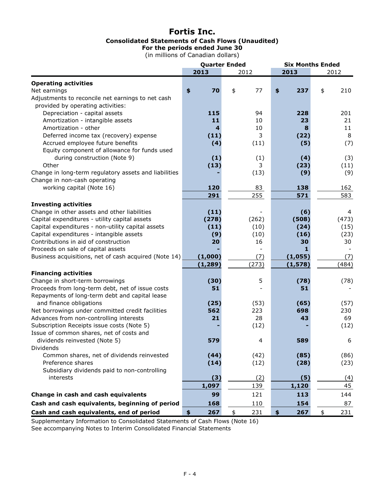### **Fortis Inc. Consolidated Statements of Cash Flows (Unaudited) For the periods ended June 30**

(in millions of Canadian dollars)

|                                                       |             |           | <b>Quarter Ended</b> |             | <b>Six Months Ended</b> |            |
|-------------------------------------------------------|-------------|-----------|----------------------|-------------|-------------------------|------------|
|                                                       | 2013        |           | 2012                 |             | 2013                    | 2012       |
| <b>Operating activities</b>                           |             |           |                      |             |                         |            |
| Net earnings                                          | \$          | 70        | \$<br>77             | \$          | 237                     | \$<br>210  |
| Adjustments to reconcile net earnings to net cash     |             |           |                      |             |                         |            |
| provided by operating activities:                     |             |           |                      |             |                         |            |
| Depreciation - capital assets                         |             | 115       | 94                   |             | 228                     | 201        |
| Amortization - intangible assets                      |             | 11        | 10                   |             | 23                      | 21         |
| Amortization - other                                  |             | 4         | 10                   |             | 8                       | 11         |
| Deferred income tax (recovery) expense                |             | (11)      | 3                    |             | (22)                    | 8          |
| Accrued employee future benefits                      |             | (4)       | (11)                 |             | (5)                     | (7)        |
| Equity component of allowance for funds used          |             |           |                      |             |                         |            |
| during construction (Note 9)                          |             | (1)       | (1)                  |             | (4)                     | (3)        |
| Other                                                 |             | (13)      | 3                    |             | (23)                    | (11)       |
| Change in long-term regulatory assets and liabilities |             |           | (13)                 |             | (9)                     | (9)        |
| Change in non-cash operating                          |             |           |                      |             |                         |            |
| working capital (Note 16)                             |             | 120       | 83                   |             | 138                     | 162        |
|                                                       |             | 291       | 255                  |             | 571                     | 583        |
| <b>Investing activities</b>                           |             |           |                      |             |                         |            |
| Change in other assets and other liabilities          |             | (11)      |                      |             |                         | 4          |
| Capital expenditures - utility capital assets         | (278)       |           | (262)                |             | (6)<br>(508)            | (473)      |
| Capital expenditures - non-utility capital assets     |             |           |                      |             |                         |            |
| Capital expenditures - intangible assets              |             | (11)      | (10)                 |             | (24)                    | (15)       |
| Contributions in aid of construction                  |             | (9)<br>20 | (10)<br>16           |             | (16)<br>30              | (23)<br>30 |
| Proceeds on sale of capital assets                    |             |           |                      |             |                         |            |
|                                                       |             |           |                      |             |                         |            |
| Business acquisitions, net of cash acquired (Note 14) | (1,000)     |           | (7)                  |             | (1,055)                 | (7)        |
|                                                       | (1, 289)    |           | (273)                |             | (1, 578)                | (484)      |
| <b>Financing activities</b>                           |             |           |                      |             |                         |            |
| Change in short-term borrowings                       |             | (30)      | 5                    |             | (78)                    | (78)       |
| Proceeds from long-term debt, net of issue costs      |             | 51        |                      |             | 51                      |            |
| Repayments of long-term debt and capital lease        |             |           |                      |             |                         |            |
| and finance obligations                               |             | (25)      | (53)                 |             | (65)                    | (57)       |
| Net borrowings under committed credit facilities      |             | 562       | 223                  |             | 698                     | 230        |
| Advances from non-controlling interests               |             | 21        | 28                   |             | 43                      | 69         |
| Subscription Receipts issue costs (Note 5)            |             |           | (12)                 |             |                         | (12)       |
| Issue of common shares, net of costs and              |             |           |                      |             |                         |            |
| dividends reinvested (Note 5)                         |             | 579       | 4                    |             | 589                     | 6          |
| Dividends                                             |             |           |                      |             |                         |            |
| Common shares, net of dividends reinvested            |             | (44)      | (42)                 |             | (85)                    | (86)       |
| Preference shares                                     |             | (14)      | (12)                 |             | (28)                    | (23)       |
| Subsidiary dividends paid to non-controlling          |             |           |                      |             |                         |            |
| interests                                             |             | (3)       | (2)                  |             | (5)                     | (4)        |
|                                                       | 1,097       |           | 139                  |             | 1,120                   | 45         |
| Change in cash and cash equivalents                   |             | 99        | 121                  |             | 113                     | 144        |
| Cash and cash equivalents, beginning of period        |             | 168       | 110                  |             | 154                     | 87         |
| Cash and cash equivalents, end of period              | $\clubsuit$ | 267       | \$<br>231            | $\clubsuit$ | 267                     | \$<br>231  |

Supplementary Information to Consolidated Statements of Cash Flows (Note 16) See accompanying Notes to Interim Consolidated Financial Statements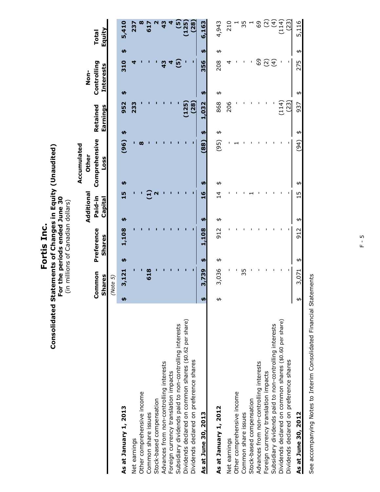**Consolidated Statements of Changes in Equity (Unaudited)**<br>For the periods ended June 30<br>(in millions of Canadian dollars) **Consolidated Statements of Changes in Equity (Unaudited) For the periods ended June 30** (in millions of Canadian dollars) Fortis Inc. **Fortis Inc.**

|                                                        |   |                  |    |                             |                    |               | Accumulated             |                      |       |                                 |               |                        |                         |
|--------------------------------------------------------|---|------------------|----|-----------------------------|--------------------|---------------|-------------------------|----------------------|-------|---------------------------------|---------------|------------------------|-------------------------|
|                                                        |   |                  |    |                             | Additiona          |               | Other                   |                      |       | Non-                            |               |                        |                         |
|                                                        |   | Common<br>Shares |    | Preference<br><b>Shares</b> | Paid-in<br>Capital |               | Comprehensive<br>Loss   | Retained<br>Earnings |       | Controlling<br><b>Interests</b> |               | Equity<br><b>Total</b> |                         |
|                                                        |   | (Note 5)         |    |                             |                    |               |                         |                      |       |                                 |               |                        |                         |
| As at January 1, 2013                                  | ₩ | 3,121            | ₩  | 1,108                       | ₩                  | 15            | (96)<br>₩               | ₩                    | 952   | ₩                               | 310           | ₩                      | 5,410                   |
| Net earnings                                           |   |                  |    |                             |                    |               |                         |                      | 233   |                                 |               |                        | 237                     |
| Other comprehensive income                             |   |                  |    |                             |                    |               | œ                       |                      |       |                                 |               |                        |                         |
| Common share issues                                    |   | 618              |    |                             |                    | Ξ             |                         |                      |       |                                 |               |                        | <b>617</b>              |
| Stock-based compensation                               |   |                  |    |                             |                    |               |                         |                      |       |                                 |               |                        |                         |
| Advances from non-controlling interests                |   |                  |    |                             |                    |               |                         |                      |       |                                 | $\frac{3}{4}$ |                        | 43                      |
| Foreign currency translation impacts                   |   |                  |    |                             |                    |               |                         |                      |       |                                 | 4             |                        | 4                       |
| Subsidiary dividends paid to non-controlling interests |   |                  |    |                             |                    |               |                         |                      |       |                                 | 0             |                        | $\overline{5}$          |
| Dividends declared on common shares (\$0.62 per share) |   |                  |    |                             |                    |               |                         |                      | (125) |                                 |               |                        | (125)                   |
| Dividends declared on preference shares                |   |                  |    |                             |                    |               |                         |                      | (28)  |                                 | п             |                        | (28)                    |
| As at June 30, 2013                                    | ₩ | 3,739            | ₩  | 1,108                       | ₩                  | $\frac{6}{1}$ | $\left( 88\right)$<br>₩ | ₩                    | 1,032 | ₩                               | 356           | ₩                      | 6,163                   |
| As at January 1, 2012                                  | ↮ | 3,036            | ↮  | 912                         | ↮                  | $\vec{4}$     | (95)<br>↮               | ↮                    | 868   | ↮                               | 208           | ↮                      | 4,943                   |
| Net earnings                                           |   |                  |    |                             |                    |               |                         |                      | 206   |                                 | 4             |                        | 210                     |
| Other comprehensive income                             |   |                  |    |                             |                    |               |                         |                      |       |                                 |               |                        |                         |
| Common share issues                                    |   | 55               |    |                             |                    |               |                         |                      |       |                                 |               |                        | 55                      |
| Stock-based compensation                               |   |                  |    |                             |                    |               |                         |                      |       |                                 |               |                        |                         |
| Advances from non-controlling interests                |   |                  |    |                             |                    |               |                         |                      |       |                                 | 69            |                        | 69                      |
| Foreign currency translation impacts                   |   |                  |    |                             |                    |               |                         |                      |       |                                 | ି             |                        | $\widehat{\Omega}$      |
| Subsidiary dividends paid to non-controlling interests |   |                  |    |                             |                    |               |                         |                      |       |                                 | E             |                        | $\widehat{\mathcal{F}}$ |
| Dividends declared on common shares (\$0.60 per share) |   |                  |    |                             |                    |               |                         |                      | (114) |                                 |               |                        | (114)                   |
| Dividends declared on preference shares                |   |                  |    |                             |                    |               |                         |                      | (23)  |                                 |               |                        | (23)                    |
| As at June 30, 2012                                    | ↮ | 3,071            | ᡃᡉ | 912                         | ↮                  | $\frac{1}{1}$ | (94)<br>↮               | ↮                    | 937   | ↮                               | 275           | ↮                      | 5,116                   |

See accompanying Notes to Interim Consolidated Financial Statements See accompanying Notes to Interim Consolidated Financial Statements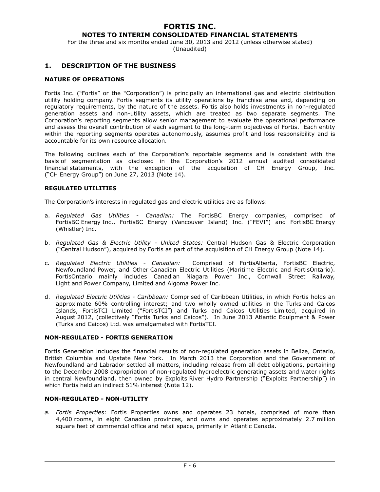For the three and six months ended June 30, 2013 and 2012 (unless otherwise stated)

(Unaudited)

### **1. DESCRIPTION OF THE BUSINESS**

### **NATURE OF OPERATIONS**

Fortis Inc. ("Fortis" or the "Corporation") is principally an international gas and electric distribution utility holding company. Fortis segments its utility operations by franchise area and, depending on regulatory requirements, by the nature of the assets. Fortis also holds investments in non-regulated generation assets and non-utility assets, which are treated as two separate segments. The Corporation's reporting segments allow senior management to evaluate the operational performance and assess the overall contribution of each segment to the long-term objectives of Fortis. Each entity within the reporting segments operates autonomously, assumes profit and loss responsibility and is accountable for its own resource allocation.

The following outlines each of the Corporation's reportable segments and is consistent with the basis of segmentation as disclosed in the Corporation's 2012 annual audited consolidated financial statements, with the exception of the acquisition of CH Energy Group, Inc. ("CH Energy Group") on June 27, 2013 (Note 14).

### **REGULATED UTILITIES**

The Corporation's interests in regulated gas and electric utilities are as follows:

- a. *Regulated Gas Utilities Canadian:* The FortisBC Energy companies, comprised of FortisBC Energy Inc., FortisBC Energy (Vancouver Island) Inc. ("FEVI") and FortisBC Energy (Whistler) Inc.
- b. *Regulated Gas & Electric Utility United States:* Central Hudson Gas & Electric Corporation ("Central Hudson"), acquired by Fortis as part of the acquisition of CH Energy Group (Note 14).
- c. *Regulated Electric Utilities Canadian:* Comprised of FortisAlberta, FortisBC Electric, Newfoundland Power, and Other Canadian Electric Utilities (Maritime Electric and FortisOntario). FortisOntario mainly includes Canadian Niagara Power Inc., Cornwall Street Railway, Light and Power Company, Limited and Algoma Power Inc.
- d. *Regulated Electric Utilities Caribbean:* Comprised of Caribbean Utilities, in which Fortis holds an approximate 60% controlling interest; and two wholly owned utilities in the Turks and Caicos Islands, FortisTCI Limited ("FortisTCI") and Turks and Caicos Utilities Limited, acquired in August 2012, (collectively "Fortis Turks and Caicos"). In June 2013 Atlantic Equipment & Power (Turks and Caicos) Ltd. was amalgamated with FortisTCI.

### **NON-REGULATED - FORTIS GENERATION**

Fortis Generation includes the financial results of non-regulated generation assets in Belize, Ontario, British Columbia and Upstate New York. In March 2013 the Corporation and the Government of Newfoundland and Labrador settled all matters, including release from all debt obligations, pertaining to the December 2008 expropriation of non-regulated hydroelectric generating assets and water rights in central Newfoundland, then owned by Exploits River Hydro Partnership ("Exploits Partnership") in which Fortis held an indirect 51% interest (Note 12).

### **NON-REGULATED - NON-UTILITY**

*a. Fortis Properties:* Fortis Properties owns and operates 23 hotels, comprised of more than 4,400 rooms, in eight Canadian provinces, and owns and operates approximately 2.7 million square feet of commercial office and retail space, primarily in Atlantic Canada.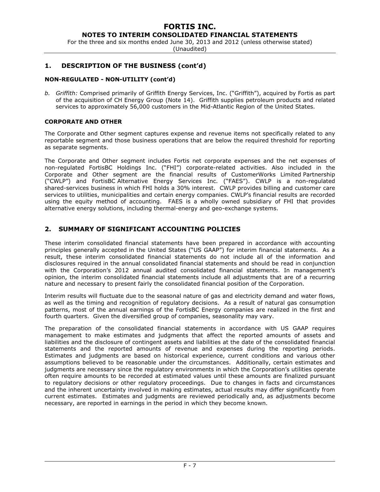For the three and six months ended June 30, 2013 and 2012 (unless otherwise stated)

(Unaudited)

### **1. DESCRIPTION OF THE BUSINESS (cont'd)**

### **NON-REGULATED - NON-UTILITY (cont'd)**

*b. Griffith:* Comprised primarily of Griffith Energy Services, Inc. ("Griffith"), acquired by Fortis as part of the acquisition of CH Energy Group (Note 14). Griffith supplies petroleum products and related services to approximately 56,000 customers in the Mid-Atlantic Region of the United States.

### **CORPORATE AND OTHER**

The Corporate and Other segment captures expense and revenue items not specifically related to any reportable segment and those business operations that are below the required threshold for reporting as separate segments.

The Corporate and Other segment includes Fortis net corporate expenses and the net expenses of non-regulated FortisBC Holdings Inc. ("FHI") corporate-related activities. Also included in the Corporate and Other segment are the financial results of CustomerWorks Limited Partnership ("CWLP") and FortisBC Alternative Energy Services Inc. ("FAES"). CWLP is a non-regulated shared-services business in which FHI holds a 30% interest. CWLP provides billing and customer care services to utilities, municipalities and certain energy companies. CWLP's financial results are recorded using the equity method of accounting. FAES is a wholly owned subsidiary of FHI that provides alternative energy solutions, including thermal-energy and geo-exchange systems.

### **2. SUMMARY OF SIGNIFICANT ACCOUNTING POLICIES**

These interim consolidated financial statements have been prepared in accordance with accounting principles generally accepted in the United States ("US GAAP") for interim financial statements. As a result, these interim consolidated financial statements do not include all of the information and disclosures required in the annual consolidated financial statements and should be read in conjunction with the Corporation's 2012 annual audited consolidated financial statements. In management's opinion, the interim consolidated financial statements include all adjustments that are of a recurring nature and necessary to present fairly the consolidated financial position of the Corporation.

Interim results will fluctuate due to the seasonal nature of gas and electricity demand and water flows, as well as the timing and recognition of regulatory decisions. As a result of natural gas consumption patterns, most of the annual earnings of the FortisBC Energy companies are realized in the first and fourth quarters. Given the diversified group of companies, seasonality may vary.

The preparation of the consolidated financial statements in accordance with US GAAP requires management to make estimates and judgments that affect the reported amounts of assets and liabilities and the disclosure of contingent assets and liabilities at the date of the consolidated financial statements and the reported amounts of revenue and expenses during the reporting periods. Estimates and judgments are based on historical experience, current conditions and various other assumptions believed to be reasonable under the circumstances. Additionally, certain estimates and judgments are necessary since the regulatory environments in which the Corporation's utilities operate often require amounts to be recorded at estimated values until these amounts are finalized pursuant to regulatory decisions or other regulatory proceedings. Due to changes in facts and circumstances and the inherent uncertainty involved in making estimates, actual results may differ significantly from current estimates. Estimates and judgments are reviewed periodically and, as adjustments become necessary, are reported in earnings in the period in which they become known.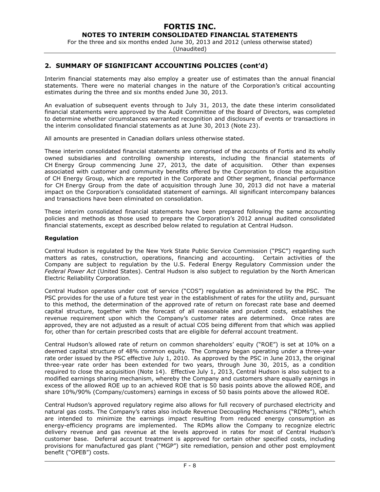For the three and six months ended June 30, 2013 and 2012 (unless otherwise stated)

(Unaudited)

### **2. SUMMARY OF SIGNIFICANT ACCOUNTING POLICIES (cont'd)**

Interim financial statements may also employ a greater use of estimates than the annual financial statements. There were no material changes in the nature of the Corporation's critical accounting estimates during the three and six months ended June 30, 2013.

An evaluation of subsequent events through to July 31, 2013, the date these interim consolidated financial statements were approved by the Audit Committee of the Board of Directors, was completed to determine whether circumstances warranted recognition and disclosure of events or transactions in the interim consolidated financial statements as at June 30, 2013 (Note 23).

All amounts are presented in Canadian dollars unless otherwise stated.

These interim consolidated financial statements are comprised of the accounts of Fortis and its wholly owned subsidiaries and controlling ownership interests, including the financial statements of CH Energy Group commencing June 27, 2013, the date of acquisition. Other than expenses associated with customer and community benefits offered by the Corporation to close the acquisition of CH Energy Group, which are reported in the Corporate and Other segment, financial performance for CH Energy Group from the date of acquisition through June 30, 2013 did not have a material impact on the Corporation's consolidated statement of earnings. All significant intercompany balances and transactions have been eliminated on consolidation.

These interim consolidated financial statements have been prepared following the same accounting policies and methods as those used to prepare the Corporation's 2012 annual audited consolidated financial statements, except as described below related to regulation at Central Hudson.

### **Regulation**

Central Hudson is regulated by the New York State Public Service Commission ("PSC") regarding such matters as rates, construction, operations, financing and accounting. Certain activities of the Company are subject to regulation by the U.S. Federal Energy Regulatory Commission under the *Federal Power Act* (United States). Central Hudson is also subject to regulation by the North American Electric Reliability Corporation.

Central Hudson operates under cost of service ("COS") regulation as administered by the PSC. The PSC provides for the use of a future test year in the establishment of rates for the utility and, pursuant to this method, the determination of the approved rate of return on forecast rate base and deemed capital structure, together with the forecast of all reasonable and prudent costs, establishes the revenue requirement upon which the Company's customer rates are determined. Once rates are approved, they are not adjusted as a result of actual COS being different from that which was applied for, other than for certain prescribed costs that are eligible for deferral account treatment.

Central Hudson's allowed rate of return on common shareholders' equity ("ROE") is set at 10% on a deemed capital structure of 48% common equity. The Company began operating under a three-year rate order issued by the PSC effective July 1, 2010. As approved by the PSC in June 2013, the original three-year rate order has been extended for two years, through June 30, 2015, as a condition required to close the acquisition (Note 14). Effective July 1, 2013, Central Hudson is also subject to a modified earnings sharing mechanism, whereby the Company and customers share equally earnings in excess of the allowed ROE up to an achieved ROE that is 50 basis points above the allowed ROE, and share 10%/90% (Company/customers) earnings in excess of 50 basis points above the allowed ROE.

Central Hudson's approved regulatory regime also allows for full recovery of purchased electricity and natural gas costs. The Company's rates also include Revenue Decoupling Mechanisms ("RDMs"), which are intended to minimize the earnings impact resulting from reduced energy consumption as energy-efficiency programs are implemented. The RDMs allow the Company to recognize electric delivery revenue and gas revenue at the levels approved in rates for most of Central Hudson's customer base. Deferral account treatment is approved for certain other specified costs, including provisions for manufactured gas plant ("MGP") site remediation, pension and other post employment benefit ("OPEB") costs.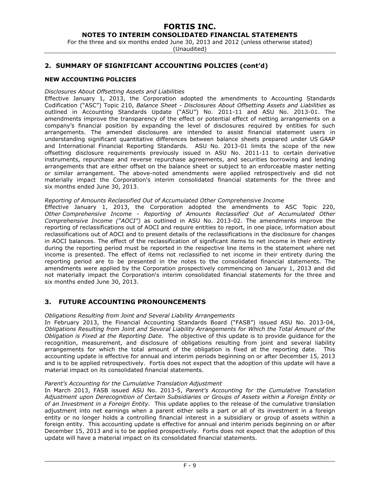### **NOTES TO INTERIM CONSOLIDATED FINANCIAL STATEMENTS**

For the three and six months ended June 30, 2013 and 2012 (unless otherwise stated)

(Unaudited)

### **2. SUMMARY OF SIGNIFICANT ACCOUNTING POLICIES (cont'd)**

### **NEW ACCOUNTING POLICIES**

### *Disclosures About Offsetting Assets and Liabilities*

Effective January 1, 2013, the Corporation adopted the amendments to Accounting Standards Codification ("ASC") Topic 210, *Balance Sheet - Disclosures About Offsetting Assets and Liabilities* as outlined in Accounting Standards Update ("ASU") No. 2011-11 and ASU No. 2013-01. The amendments improve the transparency of the effect or potential effect of netting arrangements on a company's financial position by expanding the level of disclosures required by entities for such arrangements. The amended disclosures are intended to assist financial statement users in understanding significant quantitative differences between balance sheets prepared under US GAAP and International Financial Reporting Standards. ASU No. 2013-01 limits the scope of the new offsetting disclosure requirements previously issued in ASU No. 2011-11 to certain derivative instruments, repurchase and reverse repurchase agreements, and securities borrowing and lending arrangements that are either offset on the balance sheet or subject to an enforceable master netting or similar arrangement. The above-noted amendments were applied retrospectively and did not materially impact the Corporation's interim consolidated financial statements for the three and six months ended June 30, 2013.

### *Reporting of Amounts Reclassified Out of Accumulated Other Comprehensive Income*

Effective January 1, 2013, the Corporation adopted the amendments to ASC Topic 220, *Other Comprehensive Income - Reporting of Amounts Reclassified Out of Accumulated Other Comprehensive Income ("AOCI")* as outlined in ASU No. 2013-02. The amendments improve the reporting of reclassifications out of AOCI and require entities to report, in one place, information about reclassifications out of AOCI and to present details of the reclassifications in the disclosure for changes in AOCI balances. The effect of the reclassification of significant items to net income in their entirety during the reporting period must be reported in the respective line items in the statement where net income is presented. The effect of items not reclassified to net income in their entirety during the reporting period are to be presented in the notes to the consolidated financial statements. The amendments were applied by the Corporation prospectively commencing on January 1, 2013 and did not materially impact the Corporation's interim consolidated financial statements for the three and six months ended June 30, 2013.

### **3. FUTURE ACCOUNTING PRONOUNCEMENTS**

### *Obligations Resulting from Joint and Several Liability Arrangements*

In February 2013, the Financial Accounting Standards Board ("FASB") issued ASU No. 2013-04, *Obligations Resulting from Joint and Several Liability Arrangements for Which the Total Amount of the Obligation is Fixed at the Reporting Date*. The objective of this update is to provide guidance for the recognition, measurement, and disclosure of obligations resulting from joint and several liability arrangements for which the total amount of the obligation is fixed at the reporting date. This accounting update is effective for annual and interim periods beginning on or after December 15, 2013 and is to be applied retrospectively. Fortis does not expect that the adoption of this update will have a material impact on its consolidated financial statements.

### *Parent's Accounting for the Cumulative Translation Adjustment*

In March 2013, FASB issued ASU No. 2013-5, *Parent's Accounting for the Cumulative Translation Adjustment upon Derecognition of Certain Subsidiaries or Groups of Assets within a Foreign Entity or of an Investment in a Foreign Entity.* This update applies to the release of the cumulative translation adjustment into net earnings when a parent either sells a part or all of its investment in a foreign entity or no longer holds a controlling financial interest in a subsidiary or group of assets within a foreign entity. This accounting update is effective for annual and interim periods beginning on or after December 15, 2013 and is to be applied prospectively. Fortis does not expect that the adoption of this update will have a material impact on its consolidated financial statements.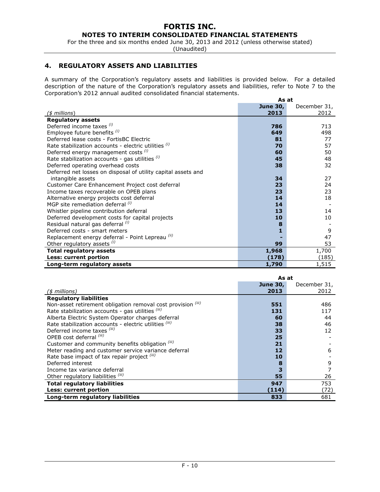For the three and six months ended June 30, 2013 and 2012 (unless otherwise stated)

(Unaudited)

### **4. REGULATORY ASSETS AND LIABILITIES**

A summary of the Corporation's regulatory assets and liabilities is provided below. For a detailed description of the nature of the Corporation's regulatory assets and liabilities, refer to Note 7 to the Corporation's 2012 annual audited consolidated financial statements.

|                                                               | As at    |              |
|---------------------------------------------------------------|----------|--------------|
|                                                               | June 30, | December 31, |
| $(*)$ millions)                                               | 2013     | 2012         |
| <b>Regulatory assets</b>                                      |          |              |
| Deferred income taxes (i)                                     | 786      | 713          |
| Employee future benefits (i)                                  | 649      | 498          |
| Deferred lease costs - FortisBC Electric                      | 81       | 77           |
| Rate stabilization accounts - electric utilities $(i)$        | 70       | 57           |
| Deferred energy management costs (i)                          | 60       | 50           |
| Rate stabilization accounts - gas utilities $(i)$             | 45       | 48           |
| Deferred operating overhead costs                             | 38       | 32           |
| Deferred net losses on disposal of utility capital assets and |          |              |
| intangible assets                                             | 34       | 27           |
| Customer Care Enhancement Project cost deferral               | 23       | 24           |
| Income taxes recoverable on OPEB plans                        | 23       | 23           |
| Alternative energy projects cost deferral                     | 14       | 18           |
| MGP site remediation deferral (i)                             | 14       |              |
| Whistler pipeline contribution deferral                       | 13       | 14           |
| Deferred development costs for capital projects               | 10       | 10           |
| Residual natural gas deferral (i)                             | 8        |              |
| Deferred costs - smart meters                                 | 1        | 9            |
| Replacement energy deferral - Point Lepreau (ii)              |          | 47           |
| Other regulatory assets (i)                                   | 99       | 53           |
| <b>Total regulatory assets</b>                                | 1,968    | 1,700        |
| Less: current portion                                         | (178)    | (185)        |
| Long-term regulatory assets                                   | 1,790    | 1,515        |

|                                                              | As at           |              |
|--------------------------------------------------------------|-----------------|--------------|
|                                                              | <b>June 30,</b> | December 31, |
| $(*)$ millions)                                              | 2013            | 2012         |
| <b>Regulatory liabilities</b>                                |                 |              |
| Non-asset retirement obligation removal cost provision (iii) | 551             | 486          |
| Rate stabilization accounts - gas utilities (iii)            | 131             | 117          |
| Alberta Electric System Operator charges deferral            | 60              | 44           |
| Rate stabilization accounts - electric utilities (iii)       | 38              | 46           |
| Deferred income taxes (iii)                                  | 33              | 12           |
| OPEB cost deferral (iii)                                     | 25              |              |
| Customer and community benefits obligation (iii)             | 21              |              |
| Meter reading and customer service variance deferral         | 12              | 6            |
| Rate base impact of tax repair project (iii)                 | 10              |              |
| Deferred interest                                            | 8               | 9            |
| Income tax variance deferral                                 | 3               |              |
| Other regulatory liabilities (iii)                           | 55              | 26           |
| <b>Total regulatory liabilities</b>                          | 947             | 753          |
| Less: current portion                                        | (114)           | (72)         |
| Long-term regulatory liabilities                             | 833             | 681          |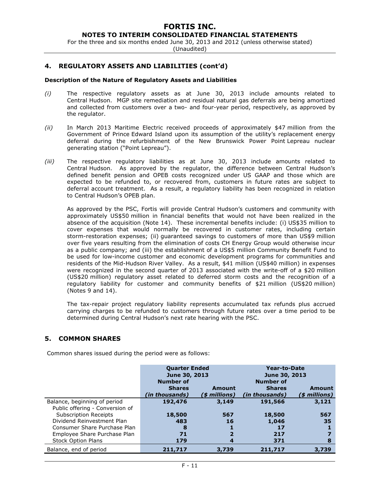For the three and six months ended June 30, 2013 and 2012 (unless otherwise stated)

(Unaudited)

### **4. REGULATORY ASSETS AND LIABILITIES (cont'd)**

### **Description of the Nature of Regulatory Assets and Liabilities**

- *(i)* The respective regulatory assets as at June 30, 2013 include amounts related to Central Hudson. MGP site remediation and residual natural gas deferrals are being amortized and collected from customers over a two- and four-year period, respectively, as approved by the regulator.
- *(ii)* In March 2013 Maritime Electric received proceeds of approximately \$47 million from the Government of Prince Edward Island upon its assumption of the utility's replacement energy deferral during the refurbishment of the New Brunswick Power Point Lepreau nuclear generating station ("Point Lepreau").
- *(iii)* The respective regulatory liabilities as at June 30, 2013 include amounts related to Central Hudson. As approved by the regulator, the difference between Central Hudson's defined benefit pension and OPEB costs recognized under US GAAP and those which are expected to be refunded to, or recovered from, customers in future rates are subject to deferral account treatment. As a result, a regulatory liability has been recognized in relation to Central Hudson's OPEB plan.

As approved by the PSC, Fortis will provide Central Hudson's customers and community with approximately US\$50 million in financial benefits that would not have been realized in the absence of the acquisition (Note 14). These incremental benefits include: (i) US\$35 million to cover expenses that would normally be recovered in customer rates, including certain storm-restoration expenses; (ii) guaranteed savings to customers of more than US\$9 million over five years resulting from the elimination of costs CH Energy Group would otherwise incur as a public company; and (iii) the establishment of a US\$5 million Community Benefit Fund to be used for low-income customer and economic development programs for communities and residents of the Mid-Hudson River Valley. As a result, \$41 million (US\$40 million) in expenses were recognized in the second quarter of 2013 associated with the write-off of a \$20 million (US\$20 million) regulatory asset related to deferred storm costs and the recognition of a regulatory liability for customer and community benefits of \$21 million (US\$20 million) (Notes 9 and 14).

The tax-repair project regulatory liability represents accumulated tax refunds plus accrued carrying charges to be refunded to customers through future rates over a time period to be determined during Central Hudson's next rate hearing with the PSC.

### **5. COMMON SHARES**

Common shares issued during the period were as follows:

|                                 | <b>Quarter Ended</b><br>June 30, 2013<br><b>Number of</b><br><b>Shares</b><br><i>(in thousands)</i> | Amount<br>(\$ millions) | <b>Year-to-Date</b><br>June 30, 2013<br><b>Number of</b><br><b>Shares</b><br><i>(in thousands)</i> | Amount<br>(\$ millions) |
|---------------------------------|-----------------------------------------------------------------------------------------------------|-------------------------|----------------------------------------------------------------------------------------------------|-------------------------|
| Balance, beginning of period    | 192,476                                                                                             | 3,149                   | 191,566                                                                                            | 3,121                   |
| Public offering - Conversion of |                                                                                                     |                         |                                                                                                    |                         |
| <b>Subscription Receipts</b>    | 18,500                                                                                              | 567                     | 18,500                                                                                             | 567                     |
| Dividend Reinvestment Plan      | 483                                                                                                 | 16                      | 1,046                                                                                              | 35                      |
| Consumer Share Purchase Plan    | 8                                                                                                   |                         | 17                                                                                                 |                         |
| Employee Share Purchase Plan    | 71                                                                                                  |                         | 217                                                                                                |                         |
| <b>Stock Option Plans</b>       | 179                                                                                                 |                         | 371                                                                                                | 8                       |
| Balance, end of period          | 211,717                                                                                             | 3,739                   | 211,717                                                                                            | 3,739                   |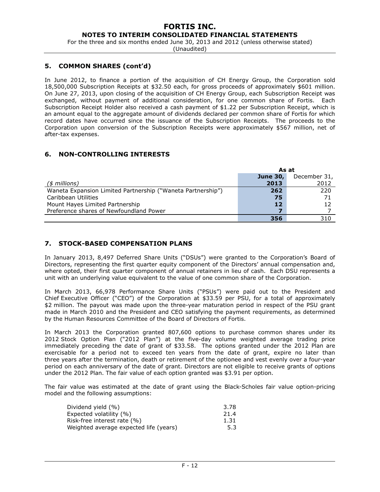For the three and six months ended June 30, 2013 and 2012 (unless otherwise stated)

(Unaudited)

### **5. COMMON SHARES (cont'd)**

In June 2012, to finance a portion of the acquisition of CH Energy Group, the Corporation sold 18,500,000 Subscription Receipts at \$32.50 each, for gross proceeds of approximately \$601 million. On June 27, 2013, upon closing of the acquisition of CH Energy Group, each Subscription Receipt was exchanged, without payment of additional consideration, for one common share of Fortis. Each Subscription Receipt Holder also received a cash payment of \$1.22 per Subscription Receipt, which is an amount equal to the aggregate amount of dividends declared per common share of Fortis for which record dates have occurred since the issuance of the Subscription Receipts. The proceeds to the Corporation upon conversion of the Subscription Receipts were approximately \$567 million, net of after-tax expenses.

### **6. NON-CONTROLLING INTERESTS**

|                                                             | As at           |              |  |
|-------------------------------------------------------------|-----------------|--------------|--|
|                                                             | <b>June 30,</b> | December 31, |  |
| (\$ millions)                                               | 2013            | 2012         |  |
| Waneta Expansion Limited Partnership ("Waneta Partnership") | 262             | 220          |  |
| Caribbean Utilities                                         | 75              | 71           |  |
| Mount Hayes Limited Partnership                             | 12              | 12           |  |
| Preference shares of Newfoundland Power                     |                 |              |  |
|                                                             | 356             | 310          |  |

### **7. STOCK-BASED COMPENSATION PLANS**

In January 2013, 8,497 Deferred Share Units ("DSUs") were granted to the Corporation's Board of Directors, representing the first quarter equity component of the Directors' annual compensation and, where opted, their first quarter component of annual retainers in lieu of cash. Each DSU represents a unit with an underlying value equivalent to the value of one common share of the Corporation.

In March 2013, 66,978 Performance Share Units ("PSUs") were paid out to the President and Chief Executive Officer ("CEO") of the Corporation at \$33.59 per PSU, for a total of approximately \$2 million. The payout was made upon the three-year maturation period in respect of the PSU grant made in March 2010 and the President and CEO satisfying the payment requirements, as determined by the Human Resources Committee of the Board of Directors of Fortis.

In March 2013 the Corporation granted 807,600 options to purchase common shares under its 2012 Stock Option Plan ("2012 Plan") at the five-day volume weighted average trading price immediately preceding the date of grant of \$33.58. The options granted under the 2012 Plan are exercisable for a period not to exceed ten years from the date of grant, expire no later than three years after the termination, death or retirement of the optionee and vest evenly over a four-year period on each anniversary of the date of grant. Directors are not eligible to receive grants of options under the 2012 Plan. The fair value of each option granted was \$3.91 per option.

The fair value was estimated at the date of grant using the Black-Scholes fair value option-pricing model and the following assumptions:

| 3.78 |
|------|
| 21.4 |
| 1.31 |
| 5.3  |
|      |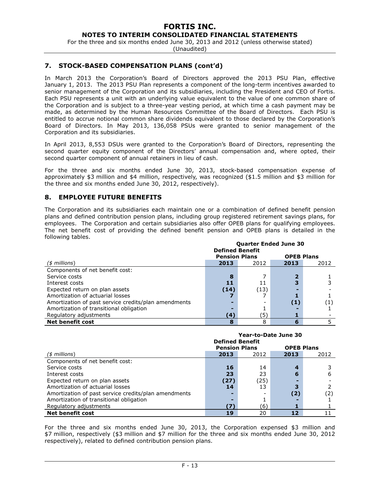For the three and six months ended June 30, 2013 and 2012 (unless otherwise stated)

(Unaudited)

### **7. STOCK-BASED COMPENSATION PLANS (cont'd)**

In March 2013 the Corporation's Board of Directors approved the 2013 PSU Plan, effective January 1, 2013. The 2013 PSU Plan represents a component of the long-term incentives awarded to senior management of the Corporation and its subsidiaries, including the President and CEO of Fortis. Each PSU represents a unit with an underlying value equivalent to the value of one common share of the Corporation and is subject to a three-year vesting period, at which time a cash payment may be made, as determined by the Human Resources Committee of the Board of Directors. Each PSU is entitled to accrue notional common share dividends equivalent to those declared by the Corporation's Board of Directors. In May 2013, 136,058 PSUs were granted to senior management of the Corporation and its subsidiaries.

In April 2013, 8,553 DSUs were granted to the Corporation's Board of Directors, representing the second quarter equity component of the Directors' annual compensation and, where opted, their second quarter component of annual retainers in lieu of cash.

For the three and six months ended June 30, 2013, stock-based compensation expense of approximately \$3 million and \$4 million, respectively, was recognized (\$1.5 million and \$3 million for the three and six months ended June 30, 2012, respectively).

### **8. EMPLOYEE FUTURE BENEFITS**

The Corporation and its subsidiaries each maintain one or a combination of defined benefit pension plans and defined contribution pension plans, including group registered retirement savings plans, for employees. The Corporation and certain subsidiaries also offer OPEB plans for qualifying employees. The net benefit cost of providing the defined benefit pension and OPEB plans is detailed in the following tables.

|                                                      | <b>Quarter Ended June 30</b><br><b>Defined Benefit</b> |      |                   |      |
|------------------------------------------------------|--------------------------------------------------------|------|-------------------|------|
|                                                      | <b>Pension Plans</b>                                   |      | <b>OPEB Plans</b> |      |
| $($$ millions)                                       | 2013                                                   | 2012 | 2013              | 2012 |
| Components of net benefit cost:                      |                                                        |      |                   |      |
| Service costs                                        |                                                        |      | 2                 |      |
| Interest costs                                       | 11                                                     | 11   | з                 |      |
| Expected return on plan assets                       | (14)                                                   | (13) |                   |      |
| Amortization of actuarial losses                     |                                                        |      |                   |      |
| Amortization of past service credits/plan amendments |                                                        |      | (1)               | (1)  |
| Amortization of transitional obligation              |                                                        |      |                   |      |
| Regulatory adjustments                               | 4)                                                     | '5`  |                   |      |
| <b>Net benefit cost</b>                              | 8                                                      | 8    | 6                 |      |

|                                                      | Year-to-Date June 30<br><b>Defined Benefit</b> |                          |                   |      |
|------------------------------------------------------|------------------------------------------------|--------------------------|-------------------|------|
|                                                      | <b>Pension Plans</b>                           |                          | <b>OPEB Plans</b> |      |
| $($$ millions)                                       | 2013                                           | 2012                     | 2013              | 2012 |
| Components of net benefit cost:                      |                                                |                          |                   |      |
| Service costs                                        | 16                                             | 14                       | 4                 |      |
| Interest costs                                       | 23                                             | 23                       | 6                 | 6    |
| Expected return on plan assets                       | (27)                                           | (25)                     |                   |      |
| Amortization of actuarial losses                     | 14                                             | 13                       | 3                 |      |
| Amortization of past service credits/plan amendments |                                                | $\overline{\phantom{0}}$ | (2)               | (2)  |
| Amortization of transitional obligation              |                                                |                          |                   |      |
| Regulatory adjustments                               |                                                | ΄6)                      |                   |      |
| <b>Net benefit cost</b>                              | و ۱                                            | 20                       | 12                |      |

For the three and six months ended June 30, 2013, the Corporation expensed \$3 million and \$7 million, respectively (\$3 million and \$7 million for the three and six months ended June 30, 2012 respectively), related to defined contribution pension plans.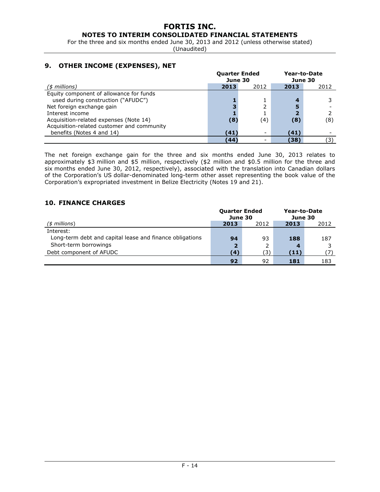For the three and six months ended June 30, 2013 and 2012 (unless otherwise stated)

(Unaudited)

### **9. OTHER INCOME (EXPENSES), NET**

|                                            | <b>Quarter Ended</b><br>June 30 |      | Year-to-Date<br>June 30 |      |
|--------------------------------------------|---------------------------------|------|-------------------------|------|
| $($$ millions)                             | 2013                            | 2012 | 2013                    | 2012 |
| Equity component of allowance for funds    |                                 |      |                         |      |
| used during construction ("AFUDC")         |                                 |      | 4                       |      |
| Net foreign exchange gain                  |                                 |      | 5                       |      |
| Interest income                            |                                 |      | 2                       |      |
| Acquisition-related expenses (Note 14)     | (8)                             | (4)  | (8)                     | (8)  |
| Acquisition-related customer and community |                                 |      |                         |      |
| benefits (Notes 4 and 14)                  | (41)                            |      | (41)                    |      |
|                                            | (44)                            |      | (38)                    | (3)  |

The net foreign exchange gain for the three and six months ended June 30, 2013 relates to approximately \$3 million and \$5 million, respectively (\$2 million and \$0.5 million for the three and six months ended June 30, 2012, respectively), associated with the translation into Canadian dollars of the Corporation's US dollar-denominated long-term other asset representing the book value of the Corporation's expropriated investment in Belize Electricity (Notes 19 and 21).

### **10. FINANCE CHARGES**

|                                                          | <b>Quarter Ended</b><br>June 30 |      | Year-to-Date<br>June 30 |      |  |
|----------------------------------------------------------|---------------------------------|------|-------------------------|------|--|
| $($$ millions)                                           | 2013                            | 2012 | 2013                    | 2012 |  |
| Interest:                                                |                                 |      |                         |      |  |
| Long-term debt and capital lease and finance obligations | 94                              | 93   | 188                     | 187  |  |
| Short-term borrowings                                    |                                 |      | 4                       |      |  |
| Debt component of AFUDC                                  | (4)                             | (3   | (11)                    |      |  |
|                                                          | 92                              | 92   | 181                     | 183  |  |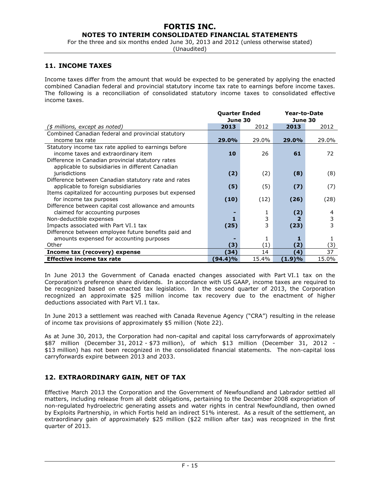**NOTES TO INTERIM CONSOLIDATED FINANCIAL STATEMENTS**

For the three and six months ended June 30, 2013 and 2012 (unless otherwise stated)

(Unaudited)

### **11. INCOME TAXES**

Income taxes differ from the amount that would be expected to be generated by applying the enacted combined Canadian federal and provincial statutory income tax rate to earnings before income taxes. The following is a reconciliation of consolidated statutory income taxes to consolidated effective income taxes.

|                                                        | <b>Quarter Ended</b> |       | <b>Year-to-Date</b> |       |  |
|--------------------------------------------------------|----------------------|-------|---------------------|-------|--|
|                                                        | <b>June 30</b>       |       | June 30             |       |  |
| (\$ millions, except as noted)                         | 2013                 | 2012  | 2013                | 2012  |  |
| Combined Canadian federal and provincial statutory     |                      |       |                     |       |  |
| income tax rate                                        | 29.0%                | 29.0% | 29.0%               | 29.0% |  |
| Statutory income tax rate applied to earnings before   |                      |       |                     |       |  |
| income taxes and extraordinary item                    | 10                   | 26    | 61                  | 72    |  |
| Difference in Canadian provincial statutory rates      |                      |       |                     |       |  |
| applicable to subsidiaries in different Canadian       |                      |       |                     |       |  |
| jurisdictions                                          | (2)                  | (2)   | (8)                 | (8)   |  |
| Difference between Canadian statutory rate and rates   |                      |       |                     |       |  |
| applicable to foreign subsidiaries                     | (5)                  | (5)   | (7)                 | (7)   |  |
| Items capitalized for accounting purposes but expensed |                      |       |                     |       |  |
| for income tax purposes                                | (10)                 | (12)  | (26)                | (28)  |  |
| Difference between capital cost allowance and amounts  |                      |       |                     |       |  |
| claimed for accounting purposes                        |                      |       | (2)                 | 4     |  |
| Non-deductible expenses                                |                      | 3     |                     | 3     |  |
| Impacts associated with Part VI.1 tax                  | (25)                 | 3     | (23)                | 3     |  |
| Difference between employee future benefits paid and   |                      |       |                     |       |  |
| amounts expensed for accounting purposes               |                      |       |                     |       |  |
| Other                                                  | (3)                  | (1)   | (2)                 | (3)   |  |
| Income tax (recovery) expense                          | (34)                 | 14    | (4)                 | 37    |  |
| <b>Effective income tax rate</b>                       | (94.4)%              | 15.4% | (1.9)%              | 15.0% |  |

In June 2013 the Government of Canada enacted changes associated with Part VI.1 tax on the Corporation's preference share dividends. In accordance with US GAAP, income taxes are required to be recognized based on enacted tax legislation. In the second quarter of 2013, the Corporation recognized an approximate \$25 million income tax recovery due to the enactment of higher deductions associated with Part VI.1 tax.

In June 2013 a settlement was reached with Canada Revenue Agency ("CRA") resulting in the release of income tax provisions of approximately \$5 million (Note 22).

As at June 30, 2013, the Corporation had non-capital and capital loss carryforwards of approximately \$87 million (December 31, 2012 - \$73 million), of which \$13 million (December 31, 2012 - \$13 million) has not been recognized in the consolidated financial statements. The non-capital loss carryforwards expire between 2013 and 2033.

### **12. EXTRAORDINARY GAIN, NET OF TAX**

Effective March 2013 the Corporation and the Government of Newfoundland and Labrador settled all matters, including release from all debt obligations, pertaining to the December 2008 expropriation of non-regulated hydroelectric generating assets and water rights in central Newfoundland, then owned by Exploits Partnership, in which Fortis held an indirect 51% interest. As a result of the settlement, an extraordinary gain of approximately \$25 million (\$22 million after tax) was recognized in the first quarter of 2013.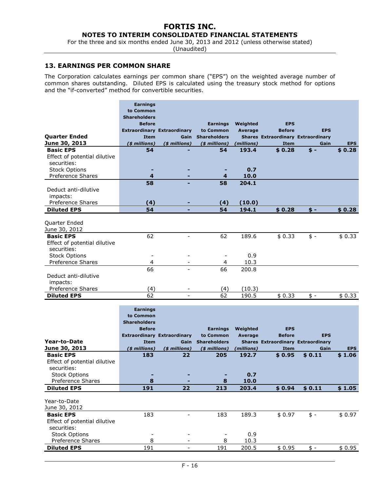### **NOTES TO INTERIM CONSOLIDATED FINANCIAL STATEMENTS**

For the three and six months ended June 30, 2013 and 2012 (unless otherwise stated)

(Unaudited)

### **13. EARNINGS PER COMMON SHARE**

The Corporation calculates earnings per common share ("EPS") on the weighted average number of common shares outstanding. Diluted EPS is calculated using the treasury stock method for options and the "if-converted" method for convertible securities.

|                              | <b>Earnings</b><br>to Common         |                          |                              |                            |                                           |              |            |
|------------------------------|--------------------------------------|--------------------------|------------------------------|----------------------------|-------------------------------------------|--------------|------------|
|                              | <b>Shareholders</b><br><b>Before</b> |                          |                              |                            |                                           |              |            |
|                              | <b>Extraordinary Extraordinary</b>   |                          | <b>Earnings</b><br>to Common | Weighted<br><b>Average</b> | <b>EPS</b><br><b>Before</b>               | <b>EPS</b>   |            |
| <b>Ouarter Ended</b>         | <b>Item</b>                          | Gain                     | <b>Shareholders</b>          |                            | <b>Shares Extraordinary Extraordinary</b> |              |            |
| June 30, 2013                | $($ millions)$                       | $($ millions)$           | $($ \$ millions $)$          | (millions)                 | <b>Item</b>                               | Gain         | <b>EPS</b> |
| <b>Basic EPS</b>             | 54                                   |                          | 54                           | 193.4                      | \$0.28                                    | $s -$        | \$0.28     |
| Effect of potential dilutive |                                      |                          |                              |                            |                                           |              |            |
| securities:                  |                                      |                          |                              |                            |                                           |              |            |
| <b>Stock Options</b>         |                                      |                          |                              | 0.7                        |                                           |              |            |
| Preference Shares            | 4                                    |                          | 4                            | 10.0                       |                                           |              |            |
|                              | 58                                   |                          | 58                           | 204.1                      |                                           |              |            |
| Deduct anti-dilutive         |                                      |                          |                              |                            |                                           |              |            |
| impacts:                     |                                      |                          |                              |                            |                                           |              |            |
| Preference Shares            | (4)                                  |                          | (4)                          | (10.0)                     |                                           |              |            |
| <b>Diluted EPS</b>           | 54                                   | ۰                        | 54                           | 194.1                      | \$0.28                                    | $s -$        | \$0.28     |
|                              |                                      |                          |                              |                            |                                           |              |            |
| <b>Quarter Ended</b>         |                                      |                          |                              |                            |                                           |              |            |
| June 30, 2012                |                                      |                          |                              |                            |                                           |              |            |
| <b>Basic EPS</b>             | 62                                   | $\overline{\phantom{0}}$ | 62                           | 189.6                      | \$0.33                                    | $\ddot{s}$ - | \$0.33     |
| Effect of potential dilutive |                                      |                          |                              |                            |                                           |              |            |
| securities:                  |                                      |                          |                              |                            |                                           |              |            |
| <b>Stock Options</b>         |                                      |                          |                              | 0.9                        |                                           |              |            |
| Preference Shares            | 4                                    |                          | 4                            | 10.3                       |                                           |              |            |
|                              | 66                                   | $\overline{\phantom{0}}$ | 66                           | 200.8                      |                                           |              |            |
| Deduct anti-dilutive         |                                      |                          |                              |                            |                                           |              |            |
| impacts:                     |                                      |                          |                              |                            |                                           |              |            |
| <b>Preference Shares</b>     | (4)                                  | $\overline{\phantom{a}}$ | (4)                          | (10.3)                     |                                           |              |            |
| <b>Diluted EPS</b>           | 62                                   | $\overline{\phantom{0}}$ | 62                           | 190.5                      | \$0.33                                    | $$ -$        | \$0.33     |

|                              | <b>Earnings</b>     |                                    |                     |            |                                           |            |            |
|------------------------------|---------------------|------------------------------------|---------------------|------------|-------------------------------------------|------------|------------|
|                              | to Common           |                                    |                     |            |                                           |            |            |
|                              | <b>Shareholders</b> |                                    |                     |            |                                           |            |            |
|                              | <b>Before</b>       |                                    | <b>Earnings</b>     | Weighted   | <b>EPS</b>                                |            |            |
|                              |                     | <b>Extraordinary Extraordinary</b> | to Common           | Average    | <b>Before</b>                             | <b>EPS</b> |            |
| Year-to-Date                 | <b>Item</b>         | Gain                               | <b>Shareholders</b> |            | <b>Shares Extraordinary Extraordinary</b> |            |            |
| June 30, 2013                | $($ \$ millions $)$ | $($ millions)$                     | $($ millions)$      | (millions) | <b>Item</b>                               | Gain       | <b>EPS</b> |
| <b>Basic EPS</b>             | 183                 | 22                                 | 205                 | 192.7      | \$0.95                                    | \$0.11     | \$1.06     |
| Effect of potential dilutive |                     |                                    |                     |            |                                           |            |            |
| securities:                  |                     |                                    |                     |            |                                           |            |            |
| <b>Stock Options</b>         |                     |                                    |                     | 0.7        |                                           |            |            |
| Preference Shares            | 8                   |                                    | 8                   | 10.0       |                                           |            |            |
| <b>Diluted EPS</b>           | 191                 | 22                                 | 213                 | 203.4      | \$0.94                                    | \$0.11     | \$1.05     |
|                              |                     |                                    |                     |            |                                           |            |            |
| Year-to-Date                 |                     |                                    |                     |            |                                           |            |            |
| June 30, 2012                |                     |                                    |                     |            |                                           |            |            |
| <b>Basic EPS</b>             | 183                 |                                    | 183                 | 189.3      | \$0.97                                    | $$ -$      | \$0.97     |
| Effect of potential dilutive |                     |                                    |                     |            |                                           |            |            |
| securities:                  |                     |                                    |                     |            |                                           |            |            |
| <b>Stock Options</b>         |                     | -                                  |                     | 0.9        |                                           |            |            |
| Preference Shares            | 8                   |                                    | 8                   | 10.3       |                                           |            |            |
| <b>Diluted EPS</b>           | 191                 | -                                  | 191                 | 200.5      | \$0.95                                    | $$ -$      | \$0.95     |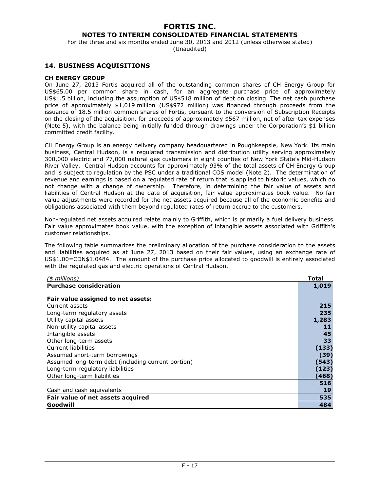### **NOTES TO INTERIM CONSOLIDATED FINANCIAL STATEMENTS**

For the three and six months ended June 30, 2013 and 2012 (unless otherwise stated)

(Unaudited)

### **14. BUSINESS ACQUISITIONS**

### **CH ENERGY GROUP**

On June 27, 2013 Fortis acquired all of the outstanding common shares of CH Energy Group for US\$65.00 per common share in cash, for an aggregate purchase price of approximately US\$1.5 billion, including the assumption of US\$518 million of debt on closing. The net cash purchase price of approximately \$1,019 million (US\$972 million) was financed through proceeds from the issuance of 18.5 million common shares of Fortis, pursuant to the conversion of Subscription Receipts on the closing of the acquisition, for proceeds of approximately \$567 million, net of after-tax expenses (Note 5), with the balance being initially funded through drawings under the Corporation's \$1 billion committed credit facility.

CH Energy Group is an energy delivery company headquartered in Poughkeepsie, New York. Its main business, Central Hudson, is a regulated transmission and distribution utility serving approximately 300,000 electric and 77,000 natural gas customers in eight counties of New York State's Mid-Hudson River Valley. Central Hudson accounts for approximately 93% of the total assets of CH Energy Group and is subject to regulation by the PSC under a traditional COS model (Note 2). The determination of revenue and earnings is based on a regulated rate of return that is applied to historic values, which do not change with a change of ownership. Therefore, in determining the fair value of assets and liabilities of Central Hudson at the date of acquisition, fair value approximates book value. No fair value adjustments were recorded for the net assets acquired because all of the economic benefits and obligations associated with them beyond regulated rates of return accrue to the customers.

Non-regulated net assets acquired relate mainly to Griffith, which is primarily a fuel delivery business. Fair value approximates book value, with the exception of intangible assets associated with Griffith's customer relationships.

The following table summarizes the preliminary allocation of the purchase consideration to the assets and liabilities acquired as at June 27, 2013 based on their fair values, using an exchange rate of US\$1.00=CDN\$1.0484. The amount of the purchase price allocated to goodwill is entirely associated with the regulated gas and electric operations of Central Hudson.

| $($$ millions)                                     | Total |
|----------------------------------------------------|-------|
| <b>Purchase consideration</b>                      | 1,019 |
|                                                    |       |
| Fair value assigned to net assets:                 |       |
| Current assets                                     | 215   |
| Long-term regulatory assets                        | 235   |
| Utility capital assets                             | 1,283 |
| Non-utility capital assets                         | 11    |
| Intangible assets                                  | 45    |
| Other long-term assets                             | 33    |
| Current liabilities                                | (133) |
| Assumed short-term borrowings                      | (39)  |
| Assumed long-term debt (including current portion) | (543) |
| Long-term regulatory liabilities                   | (123) |
| Other long-term liabilities                        | (468) |
|                                                    | 516   |
| Cash and cash equivalents                          | 19    |
| Fair value of net assets acquired                  | 535   |
| Goodwill                                           | 484   |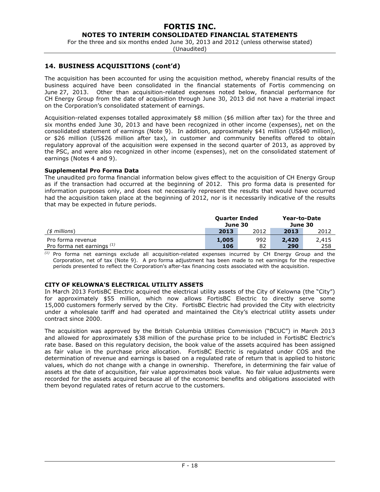For the three and six months ended June 30, 2013 and 2012 (unless otherwise stated)

(Unaudited)

### **14. BUSINESS ACQUISITIONS (cont'd)**

The acquisition has been accounted for using the acquisition method, whereby financial results of the business acquired have been consolidated in the financial statements of Fortis commencing on June 27, 2013. Other than acquisition-related expenses noted below, financial performance for CH Energy Group from the date of acquisition through June 30, 2013 did not have a material impact on the Corporation's consolidated statement of earnings.

Acquisition-related expenses totalled approximately \$8 million (\$6 million after tax) for the three and six months ended June 30, 2013 and have been recognized in other income (expenses), net on the consolidated statement of earnings (Note 9). In addition, approximately \$41 million (US\$40 million), or \$26 million (US\$26 million after tax), in customer and community benefits offered to obtain regulatory approval of the acquisition were expensed in the second quarter of 2013, as approved by the PSC, and were also recognized in other income (expenses), net on the consolidated statement of earnings (Notes 4 and 9).

### **Supplemental Pro Forma Data**

The unaudited pro forma financial information below gives effect to the acquisition of CH Energy Group as if the transaction had occurred at the beginning of 2012. This pro forma data is presented for information purposes only, and does not necessarily represent the results that would have occurred had the acquisition taken place at the beginning of 2012, nor is it necessarily indicative of the results that may be expected in future periods.

|                            | <b>Quarter Ended</b><br>June 30 |      | Year-to-Date<br>June 30 |       |
|----------------------------|---------------------------------|------|-------------------------|-------|
| $($$ millions)             | 2013                            | 2012 | 2013                    | 2012  |
| Pro forma revenue          | 1,005                           | 992  | 2,420                   | 2,415 |
| Pro forma net earnings (1) | 106                             | 82   | 290                     | 258   |

*(1)* Pro forma net earnings exclude all acquisition-related expenses incurred by CH Energy Group and the Corporation, net of tax (Note 9). A pro forma adjustment has been made to net earnings for the respective periods presented to reflect the Corporation's after-tax financing costs associated with the acquisition.

### **CITY OF KELOWNA'S ELECTRICAL UTILITY ASSETS**

In March 2013 FortisBC Electric acquired the electrical utility assets of the City of Kelowna (the "City") for approximately \$55 million, which now allows FortisBC Electric to directly serve some 15,000 customers formerly served by the City. FortisBC Electric had provided the City with electricity under a wholesale tariff and had operated and maintained the City's electrical utility assets under contract since 2000.

The acquisition was approved by the British Columbia Utilities Commission ("BCUC") in March 2013 and allowed for approximately \$38 million of the purchase price to be included in FortisBC Electric's rate base. Based on this regulatory decision, the book value of the assets acquired has been assigned as fair value in the purchase price allocation. FortisBC Electric is regulated under COS and the determination of revenue and earnings is based on a regulated rate of return that is applied to historic values, which do not change with a change in ownership. Therefore, in determining the fair value of assets at the date of acquisition, fair value approximates book value. No fair value adjustments were recorded for the assets acquired because all of the economic benefits and obligations associated with them beyond regulated rates of return accrue to the customers.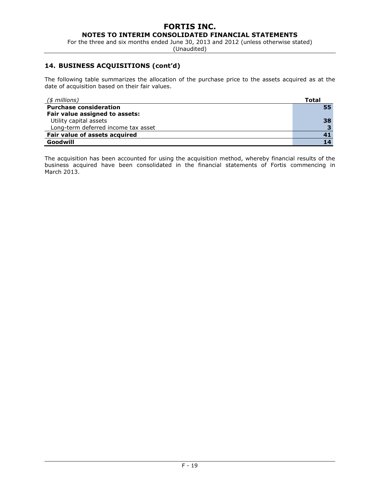For the three and six months ended June 30, 2013 and 2012 (unless otherwise stated)

(Unaudited)

### **14. BUSINESS ACQUISITIONS (cont'd)**

The following table summarizes the allocation of the purchase price to the assets acquired as at the date of acquisition based on their fair values.

| $($$ millions)                      | Total |
|-------------------------------------|-------|
| <b>Purchase consideration</b>       | 55    |
| Fair value assigned to assets:      |       |
| Utility capital assets              | 38    |
| Long-term deferred income tax asset |       |
| Fair value of assets acquired       |       |
| Goodwill                            |       |

The acquisition has been accounted for using the acquisition method, whereby financial results of the business acquired have been consolidated in the financial statements of Fortis commencing in March 2013.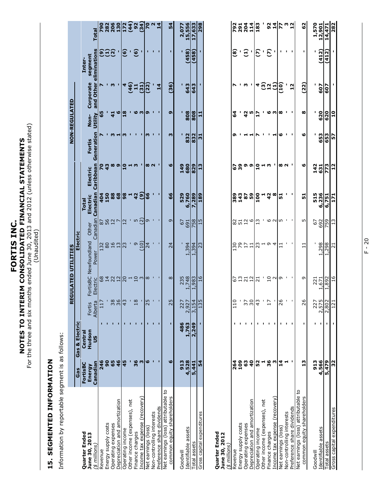**FORTIS INC.**<br>NOTES TO INTERIM CONSOLIDATED FINANCIAL STATEMENTS<br>For the three and six months ended June 30, 2013 and 2012 (unless otherwise stated) For the three and six months ended June 30, 2013 and 2012 (unless otherwise stated) **NOTES TO INTERIM CONSOLIDATED FINANCIAL STATEMENTS**

(Unaudited)

### 15. SEGMENTED INFORMATION **15. SEGMENTED INFORMATION**

Information by reportable segment is as follows: Information by reportable segment is as follows:

|                                     |               |                           | ᅙ              |          | EGULATED UTILITIES          |                          |               |                                        |        | <b>NON-REGULATED</b> |                    |                        |                           |
|-------------------------------------|---------------|---------------------------|----------------|----------|-----------------------------|--------------------------|---------------|----------------------------------------|--------|----------------------|--------------------|------------------------|---------------------------|
|                                     | Gas           | <b>Gas &amp; Electric</b> |                |          |                             | Electric                 |               |                                        |        |                      |                    |                        |                           |
| Quarter Ended                       | FortisBC      | Central                   |                |          |                             |                          | Total         |                                        |        |                      |                    | Inter-                 |                           |
| June 30, 2013                       | Energy        | Hudson                    | Fortis         |          | FortisBC Newfoundland Other |                          | Electric      | Electric                               | Fortis | $N$ on-              | Corporate          | segment                |                           |
| (\$ millions)                       | Canadian      | <u>ဖ</u>                  | Alberta        | Electric | Power                       |                          |               | Canadian Canadian Caribbean Generation |        | Utility              |                    | and Other eliminations | Total                     |
| Revenue                             | 246           |                           | 117            | 68       | 132                         | 87                       | 404           | ្ថ                                     |        | 65                   |                    |                        |                           |
| Energy supply costs                 |               |                           |                |          | 80                          | 56                       | <b>SO</b>     |                                        |        |                      |                    |                        |                           |
| Operating expenses                  | 65            |                           | 38             | 22       | 16                          | $\overline{12}$          | 88            | ထ                                      |        |                      |                    | <u>ອິລິຕ</u>           |                           |
| Depreciation and amortization       | $\frac{4}{6}$ |                           | 36             | 12       | 13                          |                          | 68            | σ                                      |        | ဖ                    |                    |                        | 790<br>2826<br>130<br>130 |
| Operating income                    | 45            |                           | 43             | 20       | 23                          | $^{12}$                  | 8             |                                        |        | $\frac{8}{1}$        |                    | ତ୍ର                    |                           |
| Other income (expenses), net        |               |                           |                |          |                             |                          |               |                                        |        |                      | <u>(बै</u>         |                        | 1498<br>1498<br>174       |
| Finance charges                     | ౚ             |                           | $\frac{8}{10}$ |          |                             |                          | $\frac{2}{3}$ |                                        |        |                      | H                  | ତ୍ର                    |                           |
| income tax expense (recovery)       |               |                           |                |          |                             | $\widetilde{\mathbf{C}}$ | ၜ             |                                        |        |                      | $\frac{1}{2}$      |                        |                           |
| Net earnings (loss)                 | c             |                           | 25             | ∞        | 24                          | G                        | 66            | œ                                      |        | ø                    | (22)               |                        | R                         |
| Non-controlling interests           |               |                           |                |          |                             |                          |               |                                        |        |                      |                    |                        |                           |
| Preference share dividends          |               |                           |                |          |                             |                          |               |                                        |        |                      | $\overline{\bf 4}$ |                        | $\overline{4}$            |
| Net earnings (loss) attributable to |               |                           |                |          |                             |                          |               |                                        |        |                      |                    |                        |                           |
| common equity shareholders          | o             |                           | 25             | $\infty$ | 24                          | o                        | 66            | $\bullet$                              |        | ໑                    | (36)               |                        | 54                        |
|                                     |               |                           |                |          |                             |                          |               |                                        |        |                      |                    |                        |                           |
| Goodwill                            | 913           | 486                       | 227            | 235      |                             | 67                       | 529           | 149                                    |        |                      |                    |                        | 2,077                     |
| Identifiable assets                 | 4,528         | 1,763                     | 2,927          | 1,748    | 1,394                       | 691                      | 6,760         | 680                                    | 832    | 808                  | 643                | (458)                  | 15,556                    |
| <b>Total assets</b>                 | 5,441         | 2,249                     | 3,154          | 1,983    | 1,394                       | 758                      | 7,289         | 829                                    | 832    | 808                  | 643                | (458)                  | 17,633                    |
| Gross capital expenditures          | 54            |                           | 135            | 16       | 23                          | 15                       | 189           | $\frac{1}{2}$                          | 51     |                      |                    |                        | 298                       |

### Quarter Ended<br>June 30, 2012 **Quarter Ended**

**June 30, 2012**

| (\$millions)                        |       |               |                     |                |                   |                  |            |     |     |              |       |                 |
|-------------------------------------|-------|---------------|---------------------|----------------|-------------------|------------------|------------|-----|-----|--------------|-------|-----------------|
| Revenue                             | 264   | $\frac{0}{1}$ | 67                  |                |                   |                  | 67         |     | 3   |              | ဖြ    |                 |
| Energy supply costs                 | 109   |               |                     | <b>2021</b>    | 8 H H             |                  | ႙          |     |     |              |       |                 |
| Operating expenses                  | င့    | 57            |                     |                |                   | 82<br>848<br>848 |            |     |     |              | Ξ     | 722123<br>20212 |
| Depreciation and amortization       | ą     |               | 12                  |                | $\mathbf{\sigma}$ |                  |            |     |     |              |       |                 |
| Operating income                    |       | 43            |                     | 23             | ്വ                | ខ្ទ              |            |     |     |              | Ë     |                 |
| Other income (expenses), net        |       |               |                     |                |                   |                  |            |     |     |              |       |                 |
| Finance charges                     | 86    |               |                     |                |                   | 42               |            |     |     | <u>(၈)</u> ၁ |       |                 |
| income tax expense (recovery)       |       |               |                     |                |                   | ထ                |            |     |     | E            |       | 9 4 7<br>9 4 7  |
| Net earnings (loss)                 | 4     | 26            | σ                   |                | ư                 | 51               |            | ư   | œ   | $\mathbf{a}$ |       |                 |
| Non-controlling interests           |       |               |                     |                |                   |                  |            |     |     |              |       | m               |
| Preference share dividends          |       |               |                     |                |                   |                  |            |     |     | 21           |       |                 |
| Net earnings (loss) attributable to |       |               |                     |                |                   |                  |            |     |     |              |       |                 |
| common equity shareholders          | 9     | 86            | თ                   |                | m                 | 5                | ဖ          | ဖ   | œ   | (22)         |       | 62              |
| Goodwill                            | 913   | 227           | 221                 |                |                   |                  |            |     |     |              |       | 1,570           |
| identifiable assets                 | 4,566 | 2,575         | $1,67$ <sup>-</sup> | 1,298          | 692<br>692        | 515<br>6,236     | 142<br>631 | 653 | 620 | 607          | (412) | 12,901          |
| Total assets                        | 5,479 | 2,802         | 1,892               | 1,298          | 759               | 6,751            | 773        | 653 | 620 | 607          | (412) | 14.47           |
| Gross capital expenditures          | 32    | 121           | $\frac{6}{1}$       | $\overline{z}$ | $\frac{1}{2}$     | $\overline{171}$ | 2          | 57  | ្ម  |              |       | 282             |
|                                     |       |               |                     |                |                   |                  |            |     |     |              |       |                 |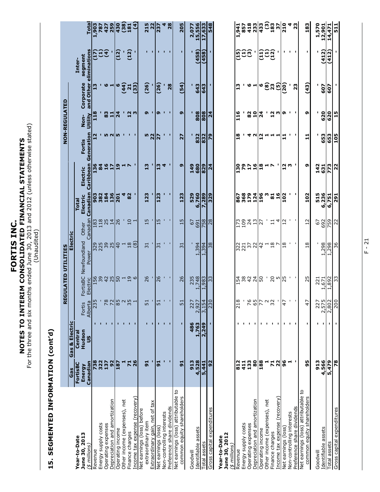# **FORTIS INC.**<br>NOTES TO INTERIM CONSOLIDATED FINANCIAL STATEMENTS<br>For the three and six months ended June 30, 2013 and 2012 (unless otherwise stated) For the three and six months ended June 30, 2013 and 2012 (unless otherwise stated) **NOTES TO INTERIM CONSOLIDATED FINANCIAL STATEMENTS**

(Unaudited)

## 15. SEGMENTED INFORMATION (cont'd) **15. SEGMENTED INFORMATION (cont'd)**

|                                                                   |                                |                         | ē                   |                         | EGULATED UTILITIES       |                   |                                      |                       |                      | NON-REGULATED   |                        |                                                             |                     |
|-------------------------------------------------------------------|--------------------------------|-------------------------|---------------------|-------------------------|--------------------------|-------------------|--------------------------------------|-----------------------|----------------------|-----------------|------------------------|-------------------------------------------------------------|---------------------|
|                                                                   | Gas                            | Gas & Electric          |                     |                         |                          | Electric          |                                      |                       |                      |                 |                        |                                                             |                     |
| June 30, 2013<br>Year-to-Date<br>(\$ millions)                    | Canadian<br>FortisBC<br>Energy | Hudson<br>Central<br>9g | Alberta<br>Fortis   | FortisBC<br>Electric    | Newfoundland<br>Power    | Canadian<br>Other | Canadian<br>Electric<br><b>Total</b> | Caribbean<br>Electric | Generation<br>Fortis | Utility<br>Non- | and Other<br>Corporate | liminations<br>segment<br>Inter-<br>$\overline{\mathbf{c}}$ | Total               |
|                                                                   | 738                            |                         | 235                 | 156                     | 329                      | 183               | 903                                  | 136                   | N<br>H               | 118             | $\frac{3}{2}$          | (17)                                                        | 1,903               |
| Energy supply costs<br>Revenue                                    | 322                            | п<br>л                  |                     |                         | 225                      | 118               | 382                                  | $\boldsymbol{a}$      |                      |                 | ٠                      |                                                             | 787                 |
| Operating expenses                                                | 137                            | п                       | 78                  |                         | 59                       | 25                | 184                                  | 16                    |                      | 83              | ဖ                      | $\Xi \widehat{\Xi}$                                         | 427                 |
| Depreciation and amortization                                     | 92                             | п                       | $\overline{2}$      | 97900                   | 25                       | 14                | 136                                  | 17                    | M <sub>N</sub>       | $\mathbf{1}$    | ÷                      |                                                             | 259                 |
| Operating income                                                  | 187                            |                         |                     |                         | 40                       | 26                | 201                                  | $\frac{9}{11}$        |                      | $\overline{2}$  | ဖ                      | (12)                                                        | 430                 |
| Other income (expenses), net                                      |                                | п                       | $85$ $\overline{C}$ | $\mathbf{\overline{u}}$ | $\mathbf{\overline{u}}$  |                   |                                      |                       |                      |                 | (44)                   |                                                             |                     |
| Finance charges                                                   | $\mathbf{z}$                   |                         |                     |                         | $18$                     |                   | 82                                   |                       |                      |                 | $\overline{21}$        | (12)                                                        | $(38)$<br>$181$     |
| Income tax expense (recovery)                                     | 26                             | п                       | 55                  | $\frac{9}{6}$           | $\circ$                  | $10$ $1$          |                                      |                       |                      | N W             | $\overline{33}$        |                                                             | $\left(4\right)$    |
| Net earnings (loss) before<br>extraordinary item                  | $\overline{91}$                |                         | 51                  | 26                      | $\overline{31}$          | m                 | 123                                  | 13                    | m                    | ൈ               | (26)                   |                                                             | 215                 |
| Extraordinary gain, net of tax                                    | ı                              | ٠                       | I                   | J.                      | I                        | п                 |                                      | л                     | $\overline{2}$       | л               |                        | п                                                           | 22                  |
| Net earnings (loss)                                               | 51                             | п                       | 51                  | 26                      | $\overline{31}$          | 15                | 123                                  | 13                    | $\overline{27}$      | G               | (26)                   |                                                             | <b>Z37</b>          |
| Non-controlling interests                                         |                                | п                       | Ţ                   |                         |                          |                   |                                      | 4                     |                      | ٠               |                        |                                                             | 4                   |
| Preference share dividends                                        | п                              |                         | ٠                   |                         |                          |                   |                                      |                       |                      | п               | 28                     |                                                             | 28                  |
| Net earnings (loss) attributable to<br>common equity shareholders | $\overline{91}$                | п                       | 51                  | 26                      | $\overline{51}$          | ഥ<br>$\mathbf{r}$ | 123                                  | ໑                     | 27                   | ໑               | (54)                   |                                                             | 205                 |
| Goodwill                                                          | 913                            | 486                     | 227                 | 235                     |                          | 67                | 529                                  | $\frac{149}{1}$       |                      |                 |                        |                                                             | 2,077               |
| Identifiable assets                                               | 4,528                          | 1,763                   | 2,927               | 1,748                   | ,394                     | 691               | 760<br>ဖဲ                            | 680                   | 832                  | 808             | 643                    | (458)                                                       | 15,556              |
| <b>Total assets</b>                                               | 5,441                          | 2,249                   | 3,154               | ,983                    | 394                      | 758               | 7,289                                | 829                   | 832                  | 808             | 643                    | (458)                                                       | 17,633              |
| Gross capital expenditures                                        | 92                             |                         | 230                 | 33                      | 38                       | 28                | 329                                  | $\overline{2}$        | 79                   | 24              |                        |                                                             | 548                 |
| June 30, 2012<br>Year-to-Date<br>$(*)$ millions)                  |                                |                         |                     |                         |                          |                   |                                      |                       |                      |                 |                        |                                                             |                     |
| Revenue                                                           | 812                            |                         | 218                 | 154                     |                          |                   | 867                                  | 130                   | $\frac{8}{11}$       | 116             | $\frac{3}{2}$          | $\overline{15}$                                             | 1,941               |
| Energy supply costs                                               | 411                            |                         |                     | $38\,$                  |                          | 173<br>109        | 368                                  | 64                    |                      |                 |                        |                                                             | 857                 |
| Operating expenses                                                | 133                            | ٠                       | 76                  | 424                     | $3272$<br>$272$<br>$272$ | 24                | 179                                  | $\mathbf{r}$          | 4                    | 82              | అ                      | පිම                                                         | 418                 |
| Depreciation and amortization                                     | 80                             | л                       | 65                  |                         |                          | $\frac{1}{2}$     | 124                                  | 16                    | N                    | $\frac{0}{1}$   | ᆏ                      |                                                             | 233                 |
| Operating income                                                  | 188                            | л                       |                     | 50                      |                          | 27                | 196                                  | 18                    | $\mathbf{r}$         | $\overline{2}$  | ဖ                      | $\mathbf{H}$                                                | 433                 |
| Other income (expenses), net                                      | Η                              | п                       | $\mathbf{\sim}$     | л,                      | $\mathbf{r}$             |                   | m                                    |                       |                      | p               | $\mathbf{a}$           | $\Xi_2^2$                                                   | <u>်ခင္ဗ</u><br>(၁) |
| Finance charges                                                   | $\mathbf{r}$                   | ٠                       | 32                  | 20                      | $\frac{8}{7}$            | $\Xi$             | $\overline{\mathbf{5}}$              | r                     |                      | 12              | 23                     |                                                             |                     |
| Income tax expense (recovery)                                     | 22                             | ٠                       | t                   | m                       |                          | 4                 | 16                                   | л                     | −                    | m               | $\overline{5}$         |                                                             | 57                  |
| Net earnings (loss)                                               | 96                             | ٠                       | $\overline{4}$      | 25                      | 18                       | 12                | 102                                  | 12                    | $\mathbf{1}$         | ຶ               | <u>ລິ</u>              | ٠                                                           | 210                 |
| Preference share dividends<br>Non-controlling interests           | ᆏ                              | $\mathbf{I}$            | 1                   |                         | ٠                        | п                 |                                      | m                     |                      |                 | 23                     | <b>T</b>                                                    | 4<br>23             |
|                                                                   |                                |                         |                     |                         |                          |                   |                                      |                       |                      |                 |                        |                                                             |                     |
| Net earnings (loss) attributable to<br>common equity shareholders | 95                             |                         | $\overline{4}$      | 25                      | 18                       | $\overline{12}$   | 102                                  | ໑                     | ⊣<br>н               | o۱              | $\frac{1}{43}$         | ٠                                                           | 183                 |
| Goodwill                                                          | 913                            | ٠                       | 227                 | 221                     |                          | 67                | 515                                  | 142                   |                      |                 |                        |                                                             | 1,570               |
| Identifiable assets                                               | 4,566                          | 1                       | 2,575               | ,671                    | ,298                     | 692               | 6,236                                | 631                   | 653                  | 620             | 607                    | (412)                                                       | 12,901              |
| Total assets                                                      | 5,479                          | ٠                       | 2,802               | ,892                    | 298                      | 759               | 6,751                                | 773                   | 653                  | 620             | 607                    | (412)                                                       | 14,471              |
| Gross capital expenditures                                        | 78                             | J.                      | 200                 | 53                      | 36                       | 22                | 291                                  | 22                    | 105                  | $\frac{15}{15}$ |                        |                                                             | 511                 |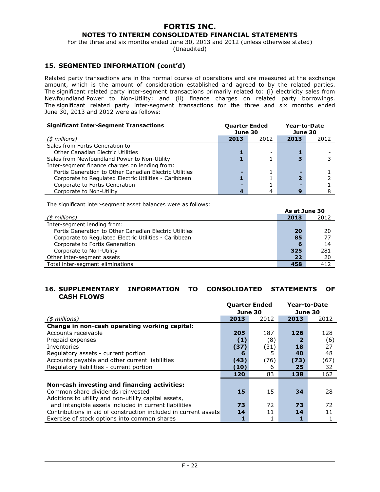For the three and six months ended June 30, 2013 and 2012 (unless otherwise stated)

(Unaudited)

### **15. SEGMENTED INFORMATION (cont'd)**

Related party transactions are in the normal course of operations and are measured at the exchange amount, which is the amount of consideration established and agreed to by the related parties. The significant related party inter-segment transactions primarily related to: (i) electricity sales from Newfoundland Power to Non-Utility; and (ii) finance charges on related party borrowings. The significant related party inter-segment transactions for the three and six months ended June 30, 2013 and 2012 were as follows:

| <b>Significant Inter-Segment Transactions</b>          | <b>Quarter Ended</b><br><b>June 30</b> |      | Year-to-Date<br>June 30 |      |
|--------------------------------------------------------|----------------------------------------|------|-------------------------|------|
| $($$ millions)                                         | 2013                                   | 2012 | 2013                    | 2012 |
| Sales from Fortis Generation to                        |                                        |      |                         |      |
| Other Canadian Electric Utilities                      |                                        |      |                         |      |
| Sales from Newfoundland Power to Non-Utility           |                                        |      |                         |      |
| Inter-segment finance charges on lending from:         |                                        |      |                         |      |
| Fortis Generation to Other Canadian Electric Utilities | н                                      |      |                         |      |
| Corporate to Regulated Electric Utilities - Caribbean  |                                        |      |                         |      |
| Corporate to Fortis Generation                         |                                        |      |                         |      |
| Corporate to Non-Utility                               |                                        |      |                         |      |

The significant inter-segment asset balances were as follows:

|                                                        | As at June 30 |      |
|--------------------------------------------------------|---------------|------|
| $(\$$ millions)                                        | 2013          | 2012 |
| Inter-segment lending from:                            |               |      |
| Fortis Generation to Other Canadian Electric Utilities | 20            | 20   |
| Corporate to Regulated Electric Utilities - Caribbean  | 85            | 77   |
| Corporate to Fortis Generation                         | 6             | 14   |
| Corporate to Non-Utility                               | 325           | 281  |
| Other inter-segment assets                             | 22            | 20   |
| Total inter-segment eliminations                       | 458           | 412  |

### **16. SUPPLEMENTARY INFORMATION TO CONSOLIDATED STATEMENTS OF CASH FLOWS**

|                                                                 | <b>Quarter Ended</b> |      | Year-to-Date |      |
|-----------------------------------------------------------------|----------------------|------|--------------|------|
|                                                                 | June 30              |      | June 30      |      |
| $($$ millions)                                                  | 2013                 | 2012 | 2013         | 2012 |
| Change in non-cash operating working capital:                   |                      |      |              |      |
| Accounts receivable                                             | 205                  | 187  | 126          | 128  |
| Prepaid expenses                                                | (1)                  | (8)  |              | (6)  |
| Inventories                                                     | (37)                 | (31) | 18           | 27   |
| Regulatory assets - current portion                             | 6                    | 5    | 40           | 48   |
| Accounts payable and other current liabilities                  | (43)                 | (76) | (73)         | (67) |
| Regulatory liabilities - current portion                        | (10)                 | 6    | 25           | 32   |
|                                                                 | 120                  | 83   | 138          | 162  |
| Non-cash investing and financing activities:                    |                      |      |              |      |
| Common share dividends reinvested                               | 15                   | 15   | 34           | 28   |
| Additions to utility and non-utility capital assets,            |                      |      |              |      |
| and intangible assets included in current liabilities           | 73                   | 72   | 73           | 72   |
| Contributions in aid of construction included in current assets | 14                   | 11   | 14           | 11   |
| Exercise of stock options into common shares                    |                      |      |              |      |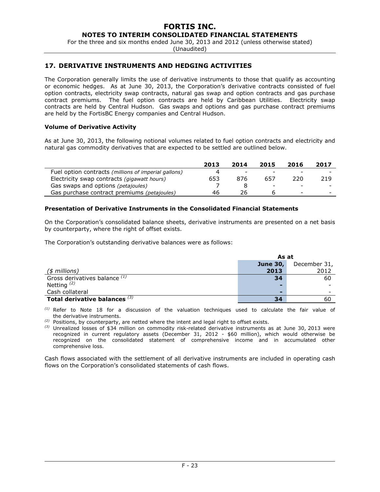For the three and six months ended June 30, 2013 and 2012 (unless otherwise stated)

(Unaudited)

### **17. DERIVATIVE INSTRUMENTS AND HEDGING ACTIVITIES**

The Corporation generally limits the use of derivative instruments to those that qualify as accounting or economic hedges. As at June 30, 2013, the Corporation's derivative contracts consisted of fuel option contracts, electricity swap contracts, natural gas swap and option contracts and gas purchase contract premiums. The fuel option contracts are held by Caribbean Utilities. Electricity swap contracts are held by Central Hudson. Gas swaps and options and gas purchase contract premiums are held by the FortisBC Energy companies and Central Hudson.

### **Volume of Derivative Activity**

As at June 30, 2013, the following notional volumes related to fuel option contracts and electricity and natural gas commodity derivatives that are expected to be settled are outlined below.

|                                                      | 2013 | 2014 | 2015                     | 2016                     | 2017 |
|------------------------------------------------------|------|------|--------------------------|--------------------------|------|
| Fuel option contracts (millions of imperial gallons) |      | -    | -                        | $\overline{\phantom{a}}$ |      |
| Electricity swap contracts (gigawatt hours)          | 653  | 876  | 657                      | 220.                     | 219  |
| Gas swaps and options (petajoules)                   |      |      | $\overline{\phantom{0}}$ | $\overline{\phantom{a}}$ |      |
| Gas purchase contract premiums (petajoules)          | 46   |      |                          | $\overline{\phantom{0}}$ |      |

### **Presentation of Derivative Instruments in the Consolidated Financial Statements**

On the Corporation's consolidated balance sheets, derivative instruments are presented on a net basis by counterparty, where the right of offset exists.

The Corporation's outstanding derivative balances were as follows:

|                                    | As at           |              |
|------------------------------------|-----------------|--------------|
|                                    | <b>June 30,</b> | December 31, |
| $($$ millions)                     | 2013            | 2012         |
| Gross derivatives balance (1)      | 34              | 60           |
| Netting $(2)$                      |                 |              |
| Cash collateral                    | -               |              |
| Total derivative balances $^{(3)}$ | 34              | 60           |

*(1)* Refer to Note 18 for a discussion of the valuation techniques used to calculate the fair value of the derivative instruments.

*(2)* Positions, by counterparty, are netted where the intent and legal right to offset exists.

*(3)* Unrealized losses of \$34 million on commodity risk-related derivative instruments as at June 30, 2013 were recognized in current regulatory assets (December 31, 2012 - \$60 million), which would otherwise be recognized on the consolidated statement of comprehensive income and in accumulated other comprehensive loss.

Cash flows associated with the settlement of all derivative instruments are included in operating cash flows on the Corporation's consolidated statements of cash flows.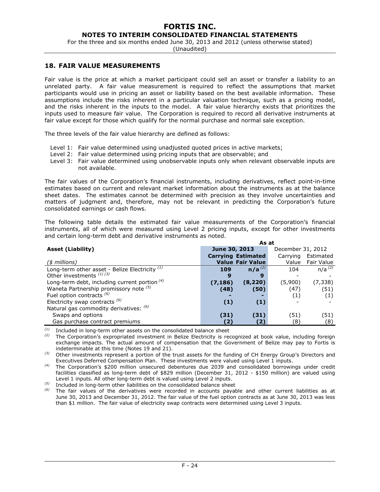### **NOTES TO INTERIM CONSOLIDATED FINANCIAL STATEMENTS**

For the three and six months ended June 30, 2013 and 2012 (unless otherwise stated)

(Unaudited)

### **18. FAIR VALUE MEASUREMENTS**

Fair value is the price at which a market participant could sell an asset or transfer a liability to an unrelated party. A fair value measurement is required to reflect the assumptions that market participants would use in pricing an asset or liability based on the best available information. These assumptions include the risks inherent in a particular valuation technique, such as a pricing model, and the risks inherent in the inputs to the model. A fair value hierarchy exists that prioritizes the inputs used to measure fair value. The Corporation is required to record all derivative instruments at fair value except for those which qualify for the normal purchase and normal sale exception.

The three levels of the fair value hierarchy are defined as follows:

- Level 1: Fair value determined using unadjusted quoted prices in active markets;
- Level 2: Fair value determined using pricing inputs that are observable; and
- Level 3: Fair value determined using unobservable inputs only when relevant observable inputs are not available.

The fair values of the Corporation's financial instruments, including derivatives, reflect point-in-time estimates based on current and relevant market information about the instruments as at the balance sheet dates. The estimates cannot be determined with precision as they involve uncertainties and matters of judgment and, therefore, may not be relevant in predicting the Corporation's future consolidated earnings or cash flows.

The following table details the estimated fair value measurements of the Corporation's financial instruments, all of which were measured using Level 2 pricing inputs, except for other investments and certain long-term debt and derivative instruments as noted. **As at**

|                                                           |                           | AS AL                   |                   |             |
|-----------------------------------------------------------|---------------------------|-------------------------|-------------------|-------------|
| <b>Asset (Liability)</b>                                  | June 30, 2013             |                         | December 31, 2012 |             |
|                                                           | <b>Carrying Estimated</b> |                         | Carrying          | Estimated   |
| $($$ millions)                                            |                           | <b>Value Fair Value</b> | Value             | Fair Value  |
| Long-term other asset - Belize Electricity <sup>(1)</sup> | 109                       | $n/a^{(2)}$             | 104               | $n/a^{(2)}$ |
| Other investments $(1)(3)$                                | g                         |                         |                   |             |
| Long-term debt, including current portion $(4)$           | (7, 186)                  | (8, 220)                | (5,900)           | (7, 338)    |
| Waneta Partnership promissory note (5)                    | (48)                      | (50)                    | (47)              | (51)        |
| Fuel option contracts (6)                                 |                           |                         | (1)               | (1)         |
| Electricity swap contracts $(6)$                          | (1)                       | (1)                     |                   |             |
| Natural gas commodity derivatives: (6)                    |                           |                         |                   |             |
| Swaps and options                                         | (31)                      | (31)                    | (51)              | (51)        |
| Gas purchase contract premiums                            |                           | 2)                      | (8)               | (8)         |

The Included in long-term other assets on the consolidated balance sheet<br>(2) The Corporation's expressived investment in Belize Electricity is required.

*(2)* The Corporation's expropriated investment in Belize Electricity is recognized at book value, including foreign exchange impacts. The actual amount of compensation that the Government of Belize may pay to Fortis is indeterminable at this time (Notes 19 and 21).

*(3)* Other investments represent a portion of the trust assets for the funding of CH Energy Group's Directors and Executives Deferred Compensation Plan. These investments were valued using Level 1 inputs.

*(4)* The Corporation's \$200 million unsecured debentures due 2039 and consolidated borrowings under credit facilities classified as long-term debt of \$829 million (December 31, 2012 - \$150 million) are valued using Level 1 inputs. All other long-term debt is valued using Level 2 inputs.

 $(5)$  Included in long-term other liabilities on the consolidated balance sheet  $(6)$ . The fair values of the derivatives were recorded in assessment payable

*(6)* The fair values of the derivatives were recorded in accounts payable and other current liabilities as at June 30, 2013 and December 31, 2012. The fair value of the fuel option contracts as at June 30, 2013 was less than \$1 million. The fair value of electricity swap contracts were determined using Level 3 inputs.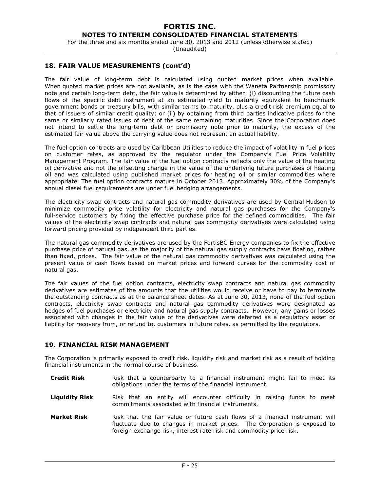For the three and six months ended June 30, 2013 and 2012 (unless otherwise stated)

(Unaudited)

## **18. FAIR VALUE MEASUREMENTS (cont'd)**

The fair value of long-term debt is calculated using quoted market prices when available. When quoted market prices are not available, as is the case with the Waneta Partnership promissory note and certain long-term debt, the fair value is determined by either: (i) discounting the future cash flows of the specific debt instrument at an estimated yield to maturity equivalent to benchmark government bonds or treasury bills, with similar terms to maturity, plus a credit risk premium equal to that of issuers of similar credit quality; or (ii) by obtaining from third parties indicative prices for the same or similarly rated issues of debt of the same remaining maturities. Since the Corporation does not intend to settle the long-term debt or promissory note prior to maturity, the excess of the estimated fair value above the carrying value does not represent an actual liability.

The fuel option contracts are used by Caribbean Utilities to reduce the impact of volatility in fuel prices on customer rates, as approved by the regulator under the Company's Fuel Price Volatility Management Program. The fair value of the fuel option contracts reflects only the value of the heating oil derivative and not the offsetting change in the value of the underlying future purchases of heating oil and was calculated using published market prices for heating oil or similar commodities where appropriate. The fuel option contracts mature in October 2013. Approximately 30% of the Company's annual diesel fuel requirements are under fuel hedging arrangements.

The electricity swap contracts and natural gas commodity derivatives are used by Central Hudson to minimize commodity price volatility for electricity and natural gas purchases for the Company's full-service customers by fixing the effective purchase price for the defined commodities. The fair values of the electricity swap contracts and natural gas commodity derivatives were calculated using forward pricing provided by independent third parties.

The natural gas commodity derivatives are used by the FortisBC Energy companies to fix the effective purchase price of natural gas, as the majority of the natural gas supply contracts have floating, rather than fixed, prices. The fair value of the natural gas commodity derivatives was calculated using the present value of cash flows based on market prices and forward curves for the commodity cost of natural gas.

The fair values of the fuel option contracts, electricity swap contracts and natural gas commodity derivatives are estimates of the amounts that the utilities would receive or have to pay to terminate the outstanding contracts as at the balance sheet dates. As at June 30, 2013, none of the fuel option contracts, electricity swap contracts and natural gas commodity derivatives were designated as hedges of fuel purchases or electricity and natural gas supply contracts. However, any gains or losses associated with changes in the fair value of the derivatives were deferred as a regulatory asset or liability for recovery from, or refund to, customers in future rates, as permitted by the regulators.

## **19. FINANCIAL RISK MANAGEMENT**

The Corporation is primarily exposed to credit risk, liquidity risk and market risk as a result of holding financial instruments in the normal course of business.

- **Credit Risk** Risk that a counterparty to a financial instrument might fail to meet its obligations under the terms of the financial instrument.
- Liquidity Risk **Risk that an entity will encounter difficulty in raising funds to meet** commitments associated with financial instruments.
- **Market Risk** Risk that the fair value or future cash flows of a financial instrument will fluctuate due to changes in market prices. The Corporation is exposed to foreign exchange risk, interest rate risk and commodity price risk.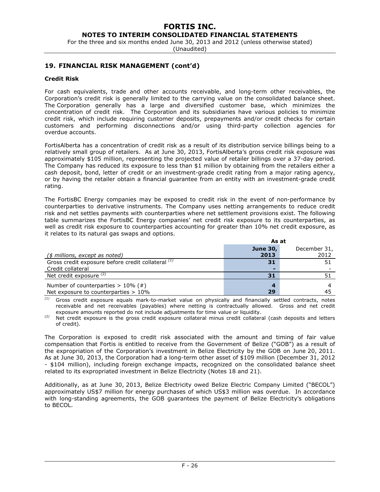For the three and six months ended June 30, 2013 and 2012 (unless otherwise stated)

(Unaudited)

## **19. FINANCIAL RISK MANAGEMENT (cont'd)**

## **Credit Risk**

For cash equivalents, trade and other accounts receivable, and long-term other receivables, the Corporation's credit risk is generally limited to the carrying value on the consolidated balance sheet. The Corporation generally has a large and diversified customer base, which minimizes the concentration of credit risk. The Corporation and its subsidiaries have various policies to minimize credit risk, which include requiring customer deposits, prepayments and/or credit checks for certain customers and performing disconnections and/or using third-party collection agencies for overdue accounts.

FortisAlberta has a concentration of credit risk as a result of its distribution service billings being to a relatively small group of retailers. As at June 30, 2013, FortisAlberta's gross credit risk exposure was approximately \$105 million, representing the projected value of retailer billings over a 37-day period. The Company has reduced its exposure to less than \$1 million by obtaining from the retailers either a cash deposit, bond, letter of credit or an investment-grade credit rating from a major rating agency, or by having the retailer obtain a financial guarantee from an entity with an investment-grade credit rating.

The FortisBC Energy companies may be exposed to credit risk in the event of non-performance by counterparties to derivative instruments. The Company uses netting arrangements to reduce credit risk and net settles payments with counterparties where net settlement provisions exist. The following table summarizes the FortisBC Energy companies' net credit risk exposure to its counterparties, as well as credit risk exposure to counterparties accounting for greater than 10% net credit exposure, as it relates to its natural gas swaps and options.

|                                                    | As at                   |                      |
|----------------------------------------------------|-------------------------|----------------------|
|                                                    | <b>June 30,</b><br>2013 | December 31,<br>2012 |
| (\$ millions, except as noted)                     |                         |                      |
| Gross credit exposure before credit collateral (1) | 31                      |                      |
| Credit collateral                                  |                         |                      |
| Net credit exposure $(2)$                          | 31                      |                      |
| Number of counterparties $> 10\%$ (#)              |                         |                      |
| Net exposure to counterparties > 10%               | 29                      | 45                   |

*(1)* Gross credit exposure equals mark-to-market value on physically and financially settled contracts, notes receivable and net receivables (payables) where netting is contractually allowed. Gross and net credit exposure amounts reported do not include adjustments for time value or liquidity.

*(2)* Net credit exposure is the gross credit exposure collateral minus credit collateral (cash deposits and letters of credit).

The Corporation is exposed to credit risk associated with the amount and timing of fair value compensation that Fortis is entitled to receive from the Government of Belize ("GOB") as a result of the expropriation of the Corporation's investment in Belize Electricity by the GOB on June 20, 2011. As at June 30, 2013, the Corporation had a long-term other asset of \$109 million (December 31, 2012 - \$104 million), including foreign exchange impacts, recognized on the consolidated balance sheet related to its expropriated investment in Belize Electricity (Notes 18 and 21).

Additionally, as at June 30, 2013, Belize Electricity owed Belize Electric Company Limited ("BECOL") approximately US\$7 million for energy purchases of which US\$3 million was overdue. In accordance with long-standing agreements, the GOB guarantees the payment of Belize Electricity's obligations to BECOL.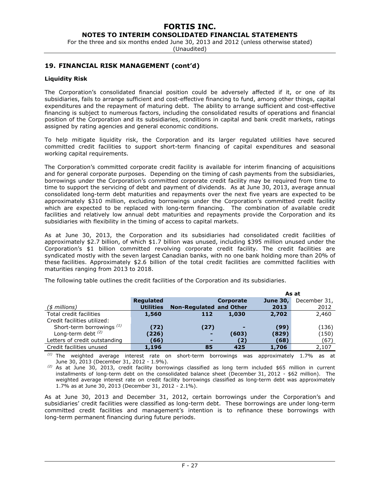For the three and six months ended June 30, 2013 and 2012 (unless otherwise stated)

(Unaudited)

## **19. FINANCIAL RISK MANAGEMENT (cont'd)**

## **Liquidity Risk**

The Corporation's consolidated financial position could be adversely affected if it, or one of its subsidiaries, fails to arrange sufficient and cost-effective financing to fund, among other things, capital expenditures and the repayment of maturing debt. The ability to arrange sufficient and cost-effective financing is subject to numerous factors, including the consolidated results of operations and financial position of the Corporation and its subsidiaries, conditions in capital and bank credit markets, ratings assigned by rating agencies and general economic conditions.

To help mitigate liquidity risk, the Corporation and its larger regulated utilities have secured committed credit facilities to support short-term financing of capital expenditures and seasonal working capital requirements.

The Corporation's committed corporate credit facility is available for interim financing of acquisitions and for general corporate purposes. Depending on the timing of cash payments from the subsidiaries, borrowings under the Corporation's committed corporate credit facility may be required from time to time to support the servicing of debt and payment of dividends. As at June 30, 2013, average annual consolidated long-term debt maturities and repayments over the next five years are expected to be approximately \$310 million, excluding borrowings under the Corporation's committed credit facility which are expected to be replaced with long-term financing. The combination of available credit facilities and relatively low annual debt maturities and repayments provide the Corporation and its subsidiaries with flexibility in the timing of access to capital markets.

As at June 30, 2013, the Corporation and its subsidiaries had consolidated credit facilities of approximately \$2.7 billion, of which \$1.7 billion was unused, including \$395 million unused under the Corporation's \$1 billion committed revolving corporate credit facility. The credit facilities are syndicated mostly with the seven largest Canadian banks, with no one bank holding more than 20% of these facilities. Approximately \$2.6 billion of the total credit facilities are committed facilities with maturities ranging from 2013 to 2018.

|                                |                  |                                |                  | As at           |              |
|--------------------------------|------------------|--------------------------------|------------------|-----------------|--------------|
|                                | <b>Requlated</b> |                                | <b>Corporate</b> | <b>June 30,</b> | December 31, |
| $($$ millions)                 | <b>Utilities</b> | <b>Non-Regulated and Other</b> |                  | 2013            | 2012         |
| Total credit facilities        | 1,560            | 112                            | 1,030            | 2,702           | 2,460        |
| Credit facilities utilized:    |                  |                                |                  |                 |              |
| Short-term borrowings $^{(1)}$ | (72)             | (27)                           | -                | (99)            | (136)        |
| Long-term debt $(2)$           | (226)            | $\overline{\phantom{0}}$       | (603)            | (829)           | (150)        |
| Letters of credit outstanding  | (66)             | $\blacksquare$                 | (2)              | (68)            | (67)         |
| Credit facilities unused       | 1,196            | 85                             | 425              | 1,706           | 2,107        |

The following table outlines the credit facilities of the Corporation and its subsidiaries.

*(1)* The weighted average interest rate on short-term borrowings was approximately 1.7% as at June 30, 2013 (December 31, 2012 - 1.9%).

*(2)* As at June 30, 2013, credit facility borrowings classified as long term included \$65 million in current installments of long-term debt on the consolidated balance sheet (December 31, 2012 - \$62 million). The weighted average interest rate on credit facility borrowings classified as long-term debt was approximately 1.7% as at June 30, 2013 (December 31, 2012 - 2.1%).

As at June 30, 2013 and December 31, 2012, certain borrowings under the Corporation's and subsidiaries' credit facilities were classified as long-term debt. These borrowings are under long-term committed credit facilities and management's intention is to refinance these borrowings with long-term permanent financing during future periods.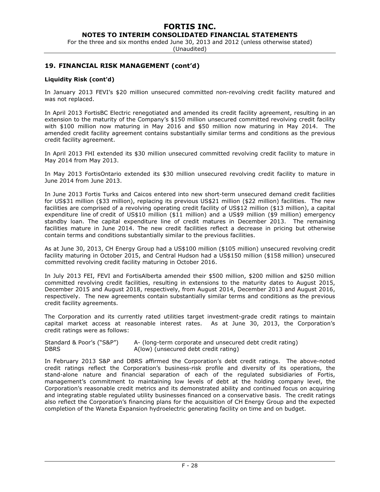For the three and six months ended June 30, 2013 and 2012 (unless otherwise stated)

(Unaudited)

# **19. FINANCIAL RISK MANAGEMENT (cont'd)**

## **Liquidity Risk (cont'd)**

In January 2013 FEVI's \$20 million unsecured committed non-revolving credit facility matured and was not replaced.

In April 2013 FortisBC Electric renegotiated and amended its credit facility agreement, resulting in an extension to the maturity of the Company's \$150 million unsecured committed revolving credit facility with \$100 million now maturing in May 2016 and \$50 million now maturing in May 2014. The amended credit facility agreement contains substantially similar terms and conditions as the previous credit facility agreement.

In April 2013 FHI extended its \$30 million unsecured committed revolving credit facility to mature in May 2014 from May 2013.

In May 2013 FortisOntario extended its \$30 million unsecured revolving credit facility to mature in June 2014 from June 2013.

In June 2013 Fortis Turks and Caicos entered into new short-term unsecured demand credit facilities for US\$31 million (\$33 million), replacing its previous US\$21 million (\$22 million) facilities. The new facilities are comprised of a revolving operating credit facility of US\$12 million (\$13 million), a capital expenditure line of credit of US\$10 million (\$11 million) and a US\$9 million (\$9 million) emergency standby loan. The capital expenditure line of credit matures in December 2013. The remaining facilities mature in June 2014. The new credit facilities reflect a decrease in pricing but otherwise contain terms and conditions substantially similar to the previous facilities.

As at June 30, 2013, CH Energy Group had a US\$100 million (\$105 million) unsecured revolving credit facility maturing in October 2015, and Central Hudson had a US\$150 million (\$158 million) unsecured committed revolving credit facility maturing in October 2016.

In July 2013 FEI, FEVI and FortisAlberta amended their \$500 million, \$200 million and \$250 million committed revolving credit facilities, resulting in extensions to the maturity dates to August 2015, December 2015 and August 2018, respectively, from August 2014, December 2013 and August 2016, respectively. The new agreements contain substantially similar terms and conditions as the previous credit facility agreements.

The Corporation and its currently rated utilities target investment-grade credit ratings to maintain capital market access at reasonable interest rates. As at June 30, 2013, the Corporation's credit ratings were as follows:

Standard & Poor's ("S&P") A- (long-term corporate and unsecured debt credit rating) DBRS A(low) (unsecured debt credit rating)

In February 2013 S&P and DBRS affirmed the Corporation's debt credit ratings. The above-noted credit ratings reflect the Corporation's business-risk profile and diversity of its operations, the stand-alone nature and financial separation of each of the regulated subsidiaries of Fortis, management's commitment to maintaining low levels of debt at the holding company level, the Corporation's reasonable credit metrics and its demonstrated ability and continued focus on acquiring and integrating stable regulated utility businesses financed on a conservative basis. The credit ratings also reflect the Corporation's financing plans for the acquisition of CH Energy Group and the expected completion of the Waneta Expansion hydroelectric generating facility on time and on budget.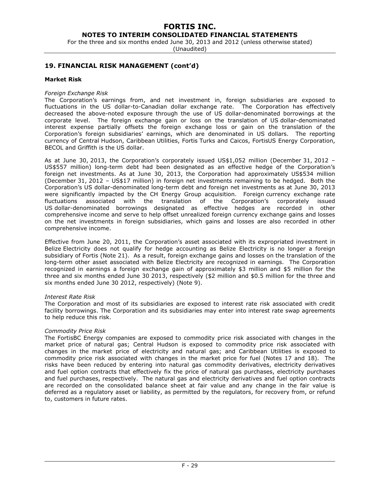For the three and six months ended June 30, 2013 and 2012 (unless otherwise stated)

(Unaudited)

## **19. FINANCIAL RISK MANAGEMENT (cont'd)**

#### **Market Risk**

#### *Foreign Exchange Risk*

The Corporation's earnings from, and net investment in, foreign subsidiaries are exposed to fluctuations in the US dollar-to-Canadian dollar exchange rate. The Corporation has effectively decreased the above-noted exposure through the use of US dollar-denominated borrowings at the corporate level. The foreign exchange gain or loss on the translation of US dollar-denominated interest expense partially offsets the foreign exchange loss or gain on the translation of the Corporation's foreign subsidiaries' earnings, which are denominated in US dollars. The reporting currency of Central Hudson, Caribbean Utilities, Fortis Turks and Caicos, FortisUS Energy Corporation, BECOL and Griffith is the US dollar.

As at June 30, 2013, the Corporation's corporately issued US\$1,052 million (December 31, 2012 – US\$557 million) long-term debt had been designated as an effective hedge of the Corporation's foreign net investments. As at June 30, 2013, the Corporation had approximately US\$534 million (December 31, 2012 – US\$17 million) in foreign net investments remaining to be hedged. Both the Corporation's US dollar-denominated long-term debt and foreign net investments as at June 30, 2013 were significantly impacted by the CH Energy Group acquisition. Foreign currency exchange rate fluctuations associated with the translation of the Corporation's corporately issued fluctuations associated with the translation of the Corporation's corporately issued US dollar-denominated borrowings designated as effective hedges are recorded in other comprehensive income and serve to help offset unrealized foreign currency exchange gains and losses on the net investments in foreign subsidiaries, which gains and losses are also recorded in other comprehensive income.

Effective from June 20, 2011, the Corporation's asset associated with its expropriated investment in Belize Electricity does not qualify for hedge accounting as Belize Electricity is no longer a foreign subsidiary of Fortis (Note 21). As a result, foreign exchange gains and losses on the translation of the long-term other asset associated with Belize Electricity are recognized in earnings. The Corporation recognized in earnings a foreign exchange gain of approximately \$3 million and \$5 million for the three and six months ended June 30 2013, respectively (\$2 million and \$0.5 million for the three and six months ended June 30 2012, respectively) (Note 9).

## *Interest Rate Risk*

The Corporation and most of its subsidiaries are exposed to interest rate risk associated with credit facility borrowings. The Corporation and its subsidiaries may enter into interest rate swap agreements to help reduce this risk.

## *Commodity Price Risk*

The FortisBC Energy companies are exposed to commodity price risk associated with changes in the market price of natural gas; Central Hudson is exposed to commodity price risk associated with changes in the market price of electricity and natural gas; and Caribbean Utilities is exposed to commodity price risk associated with changes in the market price for fuel (Notes 17 and 18). The risks have been reduced by entering into natural gas commodity derivatives, electricity derivatives and fuel option contracts that effectively fix the price of natural gas purchases, electricity purchases and fuel purchases, respectively. The natural gas and electricity derivatives and fuel option contracts are recorded on the consolidated balance sheet at fair value and any change in the fair value is deferred as a regulatory asset or liability, as permitted by the regulators, for recovery from, or refund to, customers in future rates.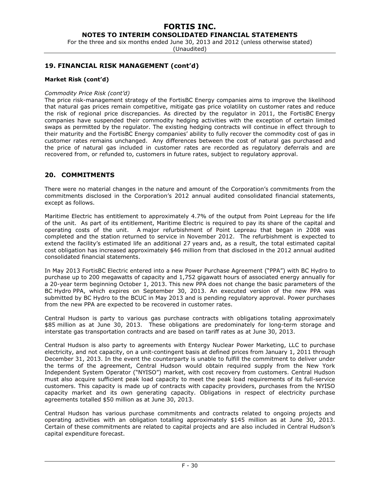# **FORTIS INC.**

**NOTES TO INTERIM CONSOLIDATED FINANCIAL STATEMENTS**

For the three and six months ended June 30, 2013 and 2012 (unless otherwise stated)

(Unaudited)

## **19. FINANCIAL RISK MANAGEMENT (cont'd)**

#### **Market Risk (cont'd)**

#### *Commodity Price Risk (cont'd)*

The price risk-management strategy of the FortisBC Energy companies aims to improve the likelihood that natural gas prices remain competitive, mitigate gas price volatility on customer rates and reduce the risk of regional price discrepancies. As directed by the regulator in 2011, the FortisBC Energy companies have suspended their commodity hedging activities with the exception of certain limited swaps as permitted by the regulator. The existing hedging contracts will continue in effect through to their maturity and the FortisBC Energy companies' ability to fully recover the commodity cost of gas in customer rates remains unchanged. Any differences between the cost of natural gas purchased and the price of natural gas included in customer rates are recorded as regulatory deferrals and are recovered from, or refunded to, customers in future rates, subject to regulatory approval.

## **20. COMMITMENTS**

There were no material changes in the nature and amount of the Corporation's commitments from the commitments disclosed in the Corporation's 2012 annual audited consolidated financial statements, except as follows.

Maritime Electric has entitlement to approximately 4.7% of the output from Point Lepreau for the life of the unit. As part of its entitlement, Maritime Electric is required to pay its share of the capital and operating costs of the unit. A major refurbishment of Point Lepreau that began in 2008 was completed and the station returned to service in November 2012. The refurbishment is expected to extend the facility's estimated life an additional 27 years and, as a result, the total estimated capital cost obligation has increased approximately \$46 million from that disclosed in the 2012 annual audited consolidated financial statements.

In May 2013 FortisBC Electric entered into a new Power Purchase Agreement ("PPA") with BC Hydro to purchase up to 200 megawatts of capacity and 1,752 gigawatt hours of associated energy annually for a 20-year term beginning October 1, 2013. This new PPA does not change the basic parameters of the BC Hydro PPA, which expires on September 30, 2013. An executed version of the new PPA was submitted by BC Hydro to the BCUC in May 2013 and is pending regulatory approval. Power purchases from the new PPA are expected to be recovered in customer rates.

Central Hudson is party to various gas purchase contracts with obligations totaling approximately \$85 million as at June 30, 2013. These obligations are predominately for long-term storage and interstate gas transportation contracts and are based on tariff rates as at June 30, 2013.

Central Hudson is also party to agreements with Entergy Nuclear Power Marketing, LLC to purchase electricity, and not capacity, on a unit-contingent basis at defined prices from January 1, 2011 through December 31, 2013. In the event the counterparty is unable to fulfill the commitment to deliver under the terms of the agreement, Central Hudson would obtain required supply from the New York Independent System Operator ("NYISO") market, with cost recovery from customers. Central Hudson must also acquire sufficient peak load capacity to meet the peak load requirements of its full-service customers. This capacity is made up of contracts with capacity providers, purchases from the NYISO capacity market and its own generating capacity. Obligations in respect of electricity purchase agreements totalled \$50 million as at June 30, 2013.

Central Hudson has various purchase commitments and contracts related to ongoing projects and operating activities with an obligation totalling approximately \$145 million as at June 30, 2013. Certain of these commitments are related to capital projects and are also included in Central Hudson's capital expenditure forecast.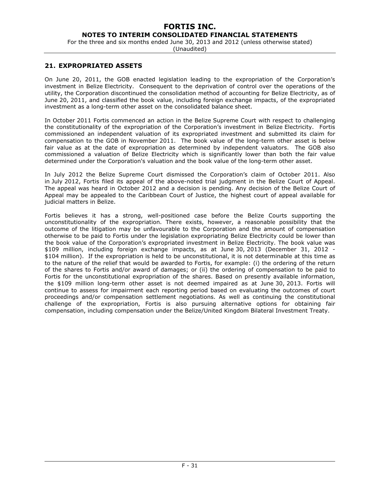For the three and six months ended June 30, 2013 and 2012 (unless otherwise stated)

(Unaudited)

## **21. EXPROPRIATED ASSETS**

On June 20, 2011, the GOB enacted legislation leading to the expropriation of the Corporation's investment in Belize Electricity. Consequent to the deprivation of control over the operations of the utility, the Corporation discontinued the consolidation method of accounting for Belize Electricity, as of June 20, 2011, and classified the book value, including foreign exchange impacts, of the expropriated investment as a long-term other asset on the consolidated balance sheet.

In October 2011 Fortis commenced an action in the Belize Supreme Court with respect to challenging the constitutionality of the expropriation of the Corporation's investment in Belize Electricity. Fortis commissioned an independent valuation of its expropriated investment and submitted its claim for compensation to the GOB in November 2011. The book value of the long-term other asset is below fair value as at the date of expropriation as determined by independent valuators. The GOB also commissioned a valuation of Belize Electricity which is significantly lower than both the fair value determined under the Corporation's valuation and the book value of the long-term other asset.

In July 2012 the Belize Supreme Court dismissed the Corporation's claim of October 2011. Also in July 2012, Fortis filed its appeal of the above-noted trial judgment in the Belize Court of Appeal. The appeal was heard in October 2012 and a decision is pending. Any decision of the Belize Court of Appeal may be appealed to the Caribbean Court of Justice, the highest court of appeal available for judicial matters in Belize.

Fortis believes it has a strong, well-positioned case before the Belize Courts supporting the unconstitutionality of the expropriation. There exists, however, a reasonable possibility that the outcome of the litigation may be unfavourable to the Corporation and the amount of compensation otherwise to be paid to Fortis under the legislation expropriating Belize Electricity could be lower than the book value of the Corporation's expropriated investment in Belize Electricity. The book value was \$109 million, including foreign exchange impacts, as at June 30, 2013 (December 31, 2012 - \$104 million). If the expropriation is held to be unconstitutional, it is not determinable at this time as to the nature of the relief that would be awarded to Fortis, for example: (i) the ordering of the return of the shares to Fortis and/or award of damages; or (ii) the ordering of compensation to be paid to Fortis for the unconstitutional expropriation of the shares. Based on presently available information, the \$109 million long-term other asset is not deemed impaired as at June 30, 2013. Fortis will continue to assess for impairment each reporting period based on evaluating the outcomes of court proceedings and/or compensation settlement negotiations. As well as continuing the constitutional challenge of the expropriation, Fortis is also pursuing alternative options for obtaining fair compensation, including compensation under the Belize/United Kingdom Bilateral Investment Treaty.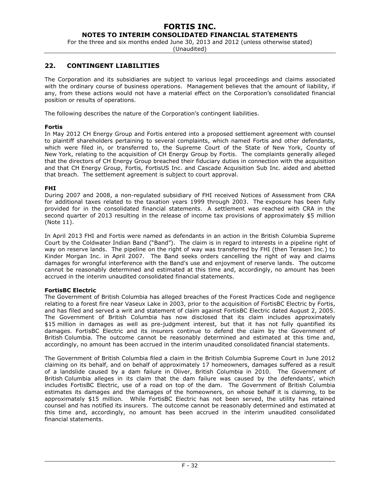For the three and six months ended June 30, 2013 and 2012 (unless otherwise stated)

(Unaudited)

## **22. CONTINGENT LIABILITIES**

The Corporation and its subsidiaries are subject to various legal proceedings and claims associated with the ordinary course of business operations. Management believes that the amount of liability, if any, from these actions would not have a material effect on the Corporation's consolidated financial position or results of operations.

The following describes the nature of the Corporation's contingent liabilities.

## **Fortis**

In May 2012 CH Energy Group and Fortis entered into a proposed settlement agreement with counsel to plaintiff shareholders pertaining to several complaints, which named Fortis and other defendants, which were filed in, or transferred to, the Supreme Court of the State of New York, County of New York, relating to the acquisition of CH Energy Group by Fortis. The complaints generally alleged that the directors of CH Energy Group breached their fiduciary duties in connection with the acquisition and that CH Energy Group, Fortis, FortisUS Inc. and Cascade Acquisition Sub Inc. aided and abetted that breach. The settlement agreement is subject to court approval.

## **FHI**

During 2007 and 2008, a non-regulated subsidiary of FHI received Notices of Assessment from CRA for additional taxes related to the taxation years 1999 through 2003. The exposure has been fully provided for in the consolidated financial statements. A settlement was reached with CRA in the second quarter of 2013 resulting in the release of income tax provisions of approximately \$5 million (Note 11).

In April 2013 FHI and Fortis were named as defendants in an action in the British Columbia Supreme Court by the Coldwater Indian Band ("Band"). The claim is in regard to interests in a pipeline right of way on reserve lands. The pipeline on the right of way was transferred by FHI (then Terasen Inc.) to Kinder Morgan Inc. in April 2007. The Band seeks orders cancelling the right of way and claims damages for wrongful interference with the Band's use and enjoyment of reserve lands. The outcome cannot be reasonably determined and estimated at this time and, accordingly, no amount has been accrued in the interim unaudited consolidated financial statements.

## **FortisBC Electric**

The Government of British Columbia has alleged breaches of the Forest Practices Code and negligence relating to a forest fire near Vaseux Lake in 2003, prior to the acquisition of FortisBC Electric by Fortis, and has filed and served a writ and statement of claim against FortisBC Electric dated August 2, 2005. The Government of British Columbia has now disclosed that its claim includes approximately \$15 million in damages as well as pre-judgment interest, but that it has not fully quantified its damages. FortisBC Electric and its insurers continue to defend the claim by the Government of British Columbia. The outcome cannot be reasonably determined and estimated at this time and, accordingly, no amount has been accrued in the interim unaudited consolidated financial statements.

The Government of British Columbia filed a claim in the British Columbia Supreme Court in June 2012 claiming on its behalf, and on behalf of approximately 17 homeowners, damages suffered as a result of a landslide caused by a dam failure in Oliver, British Columbia in 2010. The Government of British Columbia alleges in its claim that the dam failure was caused by the defendants', which includes FortisBC Electric, use of a road on top of the dam. The Government of British Columbia estimates its damages and the damages of the homeowners, on whose behalf it is claiming, to be approximately \$15 million. While FortisBC Electric has not been served, the utility has retained counsel and has notified its insurers. The outcome cannot be reasonably determined and estimated at this time and, accordingly, no amount has been accrued in the interim unaudited consolidated financial statements.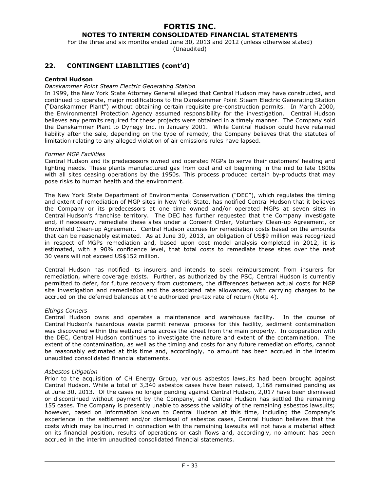For the three and six months ended June 30, 2013 and 2012 (unless otherwise stated)

(Unaudited)

# **22. CONTINGENT LIABILITIES (cont'd)**

#### **Central Hudson**

#### *Danskammer Point Steam Electric Generating Station*

In 1999, the New York State Attorney General alleged that Central Hudson may have constructed, and continued to operate, major modifications to the Danskammer Point Steam Electric Generating Station ("Danskammer Plant") without obtaining certain requisite pre-construction permits. In March 2000, the Environmental Protection Agency assumed responsibility for the investigation. Central Hudson believes any permits required for these projects were obtained in a timely manner. The Company sold the Danskammer Plant to Dynegy Inc. in January 2001. While Central Hudson could have retained liability after the sale, depending on the type of remedy, the Company believes that the statutes of limitation relating to any alleged violation of air emissions rules have lapsed.

#### *Former MGP Facilities*

Central Hudson and its predecessors owned and operated MGPs to serve their customers' heating and lighting needs. These plants manufactured gas from coal and oil beginning in the mid to late 1800s with all sites ceasing operations by the 1950s. This process produced certain by-products that may pose risks to human health and the environment.

The New York State Department of Environmental Conservation ("DEC"), which regulates the timing and extent of remediation of MGP sites in New York State, has notified Central Hudson that it believes the Company or its predecessors at one time owned and/or operated MGPs at seven sites in Central Hudson's franchise territory. The DEC has further requested that the Company investigate and, if necessary, remediate these sites under a Consent Order, Voluntary Clean-up Agreement, or Brownfield Clean-up Agreement. Central Hudson accrues for remediation costs based on the amounts that can be reasonably estimated. As at June 30, 2013, an obligation of US\$9 million was recognized in respect of MGPs remediation and, based upon cost model analysis completed in 2012, it is estimated, with a 90% confidence level, that total costs to remediate these sites over the next 30 years will not exceed US\$152 million.

Central Hudson has notified its insurers and intends to seek reimbursement from insurers for remediation, where coverage exists. Further, as authorized by the PSC, Central Hudson is currently permitted to defer, for future recovery from customers, the differences between actual costs for MGP site investigation and remediation and the associated rate allowances, with carrying charges to be accrued on the deferred balances at the authorized pre-tax rate of return (Note 4).

#### *Eltings Corners*

Central Hudson owns and operates a maintenance and warehouse facility. In the course of Central Hudson's hazardous waste permit renewal process for this facility, sediment contamination was discovered within the wetland area across the street from the main property. In cooperation with the DEC, Central Hudson continues to investigate the nature and extent of the contamination. The extent of the contamination, as well as the timing and costs for any future remediation efforts, cannot be reasonably estimated at this time and, accordingly, no amount has been accrued in the interim unaudited consolidated financial statements.

#### *Asbestos Litigation*

Prior to the acquisition of CH Energy Group, various asbestos lawsuits had been brought against Central Hudson. While a total of 3,340 asbestos cases have been raised, 1,168 remained pending as at June 30, 2013. Of the cases no longer pending against Central Hudson, 2,017 have been dismissed or discontinued without payment by the Company, and Central Hudson has settled the remaining 155 cases. The Company is presently unable to assess the validity of the remaining asbestos lawsuits; however, based on information known to Central Hudson at this time, including the Company's experience in the settlement and/or dismissal of asbestos cases, Central Hudson believes that the costs which may be incurred in connection with the remaining lawsuits will not have a material effect on its financial position, results of operations or cash flows and, accordingly, no amount has been accrued in the interim unaudited consolidated financial statements.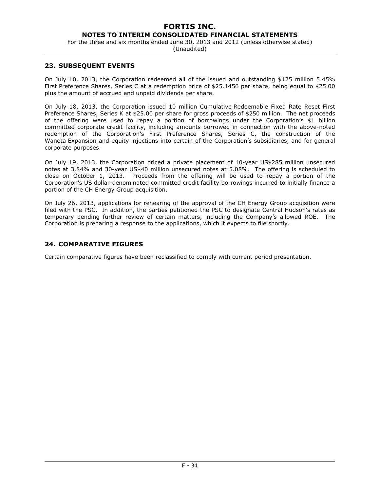For the three and six months ended June 30, 2013 and 2012 (unless otherwise stated)

(Unaudited)

## **23. SUBSEQUENT EVENTS**

On July 10, 2013, the Corporation redeemed all of the issued and outstanding \$125 million 5.45% First Preference Shares, Series C at a redemption price of \$25.1456 per share, being equal to \$25.00 plus the amount of accrued and unpaid dividends per share.

On July 18, 2013, the Corporation issued 10 million Cumulative Redeemable Fixed Rate Reset First Preference Shares, Series K at \$25.00 per share for gross proceeds of \$250 million. The net proceeds of the offering were used to repay a portion of borrowings under the Corporation's \$1 billion committed corporate credit facility, including amounts borrowed in connection with the above-noted redemption of the Corporation's First Preference Shares, Series C, the construction of the Waneta Expansion and equity injections into certain of the Corporation's subsidiaries, and for general corporate purposes.

On July 19, 2013, the Corporation priced a private placement of 10-year US\$285 million unsecured notes at 3.84% and 30-year US\$40 million unsecured notes at 5.08%. The offering is scheduled to close on October 1, 2013. Proceeds from the offering will be used to repay a portion of the Corporation's US dollar-denominated committed credit facility borrowings incurred to initially finance a portion of the CH Energy Group acquisition.

On July 26, 2013, applications for rehearing of the approval of the CH Energy Group acquisition were filed with the PSC. In addition, the parties petitioned the PSC to designate Central Hudson's rates as temporary pending further review of certain matters, including the Company's allowed ROE. The Corporation is preparing a response to the applications, which it expects to file shortly.

# **24. COMPARATIVE FIGURES**

Certain comparative figures have been reclassified to comply with current period presentation.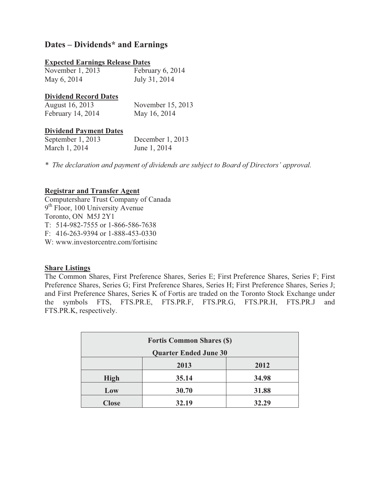# **Dates – Dividends\* and Earnings**

# **Expected Earnings Release Dates**

| November $1, 2013$ | February $6, 2014$ |
|--------------------|--------------------|
| May 6, 2014        | July 31, 2014      |

# **Dividend Record Dates**

| August 16, 2013   | November 15, 2013 |
|-------------------|-------------------|
| February 14, 2014 | May 16, 2014      |

# **Dividend Payment Dates**

| September 1, 2013 | December $1, 2013$ |
|-------------------|--------------------|
| March 1, 2014     | June 1, 2014       |

*\* The declaration and payment of dividends are subject to Board of Directors' approval.* 

# **Registrar and Transfer Agent**

Computershare Trust Company of Canada 9<sup>th</sup> Floor, 100 University Avenue Toronto, ON M5J 2Y1 T: 514-982-7555 or 1-866-586-7638 F: 416-263-9394 or 1-888-453-0330 W: www.investorcentre.com/fortisinc

# **Share Listings**

The Common Shares, First Preference Shares, Series E; First Preference Shares, Series F; First Preference Shares, Series G; First Preference Shares, Series H; First Preference Shares, Series J; and First Preference Shares, Series K of Fortis are traded on the Toronto Stock Exchange under the symbols FTS, FTS.PR.E, FTS.PR.F, FTS.PR.G, FTS.PR.H, FTS.PR.J and FTS.PR.K, respectively.

| <b>Fortis Common Shares (\$)</b> |       |       |
|----------------------------------|-------|-------|
| <b>Quarter Ended June 30</b>     |       |       |
|                                  | 2013  | 2012  |
| <b>High</b>                      | 35.14 | 34.98 |
| Low                              | 30.70 | 31.88 |
| <b>Close</b>                     | 32.19 | 32.29 |